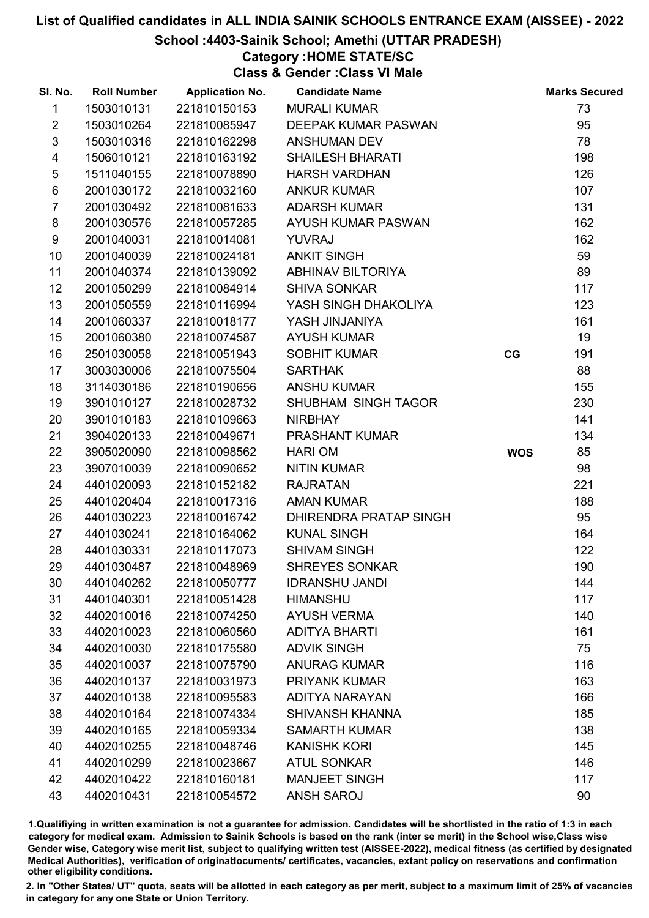## School :4403-Sainik School; Amethi (UTTAR PRADESH)

## Category :HOME STATE/SC

Class & Gender :Class VI Male

| SI. No.                 | <b>Roll Number</b> | <b>Application No.</b> | <b>Candidate Name</b>         |            | <b>Marks Secured</b> |
|-------------------------|--------------------|------------------------|-------------------------------|------------|----------------------|
| 1                       | 1503010131         | 221810150153           | <b>MURALI KUMAR</b>           |            | 73                   |
| $\overline{2}$          | 1503010264         | 221810085947           | DEEPAK KUMAR PASWAN           |            | 95                   |
| $\mathfrak{S}$          | 1503010316         | 221810162298           | <b>ANSHUMAN DEV</b>           |            | 78                   |
| $\overline{\mathbf{4}}$ | 1506010121         | 221810163192           | <b>SHAILESH BHARATI</b>       |            | 198                  |
| $\sqrt{5}$              | 1511040155         | 221810078890           | <b>HARSH VARDHAN</b>          |            | 126                  |
| $\,6$                   | 2001030172         | 221810032160           | <b>ANKUR KUMAR</b>            |            | 107                  |
| $\overline{7}$          | 2001030492         | 221810081633           | <b>ADARSH KUMAR</b>           |            | 131                  |
| 8                       | 2001030576         | 221810057285           | AYUSH KUMAR PASWAN            |            | 162                  |
| 9                       | 2001040031         | 221810014081           | <b>YUVRAJ</b>                 |            | 162                  |
| 10                      | 2001040039         | 221810024181           | <b>ANKIT SINGH</b>            |            | 59                   |
| 11                      | 2001040374         | 221810139092           | ABHINAV BILTORIYA             |            | 89                   |
| 12                      | 2001050299         | 221810084914           | <b>SHIVA SONKAR</b>           |            | 117                  |
| 13                      | 2001050559         | 221810116994           | YASH SINGH DHAKOLIYA          |            | 123                  |
| 14                      | 2001060337         | 221810018177           | YASH JINJANIYA                |            | 161                  |
| 15                      | 2001060380         | 221810074587           | <b>AYUSH KUMAR</b>            |            | 19                   |
| 16                      | 2501030058         | 221810051943           | <b>SOBHIT KUMAR</b>           | CG         | 191                  |
| 17                      | 3003030006         | 221810075504           | <b>SARTHAK</b>                |            | 88                   |
| 18                      | 3114030186         | 221810190656           | <b>ANSHU KUMAR</b>            |            | 155                  |
| 19                      | 3901010127         | 221810028732           | SHUBHAM SINGH TAGOR           |            | 230                  |
| 20                      | 3901010183         | 221810109663           | <b>NIRBHAY</b>                |            | 141                  |
| 21                      | 3904020133         | 221810049671           | PRASHANT KUMAR                |            | 134                  |
| 22                      | 3905020090         | 221810098562           | <b>HARI OM</b>                | <b>WOS</b> | 85                   |
| 23                      | 3907010039         | 221810090652           | <b>NITIN KUMAR</b>            |            | 98                   |
| 24                      | 4401020093         | 221810152182           | <b>RAJRATAN</b>               |            | 221                  |
| 25                      | 4401020404         | 221810017316           | <b>AMAN KUMAR</b>             |            | 188                  |
| 26                      | 4401030223         | 221810016742           | <b>DHIRENDRA PRATAP SINGH</b> |            | 95                   |
| 27                      | 4401030241         | 221810164062           | <b>KUNAL SINGH</b>            |            | 164                  |
| 28                      | 4401030331         | 221810117073           | <b>SHIVAM SINGH</b>           |            | 122                  |
| 29                      | 4401030487         | 221810048969           | <b>SHREYES SONKAR</b>         |            | 190                  |
| 30                      | 4401040262         | 221810050777           | <b>IDRANSHU JANDI</b>         |            | 144                  |
| 31                      | 4401040301         | 221810051428           | <b>HIMANSHU</b>               |            | 117                  |
| 32                      | 4402010016         | 221810074250           | <b>AYUSH VERMA</b>            |            | 140                  |
| 33                      | 4402010023         | 221810060560           | <b>ADITYA BHARTI</b>          |            | 161                  |
| 34                      | 4402010030         | 221810175580           | <b>ADVIK SINGH</b>            |            | 75                   |
| 35                      | 4402010037         | 221810075790           | <b>ANURAG KUMAR</b>           |            | 116                  |
| 36                      | 4402010137         | 221810031973           | <b>PRIYANK KUMAR</b>          |            | 163                  |
| 37                      | 4402010138         | 221810095583           | <b>ADITYA NARAYAN</b>         |            | 166                  |
| 38                      | 4402010164         | 221810074334           | <b>SHIVANSH KHANNA</b>        |            | 185                  |
| 39                      | 4402010165         | 221810059334           | <b>SAMARTH KUMAR</b>          |            | 138                  |
| 40                      | 4402010255         | 221810048746           | <b>KANISHK KORI</b>           |            | 145                  |
| 41                      | 4402010299         | 221810023667           | <b>ATUL SONKAR</b>            |            | 146                  |
| 42                      | 4402010422         | 221810160181           | <b>MANJEET SINGH</b>          |            | 117                  |
| 43                      | 4402010431         | 221810054572           | <b>ANSH SAROJ</b>             |            | 90                   |

1.Qualifiying in written examination is not a guarantee for admission. Candidates will be shortlisted in the ratio of 1:3 in each category for medical exam. Admission to Sainik Schools is based on the rank (inter se merit) in the School wise,Class wise Gender wise, Category wise merit list, subject to qualifying written test (AISSEE-2022), medical fitness (as certified by designated Medical Authorities), verification of originablocuments/ certificates, vacancies, extant policy on reservations and confirmation other eligibility conditions.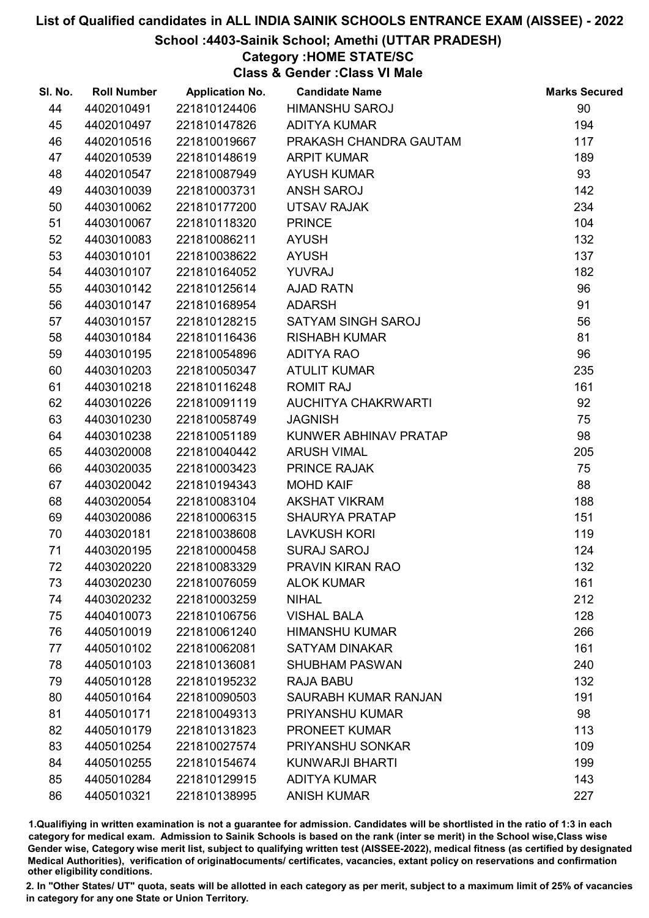## School :4403-Sainik School; Amethi (UTTAR PRADESH)

## Category :HOME STATE/SC

Class & Gender :Class VI Male

| SI. No. | <b>Roll Number</b> | <b>Application No.</b> | <b>Candidate Name</b>      | <b>Marks Secured</b> |
|---------|--------------------|------------------------|----------------------------|----------------------|
| 44      | 4402010491         | 221810124406           | <b>HIMANSHU SAROJ</b>      | 90                   |
| 45      | 4402010497         | 221810147826           | <b>ADITYA KUMAR</b>        | 194                  |
| 46      | 4402010516         | 221810019667           | PRAKASH CHANDRA GAUTAM     | 117                  |
| 47      | 4402010539         | 221810148619           | <b>ARPIT KUMAR</b>         | 189                  |
| 48      | 4402010547         | 221810087949           | <b>AYUSH KUMAR</b>         | 93                   |
| 49      | 4403010039         | 221810003731           | <b>ANSH SAROJ</b>          | 142                  |
| 50      | 4403010062         | 221810177200           | <b>UTSAV RAJAK</b>         | 234                  |
| 51      | 4403010067         | 221810118320           | <b>PRINCE</b>              | 104                  |
| 52      | 4403010083         | 221810086211           | <b>AYUSH</b>               | 132                  |
| 53      | 4403010101         | 221810038622           | <b>AYUSH</b>               | 137                  |
| 54      | 4403010107         | 221810164052           | <b>YUVRAJ</b>              | 182                  |
| 55      | 4403010142         | 221810125614           | <b>AJAD RATN</b>           | 96                   |
| 56      | 4403010147         | 221810168954           | <b>ADARSH</b>              | 91                   |
| 57      | 4403010157         | 221810128215           | SATYAM SINGH SAROJ         | 56                   |
| 58      | 4403010184         | 221810116436           | <b>RISHABH KUMAR</b>       | 81                   |
| 59      | 4403010195         | 221810054896           | <b>ADITYA RAO</b>          | 96                   |
| 60      | 4403010203         | 221810050347           | <b>ATULIT KUMAR</b>        | 235                  |
| 61      | 4403010218         | 221810116248           | <b>ROMIT RAJ</b>           | 161                  |
| 62      | 4403010226         | 221810091119           | <b>AUCHITYA CHAKRWARTI</b> | 92                   |
| 63      | 4403010230         | 221810058749           | <b>JAGNISH</b>             | 75                   |
| 64      | 4403010238         | 221810051189           | KUNWER ABHINAV PRATAP      | 98                   |
| 65      | 4403020008         | 221810040442           | <b>ARUSH VIMAL</b>         | 205                  |
| 66      | 4403020035         | 221810003423           | <b>PRINCE RAJAK</b>        | 75                   |
| 67      | 4403020042         | 221810194343           | <b>MOHD KAIF</b>           | 88                   |
| 68      | 4403020054         | 221810083104           | <b>AKSHAT VIKRAM</b>       | 188                  |
| 69      | 4403020086         | 221810006315           | <b>SHAURYA PRATAP</b>      | 151                  |
| 70      | 4403020181         | 221810038608           | <b>LAVKUSH KORI</b>        | 119                  |
| 71      | 4403020195         | 221810000458           | <b>SURAJ SAROJ</b>         | 124                  |
| 72      | 4403020220         | 221810083329           | PRAVIN KIRAN RAO           | 132                  |
| 73      | 4403020230         | 221810076059           | <b>ALOK KUMAR</b>          | 161                  |
| 74      | 4403020232         | 221810003259           | <b>NIHAL</b>               | 212                  |
| 75      | 4404010073         | 221810106756           | <b>VISHAL BALA</b>         | 128                  |
| 76      | 4405010019         | 221810061240           | <b>HIMANSHU KUMAR</b>      | 266                  |
| 77      | 4405010102         | 221810062081           | <b>SATYAM DINAKAR</b>      | 161                  |
| 78      | 4405010103         | 221810136081           | <b>SHUBHAM PASWAN</b>      | 240                  |
| 79      | 4405010128         | 221810195232           | <b>RAJA BABU</b>           | 132                  |
| 80      | 4405010164         | 221810090503           | SAURABH KUMAR RANJAN       | 191                  |
| 81      | 4405010171         | 221810049313           | PRIYANSHU KUMAR            | 98                   |
| 82      | 4405010179         | 221810131823           | <b>PRONEET KUMAR</b>       | 113                  |
| 83      | 4405010254         | 221810027574           | <b>PRIYANSHU SONKAR</b>    | 109                  |
| 84      | 4405010255         | 221810154674           | <b>KUNWARJI BHARTI</b>     | 199                  |
| 85      | 4405010284         | 221810129915           | <b>ADITYA KUMAR</b>        | 143                  |
| 86      | 4405010321         | 221810138995           | <b>ANISH KUMAR</b>         | 227                  |

1.Qualifiying in written examination is not a guarantee for admission. Candidates will be shortlisted in the ratio of 1:3 in each category for medical exam. Admission to Sainik Schools is based on the rank (inter se merit) in the School wise,Class wise Gender wise, Category wise merit list, subject to qualifying written test (AISSEE-2022), medical fitness (as certified by designated Medical Authorities), verification of originablocuments/ certificates, vacancies, extant policy on reservations and confirmation other eligibility conditions.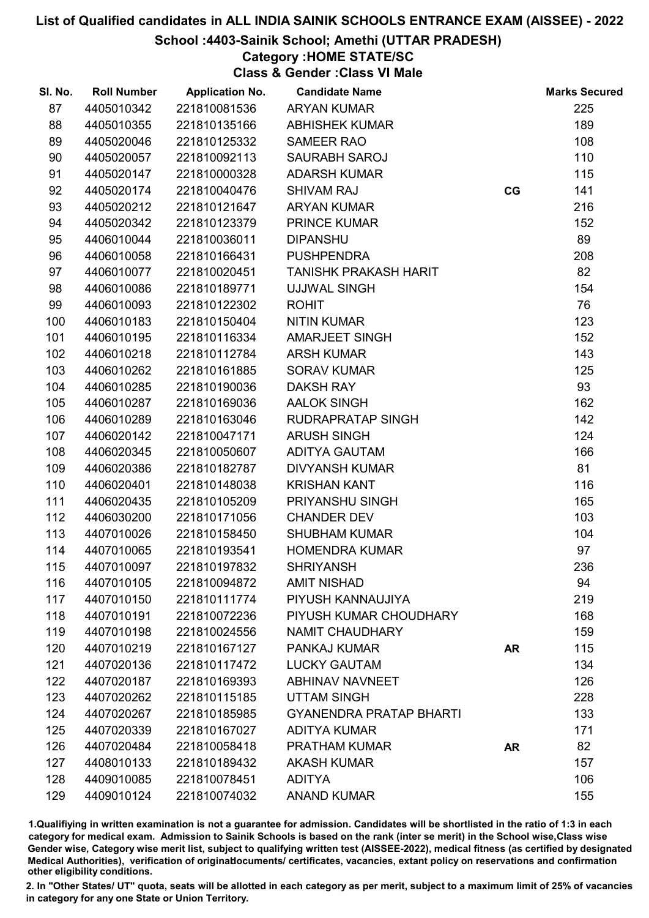## School :4403-Sainik School; Amethi (UTTAR PRADESH)

## Category :HOME STATE/SC

Class & Gender :Class VI Male

| SI. No. | <b>Roll Number</b> | <b>Application No.</b> | <b>Candidate Name</b>          |           | <b>Marks Secured</b> |
|---------|--------------------|------------------------|--------------------------------|-----------|----------------------|
| 87      | 4405010342         | 221810081536           | <b>ARYAN KUMAR</b>             |           | 225                  |
| 88      | 4405010355         | 221810135166           | <b>ABHISHEK KUMAR</b>          |           | 189                  |
| 89      | 4405020046         | 221810125332           | <b>SAMEER RAO</b>              |           | 108                  |
| 90      | 4405020057         | 221810092113           | <b>SAURABH SAROJ</b>           |           | 110                  |
| 91      | 4405020147         | 221810000328           | <b>ADARSH KUMAR</b>            |           | 115                  |
| 92      | 4405020174         | 221810040476           | <b>SHIVAM RAJ</b>              | CG        | 141                  |
| 93      | 4405020212         | 221810121647           | <b>ARYAN KUMAR</b>             |           | 216                  |
| 94      | 4405020342         | 221810123379           | <b>PRINCE KUMAR</b>            |           | 152                  |
| 95      | 4406010044         | 221810036011           | <b>DIPANSHU</b>                |           | 89                   |
| 96      | 4406010058         | 221810166431           | <b>PUSHPENDRA</b>              |           | 208                  |
| 97      | 4406010077         | 221810020451           | <b>TANISHK PRAKASH HARIT</b>   |           | 82                   |
| 98      | 4406010086         | 221810189771           | <b>UJJWAL SINGH</b>            |           | 154                  |
| 99      | 4406010093         | 221810122302           | <b>ROHIT</b>                   |           | 76                   |
| 100     | 4406010183         | 221810150404           | <b>NITIN KUMAR</b>             |           | 123                  |
| 101     | 4406010195         | 221810116334           | <b>AMARJEET SINGH</b>          |           | 152                  |
| 102     | 4406010218         | 221810112784           | <b>ARSH KUMAR</b>              |           | 143                  |
| 103     | 4406010262         | 221810161885           | <b>SORAV KUMAR</b>             |           | 125                  |
| 104     | 4406010285         | 221810190036           | <b>DAKSH RAY</b>               |           | 93                   |
| 105     | 4406010287         | 221810169036           | <b>AALOK SINGH</b>             |           | 162                  |
| 106     | 4406010289         | 221810163046           | RUDRAPRATAP SINGH              |           | 142                  |
| 107     | 4406020142         | 221810047171           | <b>ARUSH SINGH</b>             |           | 124                  |
| 108     | 4406020345         | 221810050607           | <b>ADITYA GAUTAM</b>           |           | 166                  |
| 109     | 4406020386         | 221810182787           | <b>DIVYANSH KUMAR</b>          |           | 81                   |
| 110     | 4406020401         | 221810148038           | <b>KRISHAN KANT</b>            |           | 116                  |
| 111     | 4406020435         | 221810105209           | PRIYANSHU SINGH                |           | 165                  |
| 112     | 4406030200         | 221810171056           | <b>CHANDER DEV</b>             |           | 103                  |
| 113     | 4407010026         | 221810158450           | <b>SHUBHAM KUMAR</b>           |           | 104                  |
| 114     | 4407010065         | 221810193541           | <b>HOMENDRA KUMAR</b>          |           | 97                   |
| 115     | 4407010097         | 221810197832           | <b>SHRIYANSH</b>               |           | 236                  |
| 116     | 4407010105         | 221810094872           | <b>AMIT NISHAD</b>             |           | 94                   |
| 117     | 4407010150         | 221810111774           | PIYUSH KANNAUJIYA              |           | 219                  |
| 118     | 4407010191         | 221810072236           | PIYUSH KUMAR CHOUDHARY         |           | 168                  |
| 119     | 4407010198         | 221810024556           | NAMIT CHAUDHARY                |           | 159                  |
| 120     | 4407010219         | 221810167127           | PANKAJ KUMAR                   | <b>AR</b> | 115                  |
| 121     | 4407020136         | 221810117472           | <b>LUCKY GAUTAM</b>            |           | 134                  |
| 122     | 4407020187         | 221810169393           | <b>ABHINAV NAVNEET</b>         |           | 126                  |
| 123     | 4407020262         | 221810115185           | <b>UTTAM SINGH</b>             |           | 228                  |
| 124     | 4407020267         | 221810185985           | <b>GYANENDRA PRATAP BHARTI</b> |           | 133                  |
| 125     | 4407020339         | 221810167027           | <b>ADITYA KUMAR</b>            |           | 171                  |
| 126     | 4407020484         | 221810058418           | <b>PRATHAM KUMAR</b>           | <b>AR</b> | 82                   |
| 127     | 4408010133         | 221810189432           | <b>AKASH KUMAR</b>             |           | 157                  |
| 128     | 4409010085         | 221810078451           | <b>ADITYA</b>                  |           | 106                  |
| 129     | 4409010124         | 221810074032           | <b>ANAND KUMAR</b>             |           | 155                  |

1.Qualifiying in written examination is not a guarantee for admission. Candidates will be shortlisted in the ratio of 1:3 in each category for medical exam. Admission to Sainik Schools is based on the rank (inter se merit) in the School wise,Class wise Gender wise, Category wise merit list, subject to qualifying written test (AISSEE-2022), medical fitness (as certified by designated Medical Authorities), verification of originablocuments/ certificates, vacancies, extant policy on reservations and confirmation other eligibility conditions.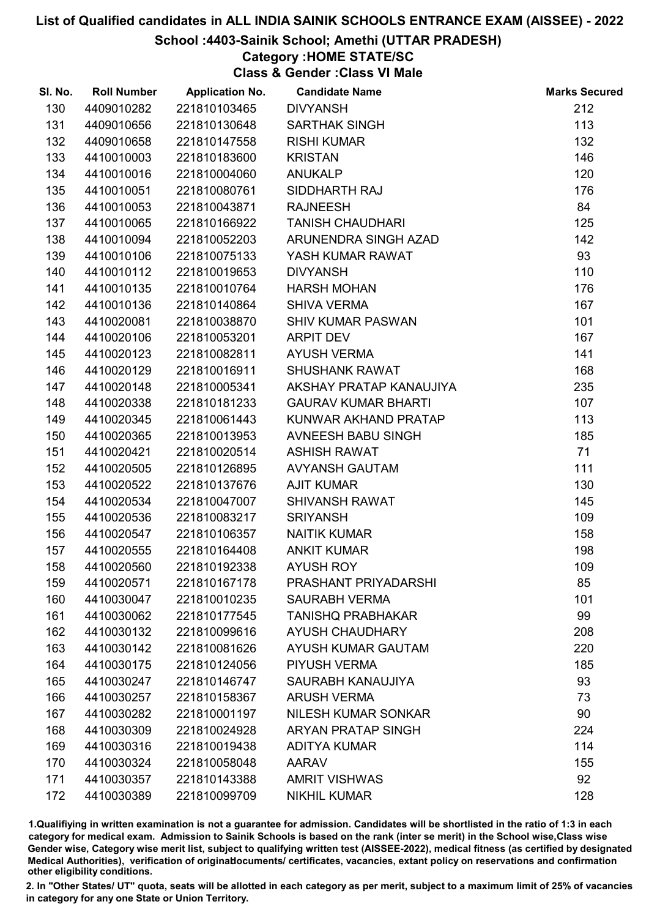School :4403-Sainik School; Amethi (UTTAR PRADESH)

## Category :HOME STATE/SC

Class & Gender :Class VI Male

| SI. No. | <b>Roll Number</b> | <b>Application No.</b> | <b>Candidate Name</b>      | <b>Marks Secured</b> |
|---------|--------------------|------------------------|----------------------------|----------------------|
| 130     | 4409010282         | 221810103465           | <b>DIVYANSH</b>            | 212                  |
| 131     | 4409010656         | 221810130648           | <b>SARTHAK SINGH</b>       | 113                  |
| 132     | 4409010658         | 221810147558           | <b>RISHI KUMAR</b>         | 132                  |
| 133     | 4410010003         | 221810183600           | <b>KRISTAN</b>             | 146                  |
| 134     | 4410010016         | 221810004060           | <b>ANUKALP</b>             | 120                  |
| 135     | 4410010051         | 221810080761           | SIDDHARTH RAJ              | 176                  |
| 136     | 4410010053         | 221810043871           | <b>RAJNEESH</b>            | 84                   |
| 137     | 4410010065         | 221810166922           | <b>TANISH CHAUDHARI</b>    | 125                  |
| 138     | 4410010094         | 221810052203           | ARUNENDRA SINGH AZAD       | 142                  |
| 139     | 4410010106         | 221810075133           | YASH KUMAR RAWAT           | 93                   |
| 140     | 4410010112         | 221810019653           | <b>DIVYANSH</b>            | 110                  |
| 141     | 4410010135         | 221810010764           | <b>HARSH MOHAN</b>         | 176                  |
| 142     | 4410010136         | 221810140864           | <b>SHIVA VERMA</b>         | 167                  |
| 143     | 4410020081         | 221810038870           | <b>SHIV KUMAR PASWAN</b>   | 101                  |
| 144     | 4410020106         | 221810053201           | ARPIT DEV                  | 167                  |
| 145     | 4410020123         | 221810082811           | <b>AYUSH VERMA</b>         | 141                  |
| 146     | 4410020129         | 221810016911           | <b>SHUSHANK RAWAT</b>      | 168                  |
| 147     | 4410020148         | 221810005341           | AKSHAY PRATAP KANAUJIYA    | 235                  |
| 148     | 4410020338         | 221810181233           | <b>GAURAV KUMAR BHARTI</b> | 107                  |
| 149     | 4410020345         | 221810061443           | KUNWAR AKHAND PRATAP       | 113                  |
| 150     | 4410020365         | 221810013953           | AVNEESH BABU SINGH         | 185                  |
| 151     | 4410020421         | 221810020514           | <b>ASHISH RAWAT</b>        | 71                   |
| 152     | 4410020505         | 221810126895           | <b>AVYANSH GAUTAM</b>      | 111                  |
| 153     | 4410020522         | 221810137676           | <b>AJIT KUMAR</b>          | 130                  |
| 154     | 4410020534         | 221810047007           | <b>SHIVANSH RAWAT</b>      | 145                  |
| 155     | 4410020536         | 221810083217           | <b>SRIYANSH</b>            | 109                  |
| 156     | 4410020547         | 221810106357           | <b>NAITIK KUMAR</b>        | 158                  |
| 157     | 4410020555         | 221810164408           | <b>ANKIT KUMAR</b>         | 198                  |
| 158     | 4410020560         | 221810192338           | <b>AYUSH ROY</b>           | 109                  |
| 159     | 4410020571         | 221810167178           | PRASHANT PRIYADARSHI       | 85                   |
| 160     | 4410030047         | 221810010235           | <b>SAURABH VERMA</b>       | 101                  |
| 161     | 4410030062         | 221810177545           | <b>TANISHQ PRABHAKAR</b>   | 99                   |
| 162     | 4410030132         | 221810099616           | <b>AYUSH CHAUDHARY</b>     | 208                  |
| 163     | 4410030142         | 221810081626           | AYUSH KUMAR GAUTAM         | 220                  |
| 164     | 4410030175         | 221810124056           | PIYUSH VERMA               | 185                  |
| 165     | 4410030247         | 221810146747           | SAURABH KANAUJIYA          | 93                   |
| 166     | 4410030257         | 221810158367           | <b>ARUSH VERMA</b>         | 73                   |
| 167     | 4410030282         | 221810001197           | <b>NILESH KUMAR SONKAR</b> | 90                   |
| 168     | 4410030309         | 221810024928           | <b>ARYAN PRATAP SINGH</b>  | 224                  |
| 169     | 4410030316         | 221810019438           | <b>ADITYA KUMAR</b>        | 114                  |
| 170     | 4410030324         | 221810058048           | <b>AARAV</b>               | 155                  |
| 171     | 4410030357         | 221810143388           | <b>AMRIT VISHWAS</b>       | 92                   |
| 172     | 4410030389         | 221810099709           | <b>NIKHIL KUMAR</b>        | 128                  |

1.Qualifiying in written examination is not a guarantee for admission. Candidates will be shortlisted in the ratio of 1:3 in each category for medical exam. Admission to Sainik Schools is based on the rank (inter se merit) in the School wise,Class wise Gender wise, Category wise merit list, subject to qualifying written test (AISSEE-2022), medical fitness (as certified by designated Medical Authorities), verification of originablocuments/ certificates, vacancies, extant policy on reservations and confirmation other eligibility conditions.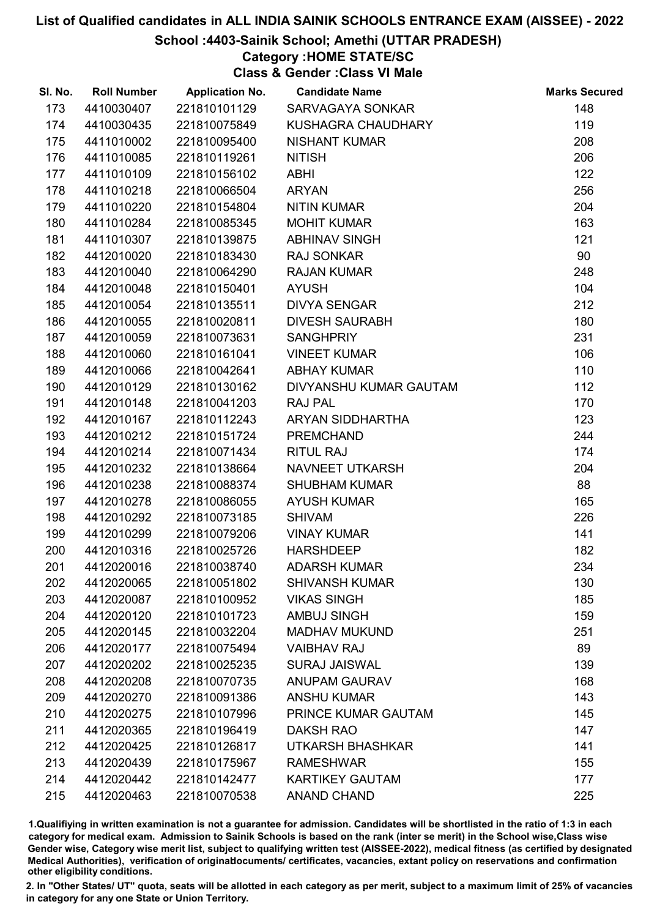## School :4403-Sainik School; Amethi (UTTAR PRADESH)

## Category :HOME STATE/SC

Class & Gender :Class VI Male

| SI. No. | <b>Roll Number</b> | <b>Application No.</b> | <b>Candidate Name</b>   | <b>Marks Secured</b> |
|---------|--------------------|------------------------|-------------------------|----------------------|
| 173     | 4410030407         | 221810101129           | <b>SARVAGAYA SONKAR</b> | 148                  |
| 174     | 4410030435         | 221810075849           | KUSHAGRA CHAUDHARY      | 119                  |
| 175     | 4411010002         | 221810095400           | <b>NISHANT KUMAR</b>    | 208                  |
| 176     | 4411010085         | 221810119261           | <b>NITISH</b>           | 206                  |
| 177     | 4411010109         | 221810156102           | ABHI                    | 122                  |
| 178     | 4411010218         | 221810066504           | <b>ARYAN</b>            | 256                  |
| 179     | 4411010220         | 221810154804           | <b>NITIN KUMAR</b>      | 204                  |
| 180     | 4411010284         | 221810085345           | <b>MOHIT KUMAR</b>      | 163                  |
| 181     | 4411010307         | 221810139875           | <b>ABHINAV SINGH</b>    | 121                  |
| 182     | 4412010020         | 221810183430           | <b>RAJ SONKAR</b>       | 90                   |
| 183     | 4412010040         | 221810064290           | <b>RAJAN KUMAR</b>      | 248                  |
| 184     | 4412010048         | 221810150401           | <b>AYUSH</b>            | 104                  |
| 185     | 4412010054         | 221810135511           | <b>DIVYA SENGAR</b>     | 212                  |
| 186     | 4412010055         | 221810020811           | <b>DIVESH SAURABH</b>   | 180                  |
| 187     | 4412010059         | 221810073631           | <b>SANGHPRIY</b>        | 231                  |
| 188     | 4412010060         | 221810161041           | <b>VINEET KUMAR</b>     | 106                  |
| 189     | 4412010066         | 221810042641           | <b>ABHAY KUMAR</b>      | 110                  |
| 190     | 4412010129         | 221810130162           | DIVYANSHU KUMAR GAUTAM  | 112                  |
| 191     | 4412010148         | 221810041203           | <b>RAJ PAL</b>          | 170                  |
| 192     | 4412010167         | 221810112243           | ARYAN SIDDHARTHA        | 123                  |
| 193     | 4412010212         | 221810151724           | <b>PREMCHAND</b>        | 244                  |
| 194     | 4412010214         | 221810071434           | <b>RITUL RAJ</b>        | 174                  |
| 195     | 4412010232         | 221810138664           | NAVNEET UTKARSH         | 204                  |
| 196     | 4412010238         | 221810088374           | <b>SHUBHAM KUMAR</b>    | 88                   |
| 197     | 4412010278         | 221810086055           | <b>AYUSH KUMAR</b>      | 165                  |
| 198     | 4412010292         | 221810073185           | <b>SHIVAM</b>           | 226                  |
| 199     | 4412010299         | 221810079206           | <b>VINAY KUMAR</b>      | 141                  |
| 200     | 4412010316         | 221810025726           | <b>HARSHDEEP</b>        | 182                  |
| 201     | 4412020016         | 221810038740           | <b>ADARSH KUMAR</b>     | 234                  |
| 202     | 4412020065         | 221810051802           | <b>SHIVANSH KUMAR</b>   | 130                  |
| 203     | 4412020087         | 221810100952           | <b>VIKAS SINGH</b>      | 185                  |
| 204     | 4412020120         | 221810101723           | <b>AMBUJ SINGH</b>      | 159                  |
| 205     | 4412020145         | 221810032204           | <b>MADHAV MUKUND</b>    | 251                  |
| 206     | 4412020177         | 221810075494           | <b>VAIBHAV RAJ</b>      | 89                   |
| 207     | 4412020202         | 221810025235           | <b>SURAJ JAISWAL</b>    | 139                  |
| 208     | 4412020208         | 221810070735           | <b>ANUPAM GAURAV</b>    | 168                  |
| 209     | 4412020270         | 221810091386           | <b>ANSHU KUMAR</b>      | 143                  |
| 210     | 4412020275         | 221810107996           | PRINCE KUMAR GAUTAM     | 145                  |
| 211     | 4412020365         | 221810196419           | <b>DAKSH RAO</b>        | 147                  |
| 212     | 4412020425         | 221810126817           | UTKARSH BHASHKAR        | 141                  |
| 213     | 4412020439         | 221810175967           | <b>RAMESHWAR</b>        | 155                  |
| 214     | 4412020442         | 221810142477           | <b>KARTIKEY GAUTAM</b>  | 177                  |
| 215     | 4412020463         | 221810070538           | <b>ANAND CHAND</b>      | 225                  |

1.Qualifiying in written examination is not a guarantee for admission. Candidates will be shortlisted in the ratio of 1:3 in each category for medical exam. Admission to Sainik Schools is based on the rank (inter se merit) in the School wise,Class wise Gender wise, Category wise merit list, subject to qualifying written test (AISSEE-2022), medical fitness (as certified by designated Medical Authorities), verification of originablocuments/ certificates, vacancies, extant policy on reservations and confirmation other eligibility conditions.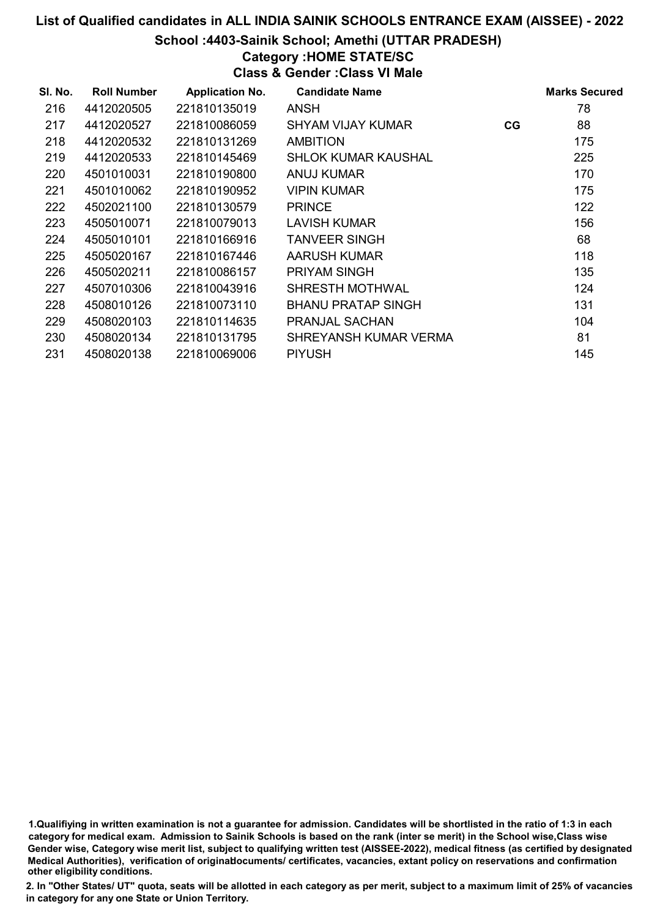#### School :4403-Sainik School; Amethi (UTTAR PRADESH)

## Category :HOME STATE/SC

Class & Gender :Class VI Male

| SI. No. | <b>Roll Number</b> | <b>Application No.</b> | <b>Candidate Name</b>     |    | <b>Marks Secured</b> |
|---------|--------------------|------------------------|---------------------------|----|----------------------|
| 216     | 4412020505         | 221810135019           | ANSH                      |    | 78                   |
| 217     | 4412020527         | 221810086059           | SHYAM VIJAY KUMAR         | CG | 88                   |
| 218     | 4412020532         | 221810131269           | <b>AMBITION</b>           |    | 175                  |
| 219     | 4412020533         | 221810145469           | SHLOK KUMAR KAUSHAL       |    | 225                  |
| 220     | 4501010031         | 221810190800           | <b>ANUJ KUMAR</b>         |    | 170                  |
| 221     | 4501010062         | 221810190952           | <b>VIPIN KUMAR</b>        |    | 175                  |
| 222     | 4502021100         | 221810130579           | <b>PRINCE</b>             |    | 122                  |
| 223     | 4505010071         | 221810079013           | <b>LAVISH KUMAR</b>       |    | 156                  |
| 224     | 4505010101         | 221810166916           | <b>TANVEER SINGH</b>      |    | 68                   |
| 225     | 4505020167         | 221810167446           | AARUSH KUMAR              |    | 118                  |
| 226     | 4505020211         | 221810086157           | <b>PRIYAM SINGH</b>       |    | 135                  |
| 227     | 4507010306         | 221810043916           | <b>SHRESTH MOTHWAL</b>    |    | 124                  |
| 228     | 4508010126         | 221810073110           | <b>BHANU PRATAP SINGH</b> |    | 131                  |
| 229     | 4508020103         | 221810114635           | PRANJAL SACHAN            |    | 104                  |
| 230     | 4508020134         | 221810131795           | SHREYANSH KUMAR VERMA     |    | 81                   |
| 231     | 4508020138         | 221810069006           | <b>PIYUSH</b>             |    | 145                  |

1.Qualifiying in written examination is not a guarantee for admission. Candidates will be shortlisted in the ratio of 1:3 in each category for medical exam. Admission to Sainik Schools is based on the rank (inter se merit) in the School wise,Class wise Gender wise, Category wise merit list, subject to qualifying written test (AISSEE-2022), medical fitness (as certified by designated Medical Authorities), verification of originablocuments/ certificates, vacancies, extant policy on reservations and confirmation other eligibility conditions.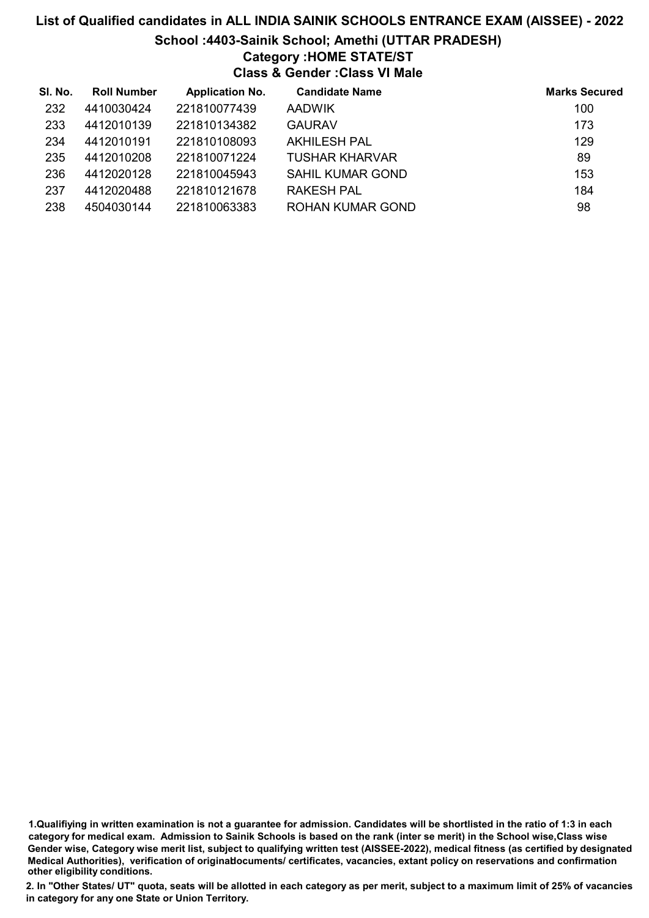# List of Qualified candidates in ALL INDIA SAINIK SCHOOLS ENTRANCE EXAM (AISSEE) - 2022 School :4403-Sainik School; Amethi (UTTAR PRADESH) Category :HOME STATE/ST Class & Gender :Class VI Male

| SI. No. | <b>Roll Number</b> | <b>Application No.</b> | <b>Candidate Name</b>   | <b>Marks Secured</b> |
|---------|--------------------|------------------------|-------------------------|----------------------|
| 232     | 4410030424         | 221810077439           | <b>AADWIK</b>           | 100                  |
| 233     | 4412010139         | 221810134382           | <b>GAURAV</b>           | 173                  |
| 234     | 4412010191         | 221810108093           | <b>AKHILESH PAL</b>     | 129                  |
| 235     | 4412010208         | 221810071224           | <b>TUSHAR KHARVAR</b>   | 89                   |
| 236     | 4412020128         | 221810045943           | <b>SAHIL KUMAR GOND</b> | 153                  |
| 237     | 4412020488         | 221810121678           | <b>RAKESH PAL</b>       | 184                  |
| 238     | 4504030144         | 221810063383           | <b>ROHAN KUMAR GOND</b> | 98                   |

<sup>1.</sup>Qualifiying in written examination is not a guarantee for admission. Candidates will be shortlisted in the ratio of 1:3 in each category for medical exam. Admission to Sainik Schools is based on the rank (inter se merit) in the School wise,Class wise Gender wise, Category wise merit list, subject to qualifying written test (AISSEE-2022), medical fitness (as certified by designated Medical Authorities), verification of originablocuments/ certificates, vacancies, extant policy on reservations and confirmation other eligibility conditions.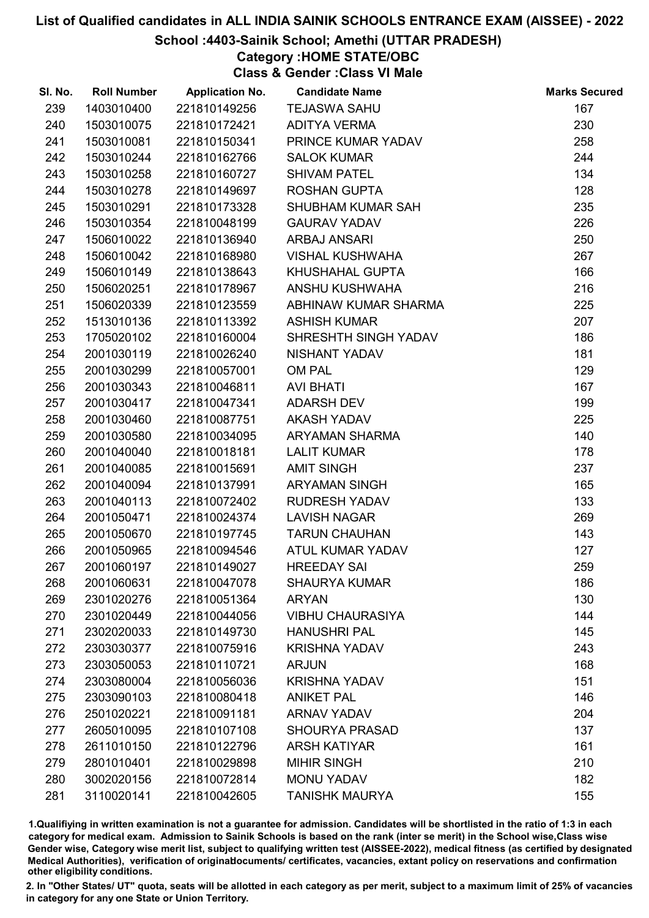### School :4403-Sainik School; Amethi (UTTAR PRADESH)

Category :HOME STATE/OBC

Class & Gender :Class VI Male

| SI. No. | <b>Roll Number</b> | <b>Application No.</b> | <b>Candidate Name</b>   | <b>Marks Secured</b> |
|---------|--------------------|------------------------|-------------------------|----------------------|
| 239     | 1403010400         | 221810149256           | <b>TEJASWA SAHU</b>     | 167                  |
| 240     | 1503010075         | 221810172421           | <b>ADITYA VERMA</b>     | 230                  |
| 241     | 1503010081         | 221810150341           | PRINCE KUMAR YADAV      | 258                  |
| 242     | 1503010244         | 221810162766           | <b>SALOK KUMAR</b>      | 244                  |
| 243     | 1503010258         | 221810160727           | <b>SHIVAM PATEL</b>     | 134                  |
| 244     | 1503010278         | 221810149697           | <b>ROSHAN GUPTA</b>     | 128                  |
| 245     | 1503010291         | 221810173328           | SHUBHAM KUMAR SAH       | 235                  |
| 246     | 1503010354         | 221810048199           | <b>GAURAV YADAV</b>     | 226                  |
| 247     | 1506010022         | 221810136940           | <b>ARBAJ ANSARI</b>     | 250                  |
| 248     | 1506010042         | 221810168980           | <b>VISHAL KUSHWAHA</b>  | 267                  |
| 249     | 1506010149         | 221810138643           | KHUSHAHAL GUPTA         | 166                  |
| 250     | 1506020251         | 221810178967           | ANSHU KUSHWAHA          | 216                  |
| 251     | 1506020339         | 221810123559           | ABHINAW KUMAR SHARMA    | 225                  |
| 252     | 1513010136         | 221810113392           | <b>ASHISH KUMAR</b>     | 207                  |
| 253     | 1705020102         | 221810160004           | SHRESHTH SINGH YADAV    | 186                  |
| 254     | 2001030119         | 221810026240           | NISHANT YADAV           | 181                  |
| 255     | 2001030299         | 221810057001           | OM PAL                  | 129                  |
| 256     | 2001030343         | 221810046811           | <b>AVI BHATI</b>        | 167                  |
| 257     | 2001030417         | 221810047341           | <b>ADARSH DEV</b>       | 199                  |
| 258     | 2001030460         | 221810087751           | <b>AKASH YADAV</b>      | 225                  |
| 259     | 2001030580         | 221810034095           | ARYAMAN SHARMA          | 140                  |
| 260     | 2001040040         | 221810018181           | <b>LALIT KUMAR</b>      | 178                  |
| 261     | 2001040085         | 221810015691           | <b>AMIT SINGH</b>       | 237                  |
| 262     | 2001040094         | 221810137991           | <b>ARYAMAN SINGH</b>    | 165                  |
| 263     | 2001040113         | 221810072402           | <b>RUDRESH YADAV</b>    | 133                  |
| 264     | 2001050471         | 221810024374           | <b>LAVISH NAGAR</b>     | 269                  |
| 265     | 2001050670         | 221810197745           | <b>TARUN CHAUHAN</b>    | 143                  |
| 266     | 2001050965         | 221810094546           | ATUL KUMAR YADAV        | 127                  |
| 267     | 2001060197         | 221810149027           | <b>HREEDAY SAI</b>      | 259                  |
| 268     | 2001060631         | 221810047078           | <b>SHAURYA KUMAR</b>    | 186                  |
| 269     | 2301020276         | 221810051364           | <b>ARYAN</b>            | 130                  |
| 270     | 2301020449         | 221810044056           | <b>VIBHU CHAURASIYA</b> | 144                  |
| 271     | 2302020033         | 221810149730           | <b>HANUSHRI PAL</b>     | 145                  |
| 272     | 2303030377         | 221810075916           | <b>KRISHNA YADAV</b>    | 243                  |
| 273     | 2303050053         | 221810110721           | <b>ARJUN</b>            | 168                  |
| 274     | 2303080004         | 221810056036           | <b>KRISHNA YADAV</b>    | 151                  |
| 275     | 2303090103         | 221810080418           | <b>ANIKET PAL</b>       | 146                  |
| 276     | 2501020221         | 221810091181           | <b>ARNAV YADAV</b>      | 204                  |
| 277     | 2605010095         | 221810107108           | <b>SHOURYA PRASAD</b>   | 137                  |
| 278     | 2611010150         | 221810122796           | <b>ARSH KATIYAR</b>     | 161                  |
| 279     | 2801010401         | 221810029898           | <b>MIHIR SINGH</b>      | 210                  |
| 280     | 3002020156         | 221810072814           | <b>MONU YADAV</b>       | 182                  |
| 281     | 3110020141         | 221810042605           | <b>TANISHK MAURYA</b>   | 155                  |

1.Qualifiying in written examination is not a guarantee for admission. Candidates will be shortlisted in the ratio of 1:3 in each category for medical exam. Admission to Sainik Schools is based on the rank (inter se merit) in the School wise,Class wise Gender wise, Category wise merit list, subject to qualifying written test (AISSEE-2022), medical fitness (as certified by designated Medical Authorities), verification of originablocuments/ certificates, vacancies, extant policy on reservations and confirmation other eligibility conditions.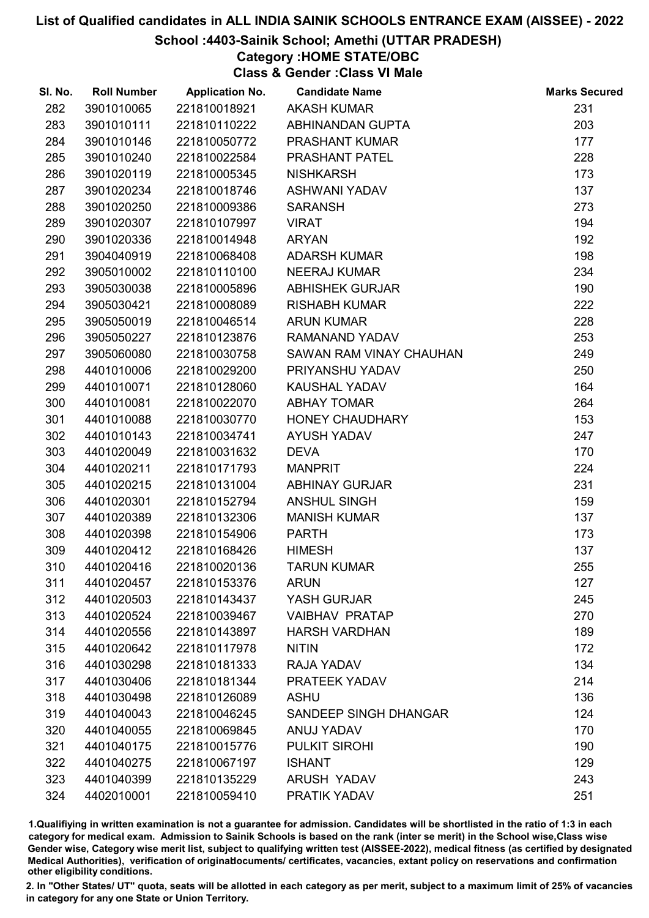## School :4403-Sainik School; Amethi (UTTAR PRADESH)

Category :HOME STATE/OBC

Class & Gender :Class VI Male

| SI. No. | <b>Roll Number</b> | <b>Application No.</b> | <b>Candidate Name</b>   | <b>Marks Secured</b> |
|---------|--------------------|------------------------|-------------------------|----------------------|
| 282     | 3901010065         | 221810018921           | <b>AKASH KUMAR</b>      | 231                  |
| 283     | 3901010111         | 221810110222           | ABHINANDAN GUPTA        | 203                  |
| 284     | 3901010146         | 221810050772           | PRASHANT KUMAR          | 177                  |
| 285     | 3901010240         | 221810022584           | PRASHANT PATEL          | 228                  |
| 286     | 3901020119         | 221810005345           | <b>NISHKARSH</b>        | 173                  |
| 287     | 3901020234         | 221810018746           | ASHWANI YADAV           | 137                  |
| 288     | 3901020250         | 221810009386           | <b>SARANSH</b>          | 273                  |
| 289     | 3901020307         | 221810107997           | <b>VIRAT</b>            | 194                  |
| 290     | 3901020336         | 221810014948           | <b>ARYAN</b>            | 192                  |
| 291     | 3904040919         | 221810068408           | <b>ADARSH KUMAR</b>     | 198                  |
| 292     | 3905010002         | 221810110100           | <b>NEERAJ KUMAR</b>     | 234                  |
| 293     | 3905030038         | 221810005896           | <b>ABHISHEK GURJAR</b>  | 190                  |
| 294     | 3905030421         | 221810008089           | <b>RISHABH KUMAR</b>    | 222                  |
| 295     | 3905050019         | 221810046514           | <b>ARUN KUMAR</b>       | 228                  |
| 296     | 3905050227         | 221810123876           | RAMANAND YADAV          | 253                  |
| 297     | 3905060080         | 221810030758           | SAWAN RAM VINAY CHAUHAN | 249                  |
| 298     | 4401010006         | 221810029200           | PRIYANSHU YADAV         | 250                  |
| 299     | 4401010071         | 221810128060           | <b>KAUSHAL YADAV</b>    | 164                  |
| 300     | 4401010081         | 221810022070           | <b>ABHAY TOMAR</b>      | 264                  |
| 301     | 4401010088         | 221810030770           | <b>HONEY CHAUDHARY</b>  | 153                  |
| 302     | 4401010143         | 221810034741           | <b>AYUSH YADAV</b>      | 247                  |
| 303     | 4401020049         | 221810031632           | <b>DEVA</b>             | 170                  |
| 304     | 4401020211         | 221810171793           | <b>MANPRIT</b>          | 224                  |
| 305     | 4401020215         | 221810131004           | <b>ABHINAY GURJAR</b>   | 231                  |
| 306     | 4401020301         | 221810152794           | <b>ANSHUL SINGH</b>     | 159                  |
| 307     | 4401020389         | 221810132306           | <b>MANISH KUMAR</b>     | 137                  |
| 308     | 4401020398         | 221810154906           | <b>PARTH</b>            | 173                  |
| 309     | 4401020412         | 221810168426           | <b>HIMESH</b>           | 137                  |
| 310     | 4401020416         | 221810020136           | <b>TARUN KUMAR</b>      | 255                  |
| 311     | 4401020457         | 221810153376           | <b>ARUN</b>             | 127                  |
| 312     | 4401020503         | 221810143437           | YASH GURJAR             | 245                  |
| 313     | 4401020524         | 221810039467           | <b>VAIBHAV PRATAP</b>   | 270                  |
| 314     | 4401020556         | 221810143897           | <b>HARSH VARDHAN</b>    | 189                  |
| 315     | 4401020642         | 221810117978           | <b>NITIN</b>            | 172                  |
| 316     | 4401030298         | 221810181333           | RAJA YADAV              | 134                  |
| 317     | 4401030406         | 221810181344           | PRATEEK YADAV           | 214                  |
| 318     | 4401030498         | 221810126089           | <b>ASHU</b>             | 136                  |
| 319     | 4401040043         | 221810046245           | SANDEEP SINGH DHANGAR   | 124                  |
| 320     | 4401040055         | 221810069845           | ANUJ YADAV              | 170                  |
| 321     | 4401040175         | 221810015776           | PULKIT SIROHI           | 190                  |
| 322     | 4401040275         | 221810067197           | <b>ISHANT</b>           | 129                  |
| 323     | 4401040399         | 221810135229           | <b>ARUSH YADAV</b>      | 243                  |
| 324     | 4402010001         | 221810059410           | PRATIK YADAV            | 251                  |

1.Qualifiying in written examination is not a guarantee for admission. Candidates will be shortlisted in the ratio of 1:3 in each category for medical exam. Admission to Sainik Schools is based on the rank (inter se merit) in the School wise,Class wise Gender wise, Category wise merit list, subject to qualifying written test (AISSEE-2022), medical fitness (as certified by designated Medical Authorities), verification of originablocuments/ certificates, vacancies, extant policy on reservations and confirmation other eligibility conditions.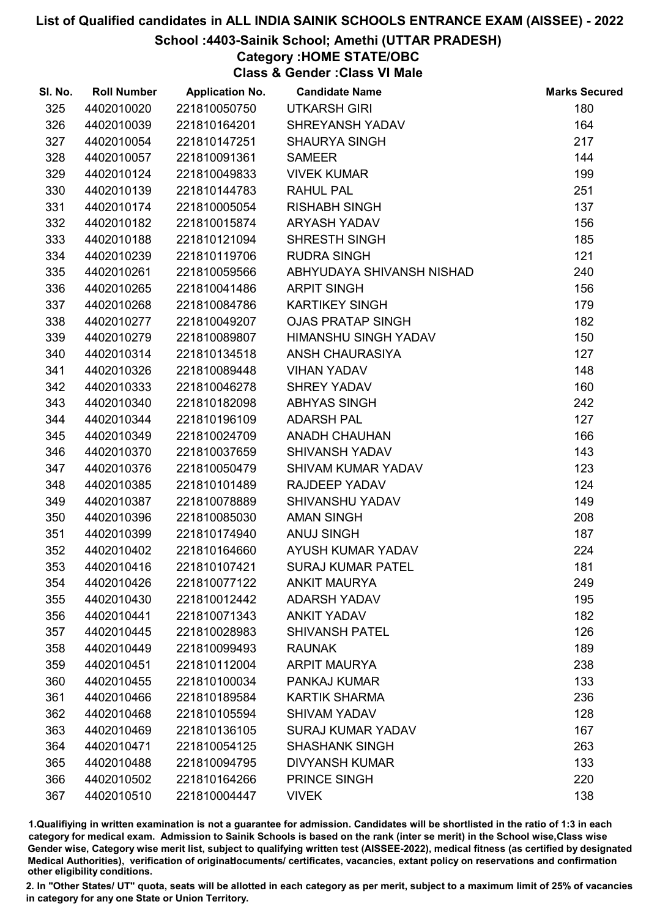## School :4403-Sainik School; Amethi (UTTAR PRADESH)

Category :HOME STATE/OBC

Class & Gender :Class VI Male

| SI. No. | <b>Roll Number</b> | <b>Application No.</b> | <b>Candidate Name</b>     | <b>Marks Secured</b> |
|---------|--------------------|------------------------|---------------------------|----------------------|
| 325     | 4402010020         | 221810050750           | <b>UTKARSH GIRI</b>       | 180                  |
| 326     | 4402010039         | 221810164201           | <b>SHREYANSH YADAV</b>    | 164                  |
| 327     | 4402010054         | 221810147251           | <b>SHAURYA SINGH</b>      | 217                  |
| 328     | 4402010057         | 221810091361           | <b>SAMEER</b>             | 144                  |
| 329     | 4402010124         | 221810049833           | <b>VIVEK KUMAR</b>        | 199                  |
| 330     | 4402010139         | 221810144783           | <b>RAHUL PAL</b>          | 251                  |
| 331     | 4402010174         | 221810005054           | <b>RISHABH SINGH</b>      | 137                  |
| 332     | 4402010182         | 221810015874           | ARYASH YADAV              | 156                  |
| 333     | 4402010188         | 221810121094           | SHRESTH SINGH             | 185                  |
| 334     | 4402010239         | 221810119706           | <b>RUDRA SINGH</b>        | 121                  |
| 335     | 4402010261         | 221810059566           | ABHYUDAYA SHIVANSH NISHAD | 240                  |
| 336     | 4402010265         | 221810041486           | <b>ARPIT SINGH</b>        | 156                  |
| 337     | 4402010268         | 221810084786           | <b>KARTIKEY SINGH</b>     | 179                  |
| 338     | 4402010277         | 221810049207           | <b>OJAS PRATAP SINGH</b>  | 182                  |
| 339     | 4402010279         | 221810089807           | HIMANSHU SINGH YADAV      | 150                  |
| 340     | 4402010314         | 221810134518           | ANSH CHAURASIYA           | 127                  |
| 341     | 4402010326         | 221810089448           | <b>VIHAN YADAV</b>        | 148                  |
| 342     | 4402010333         | 221810046278           | <b>SHREY YADAV</b>        | 160                  |
| 343     | 4402010340         | 221810182098           | <b>ABHYAS SINGH</b>       | 242                  |
| 344     | 4402010344         | 221810196109           | <b>ADARSH PAL</b>         | 127                  |
| 345     | 4402010349         | 221810024709           | <b>ANADH CHAUHAN</b>      | 166                  |
| 346     | 4402010370         | 221810037659           | <b>SHIVANSH YADAV</b>     | 143                  |
| 347     | 4402010376         | 221810050479           | <b>SHIVAM KUMAR YADAV</b> | 123                  |
| 348     | 4402010385         | 221810101489           | RAJDEEP YADAV             | 124                  |
| 349     | 4402010387         | 221810078889           | SHIVANSHU YADAV           | 149                  |
| 350     | 4402010396         | 221810085030           | <b>AMAN SINGH</b>         | 208                  |
| 351     | 4402010399         | 221810174940           | <b>ANUJ SINGH</b>         | 187                  |
| 352     | 4402010402         | 221810164660           | AYUSH KUMAR YADAV         | 224                  |
| 353     | 4402010416         | 221810107421           | <b>SURAJ KUMAR PATEL</b>  | 181                  |
| 354     | 4402010426         | 221810077122           | <b>ANKIT MAURYA</b>       | 249                  |
| 355     | 4402010430         | 221810012442           | <b>ADARSH YADAV</b>       | 195                  |
| 356     | 4402010441         | 221810071343           | <b>ANKIT YADAV</b>        | 182                  |
| 357     | 4402010445         | 221810028983           | <b>SHIVANSH PATEL</b>     | 126                  |
| 358     | 4402010449         | 221810099493           | <b>RAUNAK</b>             | 189                  |
| 359     | 4402010451         | 221810112004           | <b>ARPIT MAURYA</b>       | 238                  |
| 360     | 4402010455         | 221810100034           | PANKAJ KUMAR              | 133                  |
| 361     | 4402010466         | 221810189584           | <b>KARTIK SHARMA</b>      | 236                  |
| 362     | 4402010468         | 221810105594           | <b>SHIVAM YADAV</b>       | 128                  |
| 363     | 4402010469         | 221810136105           | <b>SURAJ KUMAR YADAV</b>  | 167                  |
| 364     | 4402010471         | 221810054125           | <b>SHASHANK SINGH</b>     | 263                  |
| 365     | 4402010488         | 221810094795           | <b>DIVYANSH KUMAR</b>     | 133                  |
| 366     | 4402010502         | 221810164266           | <b>PRINCE SINGH</b>       | 220                  |
| 367     | 4402010510         | 221810004447           | <b>VIVEK</b>              | 138                  |

1.Qualifiying in written examination is not a guarantee for admission. Candidates will be shortlisted in the ratio of 1:3 in each category for medical exam. Admission to Sainik Schools is based on the rank (inter se merit) in the School wise,Class wise Gender wise, Category wise merit list, subject to qualifying written test (AISSEE-2022), medical fitness (as certified by designated Medical Authorities), verification of originablocuments/ certificates, vacancies, extant policy on reservations and confirmation other eligibility conditions.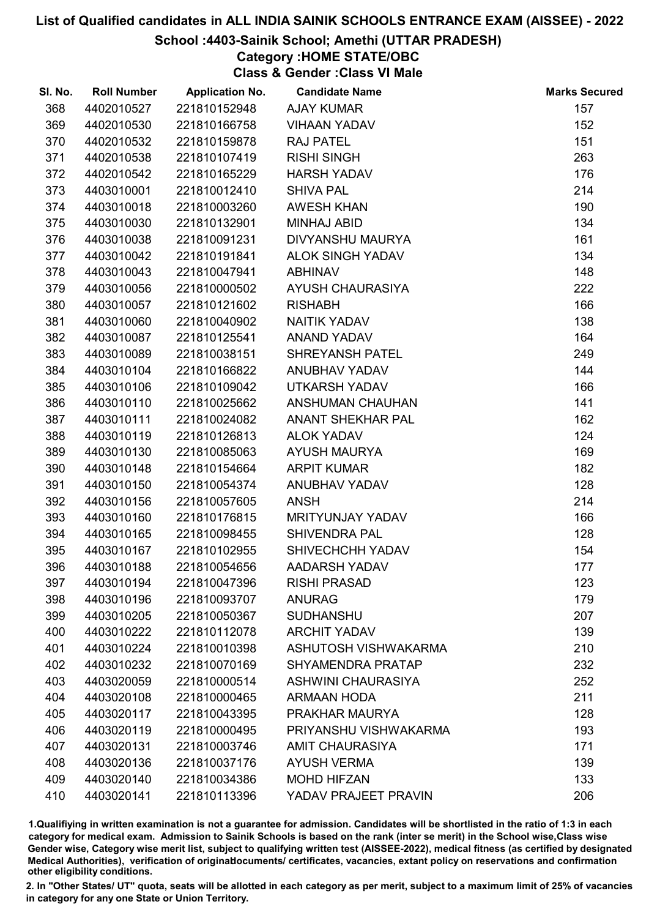#### School :4403-Sainik School; Amethi (UTTAR PRADESH)

Category :HOME STATE/OBC

Class & Gender :Class VI Male

| SI. No. | <b>Roll Number</b> | <b>Application No.</b> | <b>Candidate Name</b>     | <b>Marks Secured</b> |
|---------|--------------------|------------------------|---------------------------|----------------------|
| 368     | 4402010527         | 221810152948           | <b>AJAY KUMAR</b>         | 157                  |
| 369     | 4402010530         | 221810166758           | <b>VIHAAN YADAV</b>       | 152                  |
| 370     | 4402010532         | 221810159878           | <b>RAJ PATEL</b>          | 151                  |
| 371     | 4402010538         | 221810107419           | <b>RISHI SINGH</b>        | 263                  |
| 372     | 4402010542         | 221810165229           | <b>HARSH YADAV</b>        | 176                  |
| 373     | 4403010001         | 221810012410           | <b>SHIVA PAL</b>          | 214                  |
| 374     | 4403010018         | 221810003260           | <b>AWESH KHAN</b>         | 190                  |
| 375     | 4403010030         | 221810132901           | <b>MINHAJ ABID</b>        | 134                  |
| 376     | 4403010038         | 221810091231           | <b>DIVYANSHU MAURYA</b>   | 161                  |
| 377     | 4403010042         | 221810191841           | <b>ALOK SINGH YADAV</b>   | 134                  |
| 378     | 4403010043         | 221810047941           | <b>ABHINAV</b>            | 148                  |
| 379     | 4403010056         | 221810000502           | AYUSH CHAURASIYA          | 222                  |
| 380     | 4403010057         | 221810121602           | <b>RISHABH</b>            | 166                  |
| 381     | 4403010060         | 221810040902           | NAITIK YADAV              | 138                  |
| 382     | 4403010087         | 221810125541           | <b>ANAND YADAV</b>        | 164                  |
| 383     | 4403010089         | 221810038151           | <b>SHREYANSH PATEL</b>    | 249                  |
| 384     | 4403010104         | 221810166822           | ANUBHAV YADAV             | 144                  |
| 385     | 4403010106         | 221810109042           | <b>UTKARSH YADAV</b>      | 166                  |
| 386     | 4403010110         | 221810025662           | ANSHUMAN CHAUHAN          | 141                  |
| 387     | 4403010111         | 221810024082           | ANANT SHEKHAR PAL         | 162                  |
| 388     | 4403010119         | 221810126813           | <b>ALOK YADAV</b>         | 124                  |
| 389     | 4403010130         | 221810085063           | <b>AYUSH MAURYA</b>       | 169                  |
| 390     | 4403010148         | 221810154664           | <b>ARPIT KUMAR</b>        | 182                  |
| 391     | 4403010150         | 221810054374           | ANUBHAV YADAV             | 128                  |
| 392     | 4403010156         | 221810057605           | <b>ANSH</b>               | 214                  |
| 393     | 4403010160         | 221810176815           | MRITYUNJAY YADAV          | 166                  |
| 394     | 4403010165         | 221810098455           | <b>SHIVENDRA PAL</b>      | 128                  |
| 395     | 4403010167         | 221810102955           | SHIVECHCHH YADAV          | 154                  |
| 396     | 4403010188         | 221810054656           | AADARSH YADAV             | 177                  |
| 397     | 4403010194         | 221810047396           | <b>RISHI PRASAD</b>       | 123                  |
| 398     | 4403010196         | 221810093707           | <b>ANURAG</b>             | 179                  |
| 399     | 4403010205         | 221810050367           | <b>SUDHANSHU</b>          | 207                  |
| 400     | 4403010222         | 221810112078           | <b>ARCHIT YADAV</b>       | 139                  |
| 401     | 4403010224         | 221810010398           | ASHUTOSH VISHWAKARMA      | 210                  |
| 402     | 4403010232         | 221810070169           | <b>SHYAMENDRA PRATAP</b>  | 232                  |
| 403     | 4403020059         | 221810000514           | <b>ASHWINI CHAURASIYA</b> | 252                  |
| 404     | 4403020108         | 221810000465           | <b>ARMAAN HODA</b>        | 211                  |
| 405     | 4403020117         | 221810043395           | PRAKHAR MAURYA            | 128                  |
| 406     | 4403020119         | 221810000495           | PRIYANSHU VISHWAKARMA     | 193                  |
| 407     | 4403020131         | 221810003746           | <b>AMIT CHAURASIYA</b>    | 171                  |
| 408     | 4403020136         | 221810037176           | <b>AYUSH VERMA</b>        | 139                  |
| 409     | 4403020140         | 221810034386           | <b>MOHD HIFZAN</b>        | 133                  |
| 410     | 4403020141         | 221810113396           | YADAV PRAJEET PRAVIN      | 206                  |

1.Qualifiying in written examination is not a guarantee for admission. Candidates will be shortlisted in the ratio of 1:3 in each category for medical exam. Admission to Sainik Schools is based on the rank (inter se merit) in the School wise,Class wise Gender wise, Category wise merit list, subject to qualifying written test (AISSEE-2022), medical fitness (as certified by designated Medical Authorities), verification of originablocuments/ certificates, vacancies, extant policy on reservations and confirmation other eligibility conditions.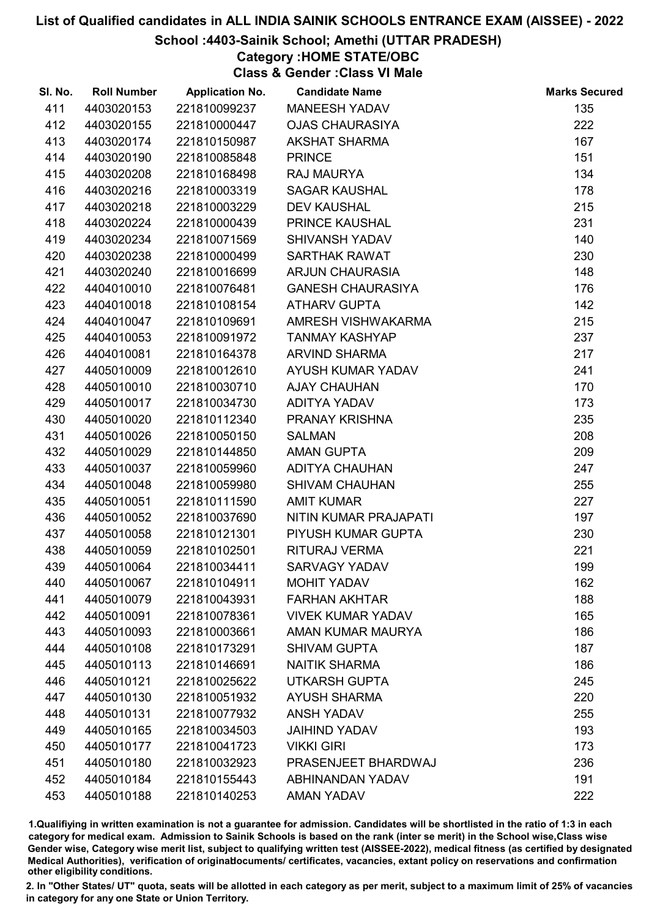## School :4403-Sainik School; Amethi (UTTAR PRADESH)

# Category :HOME STATE/OBC

Class & Gender :Class VI Male

| SI. No. | <b>Roll Number</b> | <b>Application No.</b> | <b>Candidate Name</b>    | <b>Marks Secured</b> |
|---------|--------------------|------------------------|--------------------------|----------------------|
| 411     | 4403020153         | 221810099237           | MANEESH YADAV            | 135                  |
| 412     | 4403020155         | 221810000447           | <b>OJAS CHAURASIYA</b>   | 222                  |
| 413     | 4403020174         | 221810150987           | <b>AKSHAT SHARMA</b>     | 167                  |
| 414     | 4403020190         | 221810085848           | <b>PRINCE</b>            | 151                  |
| 415     | 4403020208         | 221810168498           | <b>RAJ MAURYA</b>        | 134                  |
| 416     | 4403020216         | 221810003319           | <b>SAGAR KAUSHAL</b>     | 178                  |
| 417     | 4403020218         | 221810003229           | <b>DEV KAUSHAL</b>       | 215                  |
| 418     | 4403020224         | 221810000439           | PRINCE KAUSHAL           | 231                  |
| 419     | 4403020234         | 221810071569           | SHIVANSH YADAV           | 140                  |
| 420     | 4403020238         | 221810000499           | <b>SARTHAK RAWAT</b>     | 230                  |
| 421     | 4403020240         | 221810016699           | <b>ARJUN CHAURASIA</b>   | 148                  |
| 422     | 4404010010         | 221810076481           | <b>GANESH CHAURASIYA</b> | 176                  |
| 423     | 4404010018         | 221810108154           | <b>ATHARV GUPTA</b>      | 142                  |
| 424     | 4404010047         | 221810109691           | AMRESH VISHWAKARMA       | 215                  |
| 425     | 4404010053         | 221810091972           | <b>TANMAY KASHYAP</b>    | 237                  |
| 426     | 4404010081         | 221810164378           | <b>ARVIND SHARMA</b>     | 217                  |
| 427     | 4405010009         | 221810012610           | AYUSH KUMAR YADAV        | 241                  |
| 428     | 4405010010         | 221810030710           | <b>AJAY CHAUHAN</b>      | 170                  |
| 429     | 4405010017         | 221810034730           | ADITYA YADAV             | 173                  |
| 430     | 4405010020         | 221810112340           | PRANAY KRISHNA           | 235                  |
| 431     | 4405010026         | 221810050150           | <b>SALMAN</b>            | 208                  |
| 432     | 4405010029         | 221810144850           | <b>AMAN GUPTA</b>        | 209                  |
| 433     | 4405010037         | 221810059960           | <b>ADITYA CHAUHAN</b>    | 247                  |
| 434     | 4405010048         | 221810059980           | <b>SHIVAM CHAUHAN</b>    | 255                  |
| 435     | 4405010051         | 221810111590           | <b>AMIT KUMAR</b>        | 227                  |
| 436     | 4405010052         | 221810037690           | NITIN KUMAR PRAJAPATI    | 197                  |
| 437     | 4405010058         | 221810121301           | PIYUSH KUMAR GUPTA       | 230                  |
| 438     | 4405010059         | 221810102501           | RITURAJ VERMA            | 221                  |
| 439     | 4405010064         | 221810034411           | <b>SARVAGY YADAV</b>     | 199                  |
| 440     | 4405010067         | 221810104911           | <b>MOHIT YADAV</b>       | 162                  |
| 441     | 4405010079         | 221810043931           | <b>FARHAN AKHTAR</b>     | 188                  |
| 442     | 4405010091         | 221810078361           | <b>VIVEK KUMAR YADAV</b> | 165                  |
| 443     | 4405010093         | 221810003661           | AMAN KUMAR MAURYA        | 186                  |
| 444     | 4405010108         | 221810173291           | <b>SHIVAM GUPTA</b>      | 187                  |
| 445     | 4405010113         | 221810146691           | <b>NAITIK SHARMA</b>     | 186                  |
| 446     | 4405010121         | 221810025622           | <b>UTKARSH GUPTA</b>     | 245                  |
| 447     | 4405010130         | 221810051932           | <b>AYUSH SHARMA</b>      | 220                  |
| 448     | 4405010131         | 221810077932           | <b>ANSH YADAV</b>        | 255                  |
| 449     | 4405010165         | 221810034503           | <b>JAIHIND YADAV</b>     | 193                  |
| 450     | 4405010177         | 221810041723           | <b>VIKKI GIRI</b>        | 173                  |
| 451     | 4405010180         | 221810032923           | PRASENJEET BHARDWAJ      | 236                  |
| 452     | 4405010184         | 221810155443           | <b>ABHINANDAN YADAV</b>  | 191                  |
| 453     | 4405010188         | 221810140253           | AMAN YADAV               | 222                  |

1.Qualifiying in written examination is not a guarantee for admission. Candidates will be shortlisted in the ratio of 1:3 in each category for medical exam. Admission to Sainik Schools is based on the rank (inter se merit) in the School wise,Class wise Gender wise, Category wise merit list, subject to qualifying written test (AISSEE-2022), medical fitness (as certified by designated Medical Authorities), verification of originablocuments/ certificates, vacancies, extant policy on reservations and confirmation other eligibility conditions.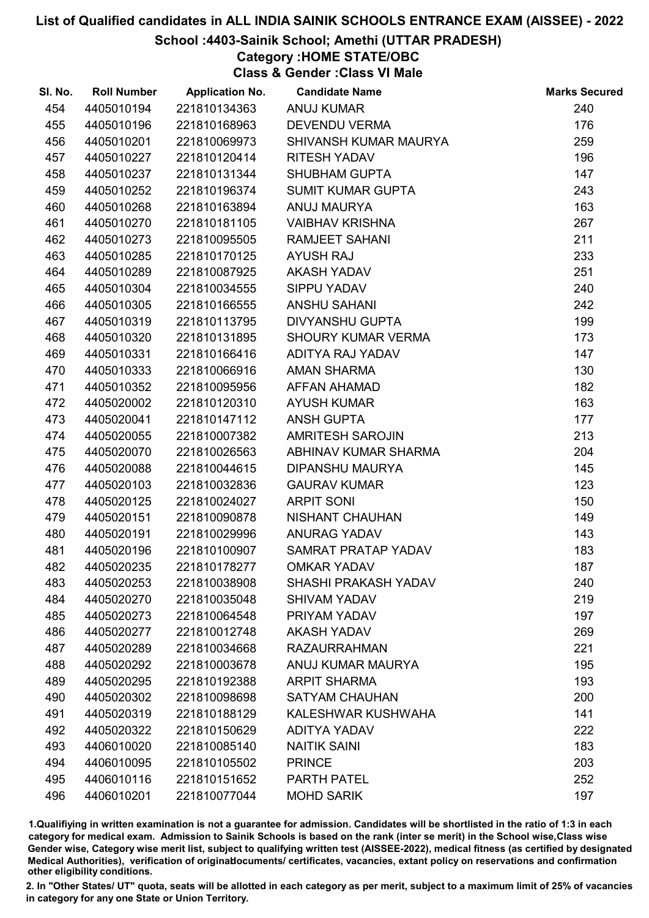### School :4403-Sainik School; Amethi (UTTAR PRADESH)

## Category :HOME STATE/OBC

Class & Gender :Class VI Male

| SI. No. | <b>Roll Number</b> | <b>Application No.</b> | <b>Candidate Name</b>       | <b>Marks Secured</b> |
|---------|--------------------|------------------------|-----------------------------|----------------------|
| 454     | 4405010194         | 221810134363           | <b>ANUJ KUMAR</b>           | 240                  |
| 455     | 4405010196         | 221810168963           | <b>DEVENDU VERMA</b>        | 176                  |
| 456     | 4405010201         | 221810069973           | SHIVANSH KUMAR MAURYA       | 259                  |
| 457     | 4405010227         | 221810120414           | <b>RITESH YADAV</b>         | 196                  |
| 458     | 4405010237         | 221810131344           | <b>SHUBHAM GUPTA</b>        | 147                  |
| 459     | 4405010252         | 221810196374           | <b>SUMIT KUMAR GUPTA</b>    | 243                  |
| 460     | 4405010268         | 221810163894           | <b>ANUJ MAURYA</b>          | 163                  |
| 461     | 4405010270         | 221810181105           | <b>VAIBHAV KRISHNA</b>      | 267                  |
| 462     | 4405010273         | 221810095505           | <b>RAMJEET SAHANI</b>       | 211                  |
| 463     | 4405010285         | 221810170125           | <b>AYUSH RAJ</b>            | 233                  |
| 464     | 4405010289         | 221810087925           | AKASH YADAV                 | 251                  |
| 465     | 4405010304         | 221810034555           | SIPPU YADAV                 | 240                  |
| 466     | 4405010305         | 221810166555           | ANSHU SAHANI                | 242                  |
| 467     | 4405010319         | 221810113795           | <b>DIVYANSHU GUPTA</b>      | 199                  |
| 468     | 4405010320         | 221810131895           | <b>SHOURY KUMAR VERMA</b>   | 173                  |
| 469     | 4405010331         | 221810166416           | ADITYA RAJ YADAV            | 147                  |
| 470     | 4405010333         | 221810066916           | AMAN SHARMA                 | 130                  |
| 471     | 4405010352         | 221810095956           | AFFAN AHAMAD                | 182                  |
| 472     | 4405020002         | 221810120310           | <b>AYUSH KUMAR</b>          | 163                  |
| 473     | 4405020041         | 221810147112           | <b>ANSH GUPTA</b>           | 177                  |
| 474     | 4405020055         | 221810007382           | <b>AMRITESH SAROJIN</b>     | 213                  |
| 475     | 4405020070         | 221810026563           | ABHINAV KUMAR SHARMA        | 204                  |
| 476     | 4405020088         | 221810044615           | <b>DIPANSHU MAURYA</b>      | 145                  |
| 477     | 4405020103         | 221810032836           | <b>GAURAV KUMAR</b>         | 123                  |
| 478     | 4405020125         | 221810024027           | <b>ARPIT SONI</b>           | 150                  |
| 479     | 4405020151         | 221810090878           | NISHANT CHAUHAN             | 149                  |
| 480     | 4405020191         | 221810029996           | ANURAG YADAV                | 143                  |
| 481     | 4405020196         | 221810100907           | SAMRAT PRATAP YADAV         | 183                  |
| 482     | 4405020235         | 221810178277           | <b>OMKAR YADAV</b>          | 187                  |
| 483     | 4405020253         | 221810038908           | <b>SHASHI PRAKASH YADAV</b> | 240                  |
| 484     | 4405020270         | 221810035048           | <b>SHIVAM YADAV</b>         | 219                  |
| 485     | 4405020273         | 221810064548           | PRIYAM YADAV                | 197                  |
| 486     | 4405020277         | 221810012748           | <b>AKASH YADAV</b>          | 269                  |
| 487     | 4405020289         | 221810034668           | <b>RAZAURRAHMAN</b>         | 221                  |
| 488     | 4405020292         | 221810003678           | ANUJ KUMAR MAURYA           | 195                  |
| 489     | 4405020295         | 221810192388           | <b>ARPIT SHARMA</b>         | 193                  |
| 490     | 4405020302         | 221810098698           | <b>SATYAM CHAUHAN</b>       | 200                  |
| 491     | 4405020319         | 221810188129           | KALESHWAR KUSHWAHA          | 141                  |
| 492     | 4405020322         | 221810150629           | <b>ADITYA YADAV</b>         | 222                  |
| 493     | 4406010020         | 221810085140           | <b>NAITIK SAINI</b>         | 183                  |
| 494     | 4406010095         | 221810105502           | <b>PRINCE</b>               | 203                  |
| 495     | 4406010116         | 221810151652           | <b>PARTH PATEL</b>          | 252                  |
| 496     | 4406010201         | 221810077044           | <b>MOHD SARIK</b>           | 197                  |

1.Qualifiying in written examination is not a guarantee for admission. Candidates will be shortlisted in the ratio of 1:3 in each category for medical exam. Admission to Sainik Schools is based on the rank (inter se merit) in the School wise,Class wise Gender wise, Category wise merit list, subject to qualifying written test (AISSEE-2022), medical fitness (as certified by designated Medical Authorities), verification of originablocuments/ certificates, vacancies, extant policy on reservations and confirmation other eligibility conditions.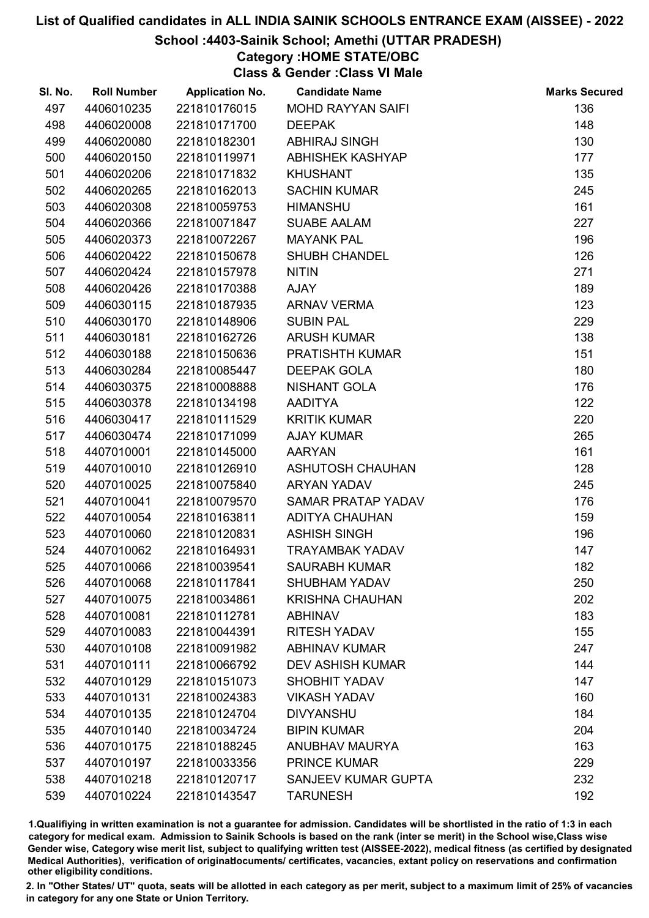## School :4403-Sainik School; Amethi (UTTAR PRADESH)

## Category :HOME STATE/OBC

Class & Gender :Class VI Male

| SI. No. | <b>Roll Number</b> | <b>Application No.</b> | <b>Candidate Name</b>      | <b>Marks Secured</b> |
|---------|--------------------|------------------------|----------------------------|----------------------|
| 497     | 4406010235         | 221810176015           | <b>MOHD RAYYAN SAIFI</b>   | 136                  |
| 498     | 4406020008         | 221810171700           | <b>DEEPAK</b>              | 148                  |
| 499     | 4406020080         | 221810182301           | <b>ABHIRAJ SINGH</b>       | 130                  |
| 500     | 4406020150         | 221810119971           | <b>ABHISHEK KASHYAP</b>    | 177                  |
| 501     | 4406020206         | 221810171832           | <b>KHUSHANT</b>            | 135                  |
| 502     | 4406020265         | 221810162013           | <b>SACHIN KUMAR</b>        | 245                  |
| 503     | 4406020308         | 221810059753           | <b>HIMANSHU</b>            | 161                  |
| 504     | 4406020366         | 221810071847           | <b>SUABE AALAM</b>         | 227                  |
| 505     | 4406020373         | 221810072267           | <b>MAYANK PAL</b>          | 196                  |
| 506     | 4406020422         | 221810150678           | <b>SHUBH CHANDEL</b>       | 126                  |
| 507     | 4406020424         | 221810157978           | <b>NITIN</b>               | 271                  |
| 508     | 4406020426         | 221810170388           | <b>AJAY</b>                | 189                  |
| 509     | 4406030115         | 221810187935           | <b>ARNAV VERMA</b>         | 123                  |
| 510     | 4406030170         | 221810148906           | <b>SUBIN PAL</b>           | 229                  |
| 511     | 4406030181         | 221810162726           | <b>ARUSH KUMAR</b>         | 138                  |
| 512     | 4406030188         | 221810150636           | <b>PRATISHTH KUMAR</b>     | 151                  |
| 513     | 4406030284         | 221810085447           | <b>DEEPAK GOLA</b>         | 180                  |
| 514     | 4406030375         | 221810008888           | <b>NISHANT GOLA</b>        | 176                  |
| 515     | 4406030378         | 221810134198           | <b>AADITYA</b>             | 122                  |
| 516     | 4406030417         | 221810111529           | <b>KRITIK KUMAR</b>        | 220                  |
| 517     | 4406030474         | 221810171099           | <b>AJAY KUMAR</b>          | 265                  |
| 518     | 4407010001         | 221810145000           | <b>AARYAN</b>              | 161                  |
| 519     | 4407010010         | 221810126910           | <b>ASHUTOSH CHAUHAN</b>    | 128                  |
| 520     | 4407010025         | 221810075840           | <b>ARYAN YADAV</b>         | 245                  |
| 521     | 4407010041         | 221810079570           | SAMAR PRATAP YADAV         | 176                  |
| 522     | 4407010054         | 221810163811           | <b>ADITYA CHAUHAN</b>      | 159                  |
| 523     | 4407010060         | 221810120831           | <b>ASHISH SINGH</b>        | 196                  |
| 524     | 4407010062         | 221810164931           | <b>TRAYAMBAK YADAV</b>     | 147                  |
| 525     | 4407010066         | 221810039541           | <b>SAURABH KUMAR</b>       | 182                  |
| 526     | 4407010068         | 221810117841           | <b>SHUBHAM YADAV</b>       | 250                  |
| 527     | 4407010075         | 221810034861           | <b>KRISHNA CHAUHAN</b>     | 202                  |
| 528     | 4407010081         | 221810112781           | <b>ABHINAV</b>             | 183                  |
| 529     | 4407010083         | 221810044391           | <b>RITESH YADAV</b>        | 155                  |
| 530     | 4407010108         | 221810091982           | <b>ABHINAV KUMAR</b>       | 247                  |
| 531     | 4407010111         | 221810066792           | <b>DEV ASHISH KUMAR</b>    | 144                  |
| 532     | 4407010129         | 221810151073           | <b>SHOBHIT YADAV</b>       | 147                  |
| 533     | 4407010131         | 221810024383           | <b>VIKASH YADAV</b>        | 160                  |
| 534     | 4407010135         | 221810124704           | <b>DIVYANSHU</b>           | 184                  |
| 535     | 4407010140         | 221810034724           | <b>BIPIN KUMAR</b>         | 204                  |
| 536     | 4407010175         | 221810188245           | <b>ANUBHAV MAURYA</b>      | 163                  |
| 537     | 4407010197         | 221810033356           | <b>PRINCE KUMAR</b>        | 229                  |
| 538     | 4407010218         | 221810120717           | <b>SANJEEV KUMAR GUPTA</b> | 232                  |
| 539     | 4407010224         | 221810143547           | <b>TARUNESH</b>            | 192                  |

1.Qualifiying in written examination is not a guarantee for admission. Candidates will be shortlisted in the ratio of 1:3 in each category for medical exam. Admission to Sainik Schools is based on the rank (inter se merit) in the School wise,Class wise Gender wise, Category wise merit list, subject to qualifying written test (AISSEE-2022), medical fitness (as certified by designated Medical Authorities), verification of originablocuments/ certificates, vacancies, extant policy on reservations and confirmation other eligibility conditions.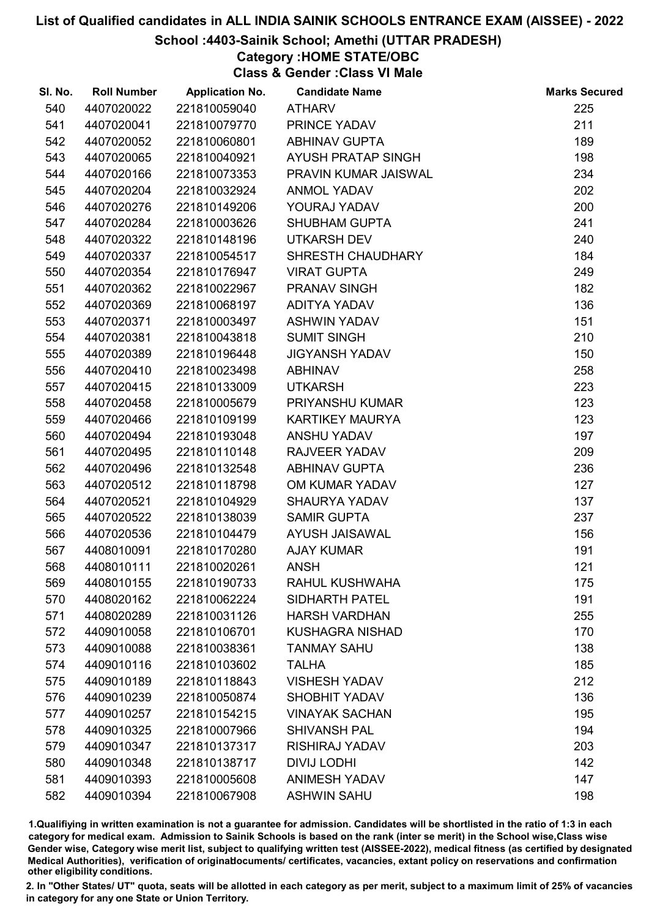#### School :4403-Sainik School; Amethi (UTTAR PRADESH)

Category :HOME STATE/OBC

Class & Gender :Class VI Male

| SI. No. | <b>Roll Number</b> | <b>Application No.</b> | <b>Candidate Name</b>  | <b>Marks Secured</b> |
|---------|--------------------|------------------------|------------------------|----------------------|
| 540     | 4407020022         | 221810059040           | <b>ATHARV</b>          | 225                  |
| 541     | 4407020041         | 221810079770           | PRINCE YADAV           | 211                  |
| 542     | 4407020052         | 221810060801           | <b>ABHINAV GUPTA</b>   | 189                  |
| 543     | 4407020065         | 221810040921           | AYUSH PRATAP SINGH     | 198                  |
| 544     | 4407020166         | 221810073353           | PRAVIN KUMAR JAISWAL   | 234                  |
| 545     | 4407020204         | 221810032924           | <b>ANMOL YADAV</b>     | 202                  |
| 546     | 4407020276         | 221810149206           | YOURAJ YADAV           | 200                  |
| 547     | 4407020284         | 221810003626           | <b>SHUBHAM GUPTA</b>   | 241                  |
| 548     | 4407020322         | 221810148196           | <b>UTKARSH DEV</b>     | 240                  |
| 549     | 4407020337         | 221810054517           | SHRESTH CHAUDHARY      | 184                  |
| 550     | 4407020354         | 221810176947           | <b>VIRAT GUPTA</b>     | 249                  |
| 551     | 4407020362         | 221810022967           | <b>PRANAV SINGH</b>    | 182                  |
| 552     | 4407020369         | 221810068197           | ADITYA YADAV           | 136                  |
| 553     | 4407020371         | 221810003497           | <b>ASHWIN YADAV</b>    | 151                  |
| 554     | 4407020381         | 221810043818           | <b>SUMIT SINGH</b>     | 210                  |
| 555     | 4407020389         | 221810196448           | <b>JIGYANSH YADAV</b>  | 150                  |
| 556     | 4407020410         | 221810023498           | <b>ABHINAV</b>         | 258                  |
| 557     | 4407020415         | 221810133009           | <b>UTKARSH</b>         | 223                  |
| 558     | 4407020458         | 221810005679           | PRIYANSHU KUMAR        | 123                  |
| 559     | 4407020466         | 221810109199           | <b>KARTIKEY MAURYA</b> | 123                  |
| 560     | 4407020494         | 221810193048           | <b>ANSHU YADAV</b>     | 197                  |
| 561     | 4407020495         | 221810110148           | RAJVEER YADAV          | 209                  |
| 562     | 4407020496         | 221810132548           | <b>ABHINAV GUPTA</b>   | 236                  |
| 563     | 4407020512         | 221810118798           | OM KUMAR YADAV         | 127                  |
| 564     | 4407020521         | 221810104929           | <b>SHAURYA YADAV</b>   | 137                  |
| 565     | 4407020522         | 221810138039           | <b>SAMIR GUPTA</b>     | 237                  |
| 566     | 4407020536         | 221810104479           | <b>AYUSH JAISAWAL</b>  | 156                  |
| 567     | 4408010091         | 221810170280           | <b>AJAY KUMAR</b>      | 191                  |
| 568     | 4408010111         | 221810020261           | <b>ANSH</b>            | 121                  |
| 569     | 4408010155         | 221810190733           | RAHUL KUSHWAHA         | 175                  |
| 570     | 4408020162         | 221810062224           | <b>SIDHARTH PATEL</b>  | 191                  |
| 571     | 4408020289         | 221810031126           | <b>HARSH VARDHAN</b>   | 255                  |
| 572     | 4409010058         | 221810106701           | <b>KUSHAGRA NISHAD</b> | 170                  |
| 573     | 4409010088         | 221810038361           | <b>TANMAY SAHU</b>     | 138                  |
| 574     | 4409010116         | 221810103602           | <b>TALHA</b>           | 185                  |
| 575     | 4409010189         | 221810118843           | <b>VISHESH YADAV</b>   | 212                  |
| 576     | 4409010239         | 221810050874           | <b>SHOBHIT YADAV</b>   | 136                  |
| 577     | 4409010257         | 221810154215           | <b>VINAYAK SACHAN</b>  | 195                  |
| 578     | 4409010325         | 221810007966           | <b>SHIVANSH PAL</b>    | 194                  |
| 579     | 4409010347         | 221810137317           | <b>RISHIRAJ YADAV</b>  | 203                  |
| 580     | 4409010348         | 221810138717           | <b>DIVIJ LODHI</b>     | 142                  |
| 581     | 4409010393         | 221810005608           | <b>ANIMESH YADAV</b>   | 147                  |
| 582     | 4409010394         | 221810067908           | <b>ASHWIN SAHU</b>     | 198                  |

1.Qualifiying in written examination is not a guarantee for admission. Candidates will be shortlisted in the ratio of 1:3 in each category for medical exam. Admission to Sainik Schools is based on the rank (inter se merit) in the School wise,Class wise Gender wise, Category wise merit list, subject to qualifying written test (AISSEE-2022), medical fitness (as certified by designated Medical Authorities), verification of originablocuments/ certificates, vacancies, extant policy on reservations and confirmation other eligibility conditions.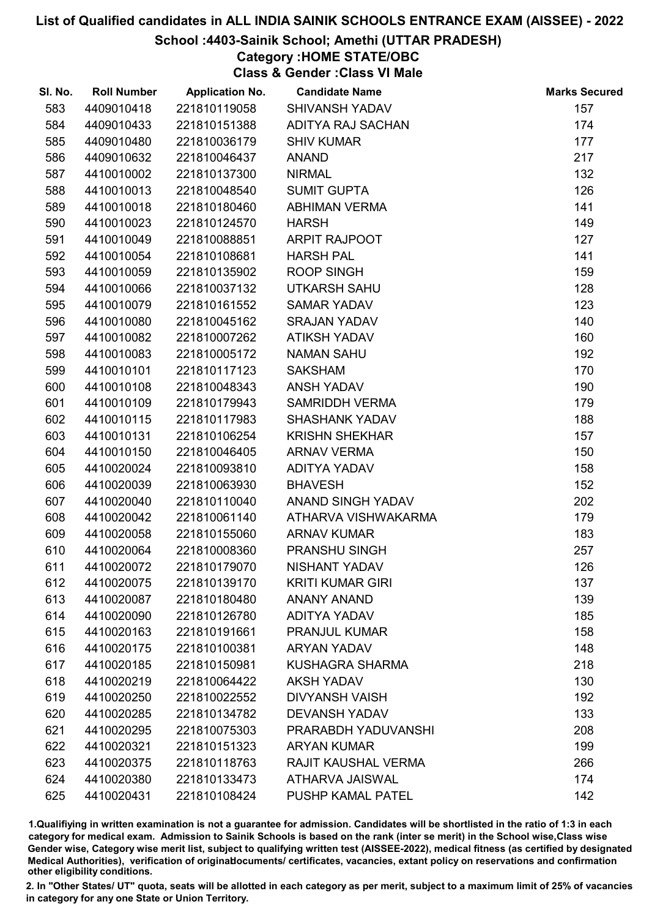## School :4403-Sainik School; Amethi (UTTAR PRADESH)

## Category :HOME STATE/OBC

Class & Gender :Class VI Male

| SI. No. | <b>Roll Number</b> | <b>Application No.</b> | <b>Candidate Name</b>   | <b>Marks Secured</b> |
|---------|--------------------|------------------------|-------------------------|----------------------|
| 583     | 4409010418         | 221810119058           | SHIVANSH YADAV          | 157                  |
| 584     | 4409010433         | 221810151388           | ADITYA RAJ SACHAN       | 174                  |
| 585     | 4409010480         | 221810036179           | <b>SHIV KUMAR</b>       | 177                  |
| 586     | 4409010632         | 221810046437           | <b>ANAND</b>            | 217                  |
| 587     | 4410010002         | 221810137300           | <b>NIRMAL</b>           | 132                  |
| 588     | 4410010013         | 221810048540           | <b>SUMIT GUPTA</b>      | 126                  |
| 589     | 4410010018         | 221810180460           | <b>ABHIMAN VERMA</b>    | 141                  |
| 590     | 4410010023         | 221810124570           | <b>HARSH</b>            | 149                  |
| 591     | 4410010049         | 221810088851           | <b>ARPIT RAJPOOT</b>    | 127                  |
| 592     | 4410010054         | 221810108681           | <b>HARSH PAL</b>        | 141                  |
| 593     | 4410010059         | 221810135902           | <b>ROOP SINGH</b>       | 159                  |
| 594     | 4410010066         | 221810037132           | <b>UTKARSH SAHU</b>     | 128                  |
| 595     | 4410010079         | 221810161552           | <b>SAMAR YADAV</b>      | 123                  |
| 596     | 4410010080         | 221810045162           | <b>SRAJAN YADAV</b>     | 140                  |
| 597     | 4410010082         | 221810007262           | <b>ATIKSH YADAV</b>     | 160                  |
| 598     | 4410010083         | 221810005172           | <b>NAMAN SAHU</b>       | 192                  |
| 599     | 4410010101         | 221810117123           | <b>SAKSHAM</b>          | 170                  |
| 600     | 4410010108         | 221810048343           | <b>ANSH YADAV</b>       | 190                  |
| 601     | 4410010109         | 221810179943           | <b>SAMRIDDH VERMA</b>   | 179                  |
| 602     | 4410010115         | 221810117983           | <b>SHASHANK YADAV</b>   | 188                  |
| 603     | 4410010131         | 221810106254           | <b>KRISHN SHEKHAR</b>   | 157                  |
| 604     | 4410010150         | 221810046405           | <b>ARNAV VERMA</b>      | 150                  |
| 605     | 4410020024         | 221810093810           | ADITYA YADAV            | 158                  |
| 606     | 4410020039         | 221810063930           | <b>BHAVESH</b>          | 152                  |
| 607     | 4410020040         | 221810110040           | ANAND SINGH YADAV       | 202                  |
| 608     | 4410020042         | 221810061140           | ATHARVA VISHWAKARMA     | 179                  |
| 609     | 4410020058         | 221810155060           | <b>ARNAV KUMAR</b>      | 183                  |
| 610     | 4410020064         | 221810008360           | PRANSHU SINGH           | 257                  |
| 611     | 4410020072         | 221810179070           | NISHANT YADAV           | 126                  |
| 612     | 4410020075         | 221810139170           | <b>KRITI KUMAR GIRI</b> | 137                  |
| 613     | 4410020087         | 221810180480           | <b>ANANY ANAND</b>      | 139                  |
| 614     | 4410020090         | 221810126780           | <b>ADITYA YADAV</b>     | 185                  |
| 615     | 4410020163         | 221810191661           | <b>PRANJUL KUMAR</b>    | 158                  |
| 616     | 4410020175         | 221810100381           | <b>ARYAN YADAV</b>      | 148                  |
| 617     | 4410020185         | 221810150981           | <b>KUSHAGRA SHARMA</b>  | 218                  |
| 618     | 4410020219         | 221810064422           | <b>AKSH YADAV</b>       | 130                  |
| 619     | 4410020250         | 221810022552           | <b>DIVYANSH VAISH</b>   | 192                  |
| 620     | 4410020285         | 221810134782           | <b>DEVANSH YADAV</b>    | 133                  |
| 621     | 4410020295         | 221810075303           | PRARABDH YADUVANSHI     | 208                  |
| 622     | 4410020321         | 221810151323           | <b>ARYAN KUMAR</b>      | 199                  |
| 623     | 4410020375         | 221810118763           | RAJIT KAUSHAL VERMA     | 266                  |
| 624     | 4410020380         | 221810133473           | ATHARVA JAISWAL         | 174                  |
| 625     | 4410020431         | 221810108424           | PUSHP KAMAL PATEL       | 142                  |

1.Qualifiying in written examination is not a guarantee for admission. Candidates will be shortlisted in the ratio of 1:3 in each category for medical exam. Admission to Sainik Schools is based on the rank (inter se merit) in the School wise,Class wise Gender wise, Category wise merit list, subject to qualifying written test (AISSEE-2022), medical fitness (as certified by designated Medical Authorities), verification of originablocuments/ certificates, vacancies, extant policy on reservations and confirmation other eligibility conditions.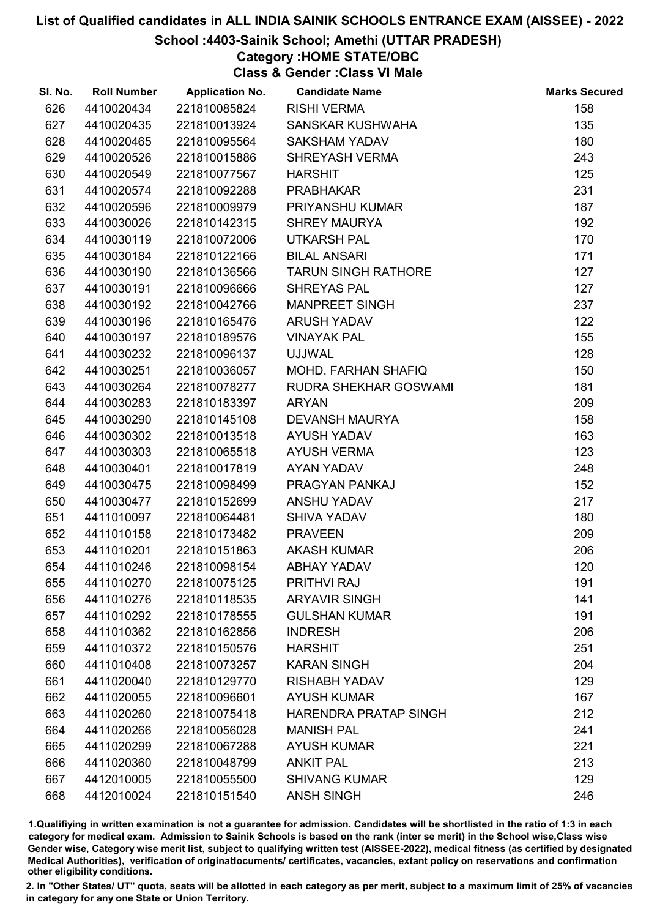## School :4403-Sainik School; Amethi (UTTAR PRADESH)

Category :HOME STATE/OBC

Class & Gender :Class VI Male

| 626<br>4410020434<br>221810085824<br><b>RISHI VERMA</b><br>4410020435<br>221810013924<br>SANSKAR KUSHWAHA<br>627<br>628<br>4410020465<br>221810095564<br><b>SAKSHAM YADAV</b><br>4410020526<br>221810015886<br>629<br><b>SHREYASH VERMA</b><br>630<br>4410020549<br>221810077567<br><b>HARSHIT</b><br>4410020574<br>631<br>221810092288<br><b>PRABHAKAR</b><br>632<br>4410020596<br>221810009979<br><b>PRIYANSHU KUMAR</b> | 158<br>135<br>180<br>243<br>125<br>231<br>187<br>192<br>170<br>171<br>127<br>127 |
|----------------------------------------------------------------------------------------------------------------------------------------------------------------------------------------------------------------------------------------------------------------------------------------------------------------------------------------------------------------------------------------------------------------------------|----------------------------------------------------------------------------------|
|                                                                                                                                                                                                                                                                                                                                                                                                                            |                                                                                  |
|                                                                                                                                                                                                                                                                                                                                                                                                                            |                                                                                  |
|                                                                                                                                                                                                                                                                                                                                                                                                                            |                                                                                  |
|                                                                                                                                                                                                                                                                                                                                                                                                                            |                                                                                  |
|                                                                                                                                                                                                                                                                                                                                                                                                                            |                                                                                  |
|                                                                                                                                                                                                                                                                                                                                                                                                                            |                                                                                  |
|                                                                                                                                                                                                                                                                                                                                                                                                                            |                                                                                  |
| <b>SHREY MAURYA</b><br>633<br>4410030026<br>221810142315                                                                                                                                                                                                                                                                                                                                                                   |                                                                                  |
| 634<br>4410030119<br>221810072006<br><b>UTKARSH PAL</b>                                                                                                                                                                                                                                                                                                                                                                    |                                                                                  |
| 221810122166<br><b>BILAL ANSARI</b><br>635<br>4410030184                                                                                                                                                                                                                                                                                                                                                                   |                                                                                  |
| 4410030190<br>221810136566<br><b>TARUN SINGH RATHORE</b><br>636                                                                                                                                                                                                                                                                                                                                                            |                                                                                  |
| <b>SHREYAS PAL</b><br>637<br>4410030191<br>221810096666                                                                                                                                                                                                                                                                                                                                                                    |                                                                                  |
| 638<br>4410030192<br><b>MANPREET SINGH</b><br>221810042766                                                                                                                                                                                                                                                                                                                                                                 | 237                                                                              |
| 4410030196<br>639<br>221810165476<br><b>ARUSH YADAV</b>                                                                                                                                                                                                                                                                                                                                                                    | 122                                                                              |
| 640<br>4410030197<br>221810189576<br><b>VINAYAK PAL</b>                                                                                                                                                                                                                                                                                                                                                                    | 155                                                                              |
| 641<br>4410030232<br>221810096137<br><b>UJJWAL</b>                                                                                                                                                                                                                                                                                                                                                                         | 128                                                                              |
| 642<br>4410030251<br>221810036057<br><b>MOHD, FARHAN SHAFIQ</b>                                                                                                                                                                                                                                                                                                                                                            | 150                                                                              |
| 643<br>4410030264<br>221810078277<br>RUDRA SHEKHAR GOSWAMI                                                                                                                                                                                                                                                                                                                                                                 | 181                                                                              |
| 644<br>4410030283<br>221810183397<br><b>ARYAN</b>                                                                                                                                                                                                                                                                                                                                                                          | 209                                                                              |
| 645<br>4410030290<br>221810145108<br><b>DEVANSH MAURYA</b>                                                                                                                                                                                                                                                                                                                                                                 | 158                                                                              |
| 646<br>4410030302<br>221810013518<br><b>AYUSH YADAV</b>                                                                                                                                                                                                                                                                                                                                                                    | 163                                                                              |
| 4410030303<br><b>AYUSH VERMA</b><br>647<br>221810065518                                                                                                                                                                                                                                                                                                                                                                    | 123                                                                              |
| 648<br>4410030401<br>221810017819<br>AYAN YADAV                                                                                                                                                                                                                                                                                                                                                                            | 248                                                                              |
| PRAGYAN PANKAJ<br>649<br>4410030475<br>221810098499                                                                                                                                                                                                                                                                                                                                                                        | 152                                                                              |
| 650<br>4410030477<br>221810152699<br><b>ANSHU YADAV</b>                                                                                                                                                                                                                                                                                                                                                                    | 217                                                                              |
| 651<br>4411010097<br>221810064481<br><b>SHIVA YADAV</b>                                                                                                                                                                                                                                                                                                                                                                    | 180                                                                              |
| 652<br>4411010158<br>221810173482<br><b>PRAVEEN</b>                                                                                                                                                                                                                                                                                                                                                                        | 209                                                                              |
| 653<br>4411010201<br>221810151863<br><b>AKASH KUMAR</b>                                                                                                                                                                                                                                                                                                                                                                    | 206                                                                              |
| 654<br>4411010246<br>221810098154<br><b>ABHAY YADAV</b>                                                                                                                                                                                                                                                                                                                                                                    | 120                                                                              |
| 4411010270<br><b>PRITHVI RAJ</b><br>655<br>221810075125                                                                                                                                                                                                                                                                                                                                                                    | 191                                                                              |
| 656<br>4411010276<br>221810118535<br><b>ARYAVIR SINGH</b>                                                                                                                                                                                                                                                                                                                                                                  | 141                                                                              |
| 657<br>4411010292<br>221810178555<br><b>GULSHAN KUMAR</b>                                                                                                                                                                                                                                                                                                                                                                  | 191                                                                              |
| 658<br>4411010362<br>221810162856<br><b>INDRESH</b>                                                                                                                                                                                                                                                                                                                                                                        | 206                                                                              |
| 659<br>4411010372<br>221810150576<br><b>HARSHIT</b>                                                                                                                                                                                                                                                                                                                                                                        | 251                                                                              |
| 660<br>4411010408<br>221810073257<br><b>KARAN SINGH</b>                                                                                                                                                                                                                                                                                                                                                                    | 204                                                                              |
| 661<br>4411020040<br>221810129770<br><b>RISHABH YADAV</b>                                                                                                                                                                                                                                                                                                                                                                  | 129                                                                              |
| 662<br>4411020055<br>221810096601<br><b>AYUSH KUMAR</b>                                                                                                                                                                                                                                                                                                                                                                    | 167                                                                              |
| 663<br>4411020260<br>221810075418<br>HARENDRA PRATAP SINGH                                                                                                                                                                                                                                                                                                                                                                 | 212                                                                              |
| 664<br>4411020266<br>221810056028<br><b>MANISH PAL</b>                                                                                                                                                                                                                                                                                                                                                                     | 241                                                                              |
| 665<br>4411020299<br>221810067288<br><b>AYUSH KUMAR</b>                                                                                                                                                                                                                                                                                                                                                                    | 221                                                                              |
| 666<br>4411020360<br>221810048799<br><b>ANKIT PAL</b>                                                                                                                                                                                                                                                                                                                                                                      | 213                                                                              |
| 667<br>4412010005<br><b>SHIVANG KUMAR</b><br>221810055500                                                                                                                                                                                                                                                                                                                                                                  | 129                                                                              |
| <b>ANSH SINGH</b><br>668<br>4412010024<br>221810151540                                                                                                                                                                                                                                                                                                                                                                     | 246                                                                              |

1.Qualifiying in written examination is not a guarantee for admission. Candidates will be shortlisted in the ratio of 1:3 in each category for medical exam. Admission to Sainik Schools is based on the rank (inter se merit) in the School wise,Class wise Gender wise, Category wise merit list, subject to qualifying written test (AISSEE-2022), medical fitness (as certified by designated Medical Authorities), verification of originablocuments/ certificates, vacancies, extant policy on reservations and confirmation other eligibility conditions.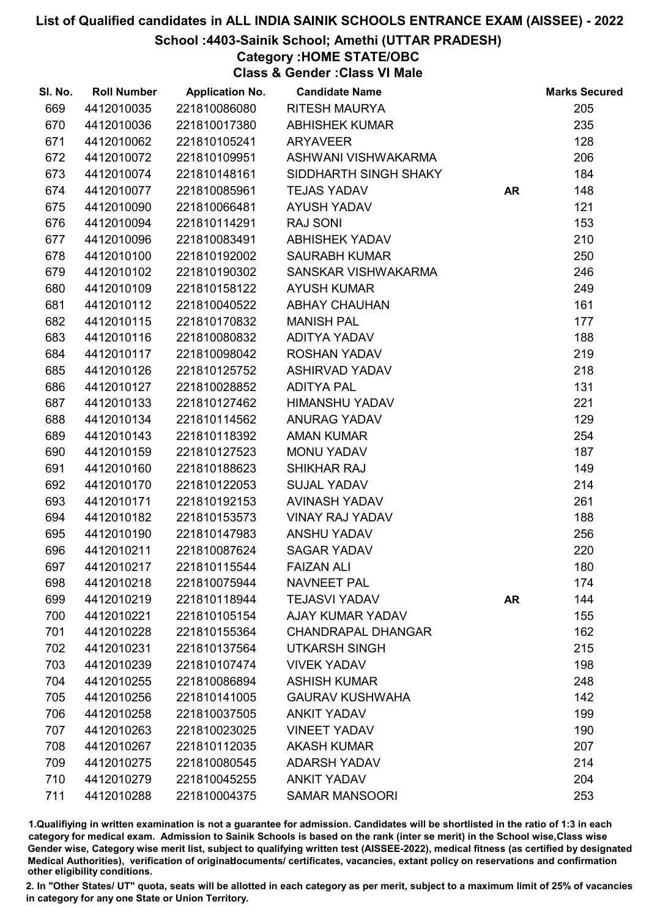### School :4403-Sainik School; Amethi (UTTAR PRADESH)

Category :HOME STATE/OBC

Class & Gender :Class VI Male

| SI. No. | <b>Roll Number</b> | <b>Application No.</b> | <b>Candidate Name</b>     |           | <b>Marks Secured</b> |
|---------|--------------------|------------------------|---------------------------|-----------|----------------------|
| 669     | 4412010035         | 221810086080           | <b>RITESH MAURYA</b>      |           | 205                  |
| 670     | 4412010036         | 221810017380           | <b>ABHISHEK KUMAR</b>     |           | 235                  |
| 671     | 4412010062         | 221810105241           | <b>ARYAVEER</b>           |           | 128                  |
| 672     | 4412010072         | 221810109951           | ASHWANI VISHWAKARMA       |           | 206                  |
| 673     | 4412010074         | 221810148161           | SIDDHARTH SINGH SHAKY     |           | 184                  |
| 674     | 4412010077         | 221810085961           | <b>TEJAS YADAV</b>        | <b>AR</b> | 148                  |
| 675     | 4412010090         | 221810066481           | <b>AYUSH YADAV</b>        |           | 121                  |
| 676     | 4412010094         | 221810114291           | <b>RAJ SONI</b>           |           | 153                  |
| 677     | 4412010096         | 221810083491           | <b>ABHISHEK YADAV</b>     |           | 210                  |
| 678     | 4412010100         | 221810192002           | <b>SAURABH KUMAR</b>      |           | 250                  |
| 679     | 4412010102         | 221810190302           | SANSKAR VISHWAKARMA       |           | 246                  |
| 680     | 4412010109         | 221810158122           | <b>AYUSH KUMAR</b>        |           | 249                  |
| 681     | 4412010112         | 221810040522           | <b>ABHAY CHAUHAN</b>      |           | 161                  |
| 682     | 4412010115         | 221810170832           | <b>MANISH PAL</b>         |           | 177                  |
| 683     | 4412010116         | 221810080832           | ADITYA YADAV              |           | 188                  |
| 684     | 4412010117         | 221810098042           | ROSHAN YADAV              |           | 219                  |
| 685     | 4412010126         | 221810125752           | <b>ASHIRVAD YADAV</b>     |           | 218                  |
| 686     | 4412010127         | 221810028852           | <b>ADITYA PAL</b>         |           | 131                  |
| 687     | 4412010133         | 221810127462           | <b>HIMANSHU YADAV</b>     |           | 221                  |
| 688     | 4412010134         | 221810114562           | <b>ANURAG YADAV</b>       |           | 129                  |
| 689     | 4412010143         | 221810118392           | <b>AMAN KUMAR</b>         |           | 254                  |
| 690     | 4412010159         | 221810127523           | MONU YADAV                |           | 187                  |
| 691     | 4412010160         | 221810188623           | SHIKHAR RAJ               |           | 149                  |
| 692     | 4412010170         | 221810122053           | <b>SUJAL YADAV</b>        |           | 214                  |
| 693     | 4412010171         | 221810192153           | AVINASH YADAV             |           | 261                  |
| 694     | 4412010182         | 221810153573           | <b>VINAY RAJ YADAV</b>    |           | 188                  |
| 695     | 4412010190         | 221810147983           | <b>ANSHU YADAV</b>        |           | 256                  |
| 696     | 4412010211         | 221810087624           | <b>SAGAR YADAV</b>        |           | 220                  |
| 697     | 4412010217         | 221810115544           | <b>FAIZAN ALI</b>         |           | 180                  |
| 698     | 4412010218         | 221810075944           | <b>NAVNEET PAL</b>        |           | 174                  |
| 699     | 4412010219         | 221810118944           | <b>TEJASVI YADAV</b>      | <b>AR</b> | 144                  |
| 700     | 4412010221         | 221810105154           | <b>AJAY KUMAR YADAV</b>   |           | 155                  |
| 701     | 4412010228         | 221810155364           | <b>CHANDRAPAL DHANGAR</b> |           | 162                  |
| 702     | 4412010231         | 221810137564           | <b>UTKARSH SINGH</b>      |           | 215                  |
| 703     | 4412010239         | 221810107474           | <b>VIVEK YADAV</b>        |           | 198                  |
| 704     | 4412010255         | 221810086894           | <b>ASHISH KUMAR</b>       |           | 248                  |
| 705     | 4412010256         | 221810141005           | <b>GAURAV KUSHWAHA</b>    |           | 142                  |
| 706     | 4412010258         | 221810037505           | <b>ANKIT YADAV</b>        |           | 199                  |
| 707     | 4412010263         | 221810023025           | <b>VINEET YADAV</b>       |           | 190                  |
| 708     | 4412010267         | 221810112035           | <b>AKASH KUMAR</b>        |           | 207                  |
| 709     | 4412010275         | 221810080545           | <b>ADARSH YADAV</b>       |           | 214                  |
| 710     | 4412010279         | 221810045255           | <b>ANKIT YADAV</b>        |           | 204                  |
| 711     | 4412010288         | 221810004375           | <b>SAMAR MANSOORI</b>     |           | 253                  |

1.Qualifiying in written examination is not a guarantee for admission. Candidates will be shortlisted in the ratio of 1:3 in each category for medical exam. Admission to Sainik Schools is based on the rank (inter se merit) in the School wise,Class wise Gender wise, Category wise merit list, subject to qualifying written test (AISSEE-2022), medical fitness (as certified by designated Medical Authorities), verification of originablocuments/ certificates, vacancies, extant policy on reservations and confirmation other eligibility conditions.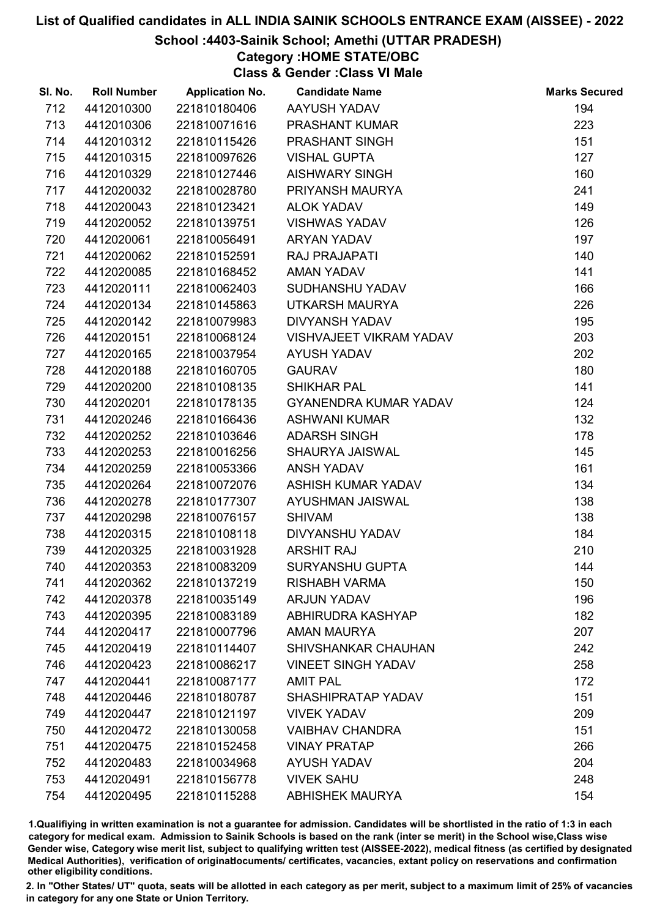## School :4403-Sainik School; Amethi (UTTAR PRADESH)

Category :HOME STATE/OBC

Class & Gender :Class VI Male

| SI. No. | <b>Roll Number</b> | <b>Application No.</b> | <b>Candidate Name</b>          | <b>Marks Secured</b> |
|---------|--------------------|------------------------|--------------------------------|----------------------|
| 712     | 4412010300         | 221810180406           | AAYUSH YADAV                   | 194                  |
| 713     | 4412010306         | 221810071616           | <b>PRASHANT KUMAR</b>          | 223                  |
| 714     | 4412010312         | 221810115426           | PRASHANT SINGH                 | 151                  |
| 715     | 4412010315         | 221810097626           | <b>VISHAL GUPTA</b>            | 127                  |
| 716     | 4412010329         | 221810127446           | <b>AISHWARY SINGH</b>          | 160                  |
| 717     | 4412020032         | 221810028780           | PRIYANSH MAURYA                | 241                  |
| 718     | 4412020043         | 221810123421           | <b>ALOK YADAV</b>              | 149                  |
| 719     | 4412020052         | 221810139751           | <b>VISHWAS YADAV</b>           | 126                  |
| 720     | 4412020061         | 221810056491           | <b>ARYAN YADAV</b>             | 197                  |
| 721     | 4412020062         | 221810152591           | RAJ PRAJAPATI                  | 140                  |
| 722     | 4412020085         | 221810168452           | <b>AMAN YADAV</b>              | 141                  |
| 723     | 4412020111         | 221810062403           | SUDHANSHU YADAV                | 166                  |
| 724     | 4412020134         | 221810145863           | UTKARSH MAURYA                 | 226                  |
| 725     | 4412020142         | 221810079983           | <b>DIVYANSH YADAV</b>          | 195                  |
| 726     | 4412020151         | 221810068124           | <b>VISHVAJEET VIKRAM YADAV</b> | 203                  |
| 727     | 4412020165         | 221810037954           | <b>AYUSH YADAV</b>             | 202                  |
| 728     | 4412020188         | 221810160705           | <b>GAURAV</b>                  | 180                  |
| 729     | 4412020200         | 221810108135           | <b>SHIKHAR PAL</b>             | 141                  |
| 730     | 4412020201         | 221810178135           | <b>GYANENDRA KUMAR YADAV</b>   | 124                  |
| 731     | 4412020246         | 221810166436           | <b>ASHWANI KUMAR</b>           | 132                  |
| 732     | 4412020252         | 221810103646           | <b>ADARSH SINGH</b>            | 178                  |
| 733     | 4412020253         | 221810016256           | SHAURYA JAISWAL                | 145                  |
| 734     | 4412020259         | 221810053366           | <b>ANSH YADAV</b>              | 161                  |
| 735     | 4412020264         | 221810072076           | ASHISH KUMAR YADAV             | 134                  |
| 736     | 4412020278         | 221810177307           | AYUSHMAN JAISWAL               | 138                  |
| 737     | 4412020298         | 221810076157           | <b>SHIVAM</b>                  | 138                  |
| 738     | 4412020315         | 221810108118           | DIVYANSHU YADAV                | 184                  |
| 739     | 4412020325         | 221810031928           | <b>ARSHIT RAJ</b>              | 210                  |
| 740     | 4412020353         | 221810083209           | <b>SURYANSHU GUPTA</b>         | 144                  |
| 741     | 4412020362         | 221810137219           | <b>RISHABH VARMA</b>           | 150                  |
| 742     | 4412020378         | 221810035149           | <b>ARJUN YADAV</b>             | 196                  |
| 743     | 4412020395         | 221810083189           | ABHIRUDRA KASHYAP              | 182                  |
| 744     | 4412020417         | 221810007796           | <b>AMAN MAURYA</b>             | 207                  |
| 745     | 4412020419         | 221810114407           | SHIVSHANKAR CHAUHAN            | 242                  |
| 746     | 4412020423         | 221810086217           | <b>VINEET SINGH YADAV</b>      | 258                  |
| 747     | 4412020441         | 221810087177           | <b>AMIT PAL</b>                | 172                  |
| 748     | 4412020446         | 221810180787           | SHASHIPRATAP YADAV             | 151                  |
| 749     | 4412020447         | 221810121197           | <b>VIVEK YADAV</b>             | 209                  |
| 750     | 4412020472         | 221810130058           | <b>VAIBHAV CHANDRA</b>         | 151                  |
| 751     | 4412020475         | 221810152458           | <b>VINAY PRATAP</b>            | 266                  |
| 752     | 4412020483         | 221810034968           | <b>AYUSH YADAV</b>             | 204                  |
| 753     | 4412020491         | 221810156778           | <b>VIVEK SAHU</b>              | 248                  |
| 754     | 4412020495         | 221810115288           | <b>ABHISHEK MAURYA</b>         | 154                  |

1.Qualifiying in written examination is not a guarantee for admission. Candidates will be shortlisted in the ratio of 1:3 in each category for medical exam. Admission to Sainik Schools is based on the rank (inter se merit) in the School wise,Class wise Gender wise, Category wise merit list, subject to qualifying written test (AISSEE-2022), medical fitness (as certified by designated Medical Authorities), verification of originablocuments/ certificates, vacancies, extant policy on reservations and confirmation other eligibility conditions.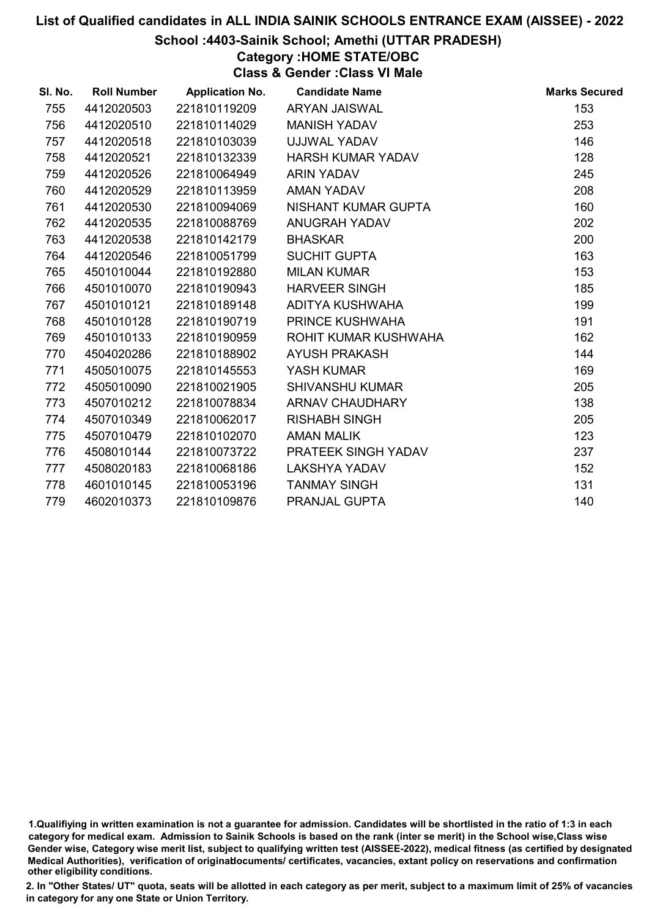### School :4403-Sainik School; Amethi (UTTAR PRADESH)

## Category :HOME STATE/OBC

Class & Gender :Class VI Male

| SI. No. | <b>Roll Number</b> | <b>Application No.</b> | <b>Candidate Name</b>    | <b>Marks Secured</b> |
|---------|--------------------|------------------------|--------------------------|----------------------|
| 755     | 4412020503         | 221810119209           | <b>ARYAN JAISWAL</b>     | 153                  |
| 756     | 4412020510         | 221810114029           | <b>MANISH YADAV</b>      | 253                  |
| 757     | 4412020518         | 221810103039           | UJJWAL YADAV             | 146                  |
| 758     | 4412020521         | 221810132339           | <b>HARSH KUMAR YADAV</b> | 128                  |
| 759     | 4412020526         | 221810064949           | <b>ARIN YADAV</b>        | 245                  |
| 760     | 4412020529         | 221810113959           | <b>AMAN YADAV</b>        | 208                  |
| 761     | 4412020530         | 221810094069           | NISHANT KUMAR GUPTA      | 160                  |
| 762     | 4412020535         | 221810088769           | <b>ANUGRAH YADAV</b>     | 202                  |
| 763     | 4412020538         | 221810142179           | <b>BHASKAR</b>           | 200                  |
| 764     | 4412020546         | 221810051799           | <b>SUCHIT GUPTA</b>      | 163                  |
| 765     | 4501010044         | 221810192880           | <b>MILAN KUMAR</b>       | 153                  |
| 766     | 4501010070         | 221810190943           | <b>HARVEER SINGH</b>     | 185                  |
| 767     | 4501010121         | 221810189148           | ADITYA KUSHWAHA          | 199                  |
| 768     | 4501010128         | 221810190719           | <b>PRINCE KUSHWAHA</b>   | 191                  |
| 769     | 4501010133         | 221810190959           | ROHIT KUMAR KUSHWAHA     | 162                  |
| 770     | 4504020286         | 221810188902           | <b>AYUSH PRAKASH</b>     | 144                  |
| 771     | 4505010075         | 221810145553           | YASH KUMAR               | 169                  |
| 772     | 4505010090         | 221810021905           | <b>SHIVANSHU KUMAR</b>   | 205                  |
| 773     | 4507010212         | 221810078834           | ARNAV CHAUDHARY          | 138                  |
| 774     | 4507010349         | 221810062017           | <b>RISHABH SINGH</b>     | 205                  |
| 775     | 4507010479         | 221810102070           | <b>AMAN MALIK</b>        | 123                  |
| 776     | 4508010144         | 221810073722           | PRATEEK SINGH YADAV      | 237                  |
| 777     | 4508020183         | 221810068186           | <b>LAKSHYA YADAV</b>     | 152                  |
| 778     | 4601010145         | 221810053196           | <b>TANMAY SINGH</b>      | 131                  |
| 779     | 4602010373         | 221810109876           | PRANJAL GUPTA            | 140                  |

<sup>1.</sup>Qualifiying in written examination is not a guarantee for admission. Candidates will be shortlisted in the ratio of 1:3 in each category for medical exam. Admission to Sainik Schools is based on the rank (inter se merit) in the School wise,Class wise Gender wise, Category wise merit list, subject to qualifying written test (AISSEE-2022), medical fitness (as certified by designated Medical Authorities), verification of originablocuments/ certificates, vacancies, extant policy on reservations and confirmation other eligibility conditions.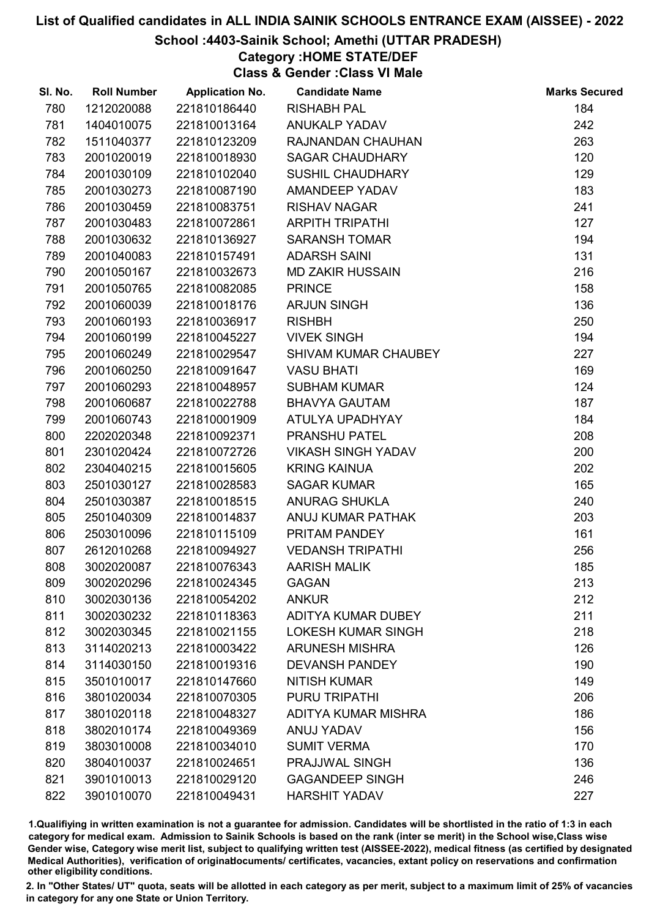# School :4403-Sainik School; Amethi (UTTAR PRADESH)

Category :HOME STATE/DEF

Class & Gender :Class VI Male

| <b>Roll Number</b><br>SI. No. | <b>Application No.</b> | <b>Candidate Name</b>     | <b>Marks Secured</b> |
|-------------------------------|------------------------|---------------------------|----------------------|
| 780<br>1212020088             | 221810186440           | <b>RISHABH PAL</b>        | 184                  |
| 1404010075<br>781             | 221810013164           | <b>ANUKALP YADAV</b>      | 242                  |
| 782<br>1511040377             | 221810123209           | RAJNANDAN CHAUHAN         | 263                  |
| 2001020019<br>783             | 221810018930           | <b>SAGAR CHAUDHARY</b>    | 120                  |
| 2001030109<br>784             | 221810102040           | <b>SUSHIL CHAUDHARY</b>   | 129                  |
| 2001030273<br>785             | 221810087190           | <b>AMANDEEP YADAV</b>     | 183                  |
| 2001030459<br>786             | 221810083751           | <b>RISHAV NAGAR</b>       | 241                  |
| 787<br>2001030483             | 221810072861           | <b>ARPITH TRIPATHI</b>    | 127                  |
| 788<br>2001030632             | 221810136927           | <b>SARANSH TOMAR</b>      | 194                  |
| 2001040083<br>789             | 221810157491           | <b>ADARSH SAINI</b>       | 131                  |
| 2001050167<br>790             | 221810032673           | <b>MD ZAKIR HUSSAIN</b>   | 216                  |
| 791<br>2001050765             | 221810082085           | <b>PRINCE</b>             | 158                  |
| 792<br>2001060039             | 221810018176           | <b>ARJUN SINGH</b>        | 136                  |
| 2001060193<br>793             | 221810036917           | <b>RISHBH</b>             | 250                  |
| 2001060199<br>794             | 221810045227           | <b>VIVEK SINGH</b>        | 194                  |
| 795<br>2001060249             | 221810029547           | SHIVAM KUMAR CHAUBEY      | 227                  |
| 2001060250<br>796             | 221810091647           | <b>VASU BHATI</b>         | 169                  |
| 2001060293<br>797             | 221810048957           | <b>SUBHAM KUMAR</b>       | 124                  |
| 798<br>2001060687             | 221810022788           | <b>BHAVYA GAUTAM</b>      | 187                  |
| 2001060743<br>799             | 221810001909           | ATULYA UPADHYAY           | 184                  |
| 800<br>2202020348             | 221810092371           | PRANSHU PATEL             | 208                  |
| 2301020424<br>801             | 221810072726           | <b>VIKASH SINGH YADAV</b> | 200                  |
| 802<br>2304040215             | 221810015605           | <b>KRING KAINUA</b>       | 202                  |
| 803<br>2501030127             | 221810028583           | <b>SAGAR KUMAR</b>        | 165                  |
| 804<br>2501030387             | 221810018515           | <b>ANURAG SHUKLA</b>      | 240                  |
| 805<br>2501040309             | 221810014837           | ANUJ KUMAR PATHAK         | 203                  |
| 806<br>2503010096             | 221810115109           | PRITAM PANDEY             | 161                  |
| 807<br>2612010268             | 221810094927           | <b>VEDANSH TRIPATHI</b>   | 256                  |
| 808<br>3002020087             | 221810076343           | <b>AARISH MALIK</b>       | 185                  |
| 809<br>3002020296             | 221810024345           | <b>GAGAN</b>              | 213                  |
| 810<br>3002030136             | 221810054202           | <b>ANKUR</b>              | 212                  |
| 811<br>3002030232             | 221810118363           | <b>ADITYA KUMAR DUBEY</b> | 211                  |
| 812<br>3002030345             | 221810021155           | <b>LOKESH KUMAR SINGH</b> | 218                  |
| 813<br>3114020213             | 221810003422           | <b>ARUNESH MISHRA</b>     | 126                  |
| 814<br>3114030150             | 221810019316           | <b>DEVANSH PANDEY</b>     | 190                  |
| 815<br>3501010017             | 221810147660           | <b>NITISH KUMAR</b>       | 149                  |
| 816<br>3801020034             | 221810070305           | PURU TRIPATHI             | 206                  |
| 817<br>3801020118             | 221810048327           | ADITYA KUMAR MISHRA       | 186                  |
| 818<br>3802010174             | 221810049369           | ANUJ YADAV                | 156                  |
| 819<br>3803010008             | 221810034010           | <b>SUMIT VERMA</b>        | 170                  |
| 820<br>3804010037             | 221810024651           | PRAJJWAL SINGH            | 136                  |
| 821<br>3901010013             | 221810029120           | <b>GAGANDEEP SINGH</b>    | 246                  |
| 822<br>3901010070             | 221810049431           | <b>HARSHIT YADAV</b>      | 227                  |

1.Qualifiying in written examination is not a guarantee for admission. Candidates will be shortlisted in the ratio of 1:3 in each category for medical exam. Admission to Sainik Schools is based on the rank (inter se merit) in the School wise,Class wise Gender wise, Category wise merit list, subject to qualifying written test (AISSEE-2022), medical fitness (as certified by designated Medical Authorities), verification of originablocuments/ certificates, vacancies, extant policy on reservations and confirmation other eligibility conditions.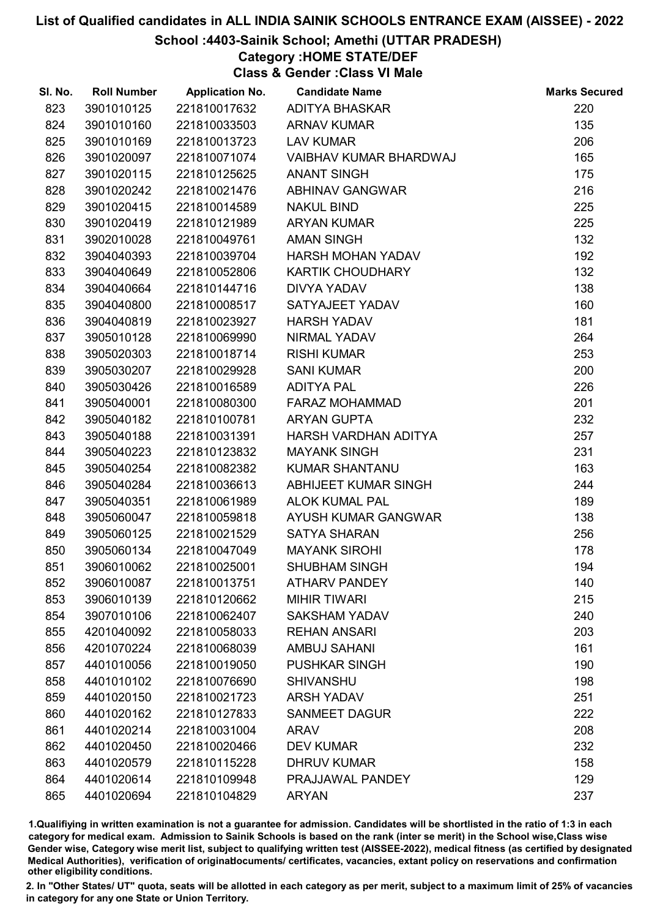# School :4403-Sainik School; Amethi (UTTAR PRADESH)

## Category :HOME STATE/DEF

Class & Gender :Class VI Male

| SI. No. | <b>Roll Number</b> | <b>Application No.</b> | <b>Candidate Name</b>   | <b>Marks Secured</b> |
|---------|--------------------|------------------------|-------------------------|----------------------|
| 823     | 3901010125         | 221810017632           | <b>ADITYA BHASKAR</b>   | 220                  |
| 824     | 3901010160         | 221810033503           | <b>ARNAV KUMAR</b>      | 135                  |
| 825     | 3901010169         | 221810013723           | <b>LAV KUMAR</b>        | 206                  |
| 826     | 3901020097         | 221810071074           | VAIBHAV KUMAR BHARDWAJ  | 165                  |
| 827     | 3901020115         | 221810125625           | <b>ANANT SINGH</b>      | 175                  |
| 828     | 3901020242         | 221810021476           | <b>ABHINAV GANGWAR</b>  | 216                  |
| 829     | 3901020415         | 221810014589           | <b>NAKUL BIND</b>       | 225                  |
| 830     | 3901020419         | 221810121989           | <b>ARYAN KUMAR</b>      | 225                  |
| 831     | 3902010028         | 221810049761           | <b>AMAN SINGH</b>       | 132                  |
| 832     | 3904040393         | 221810039704           | HARSH MOHAN YADAV       | 192                  |
| 833     | 3904040649         | 221810052806           | <b>KARTIK CHOUDHARY</b> | 132                  |
| 834     | 3904040664         | 221810144716           | <b>DIVYA YADAV</b>      | 138                  |
| 835     | 3904040800         | 221810008517           | SATYAJEET YADAV         | 160                  |
| 836     | 3904040819         | 221810023927           | <b>HARSH YADAV</b>      | 181                  |
| 837     | 3905010128         | 221810069990           | NIRMAL YADAV            | 264                  |
| 838     | 3905020303         | 221810018714           | <b>RISHI KUMAR</b>      | 253                  |
| 839     | 3905030207         | 221810029928           | <b>SANI KUMAR</b>       | 200                  |
| 840     | 3905030426         | 221810016589           | <b>ADITYA PAL</b>       | 226                  |
| 841     | 3905040001         | 221810080300           | <b>FARAZ MOHAMMAD</b>   | 201                  |
| 842     | 3905040182         | 221810100781           | <b>ARYAN GUPTA</b>      | 232                  |
| 843     | 3905040188         | 221810031391           | HARSH VARDHAN ADITYA    | 257                  |
| 844     | 3905040223         | 221810123832           | <b>MAYANK SINGH</b>     | 231                  |
| 845     | 3905040254         | 221810082382           | <b>KUMAR SHANTANU</b>   | 163                  |
| 846     | 3905040284         | 221810036613           | ABHIJEET KUMAR SINGH    | 244                  |
| 847     | 3905040351         | 221810061989           | <b>ALOK KUMAL PAL</b>   | 189                  |
| 848     | 3905060047         | 221810059818           | AYUSH KUMAR GANGWAR     | 138                  |
| 849     | 3905060125         | 221810021529           | <b>SATYA SHARAN</b>     | 256                  |
| 850     | 3905060134         | 221810047049           | <b>MAYANK SIROHI</b>    | 178                  |
| 851     | 3906010062         | 221810025001           | <b>SHUBHAM SINGH</b>    | 194                  |
| 852     | 3906010087         | 221810013751           | <b>ATHARV PANDEY</b>    | 140                  |
| 853     | 3906010139         | 221810120662           | <b>MIHIR TIWARI</b>     | 215                  |
| 854     | 3907010106         | 221810062407           | <b>SAKSHAM YADAV</b>    | 240                  |
| 855     | 4201040092         | 221810058033           | <b>REHAN ANSARI</b>     | 203                  |
| 856     | 4201070224         | 221810068039           | <b>AMBUJ SAHANI</b>     | 161                  |
| 857     | 4401010056         | 221810019050           | <b>PUSHKAR SINGH</b>    | 190                  |
| 858     | 4401010102         | 221810076690           | <b>SHIVANSHU</b>        | 198                  |
| 859     | 4401020150         | 221810021723           | <b>ARSH YADAV</b>       | 251                  |
| 860     | 4401020162         | 221810127833           | <b>SANMEET DAGUR</b>    | 222                  |
| 861     | 4401020214         | 221810031004           | ARAV                    | 208                  |
| 862     | 4401020450         | 221810020466           | <b>DEV KUMAR</b>        | 232                  |
| 863     | 4401020579         | 221810115228           | <b>DHRUV KUMAR</b>      | 158                  |
| 864     | 4401020614         | 221810109948           | PRAJJAWAL PANDEY        | 129                  |
| 865     | 4401020694         | 221810104829           | <b>ARYAN</b>            | 237                  |

1.Qualifiying in written examination is not a guarantee for admission. Candidates will be shortlisted in the ratio of 1:3 in each category for medical exam. Admission to Sainik Schools is based on the rank (inter se merit) in the School wise,Class wise Gender wise, Category wise merit list, subject to qualifying written test (AISSEE-2022), medical fitness (as certified by designated Medical Authorities), verification of originablocuments/ certificates, vacancies, extant policy on reservations and confirmation other eligibility conditions.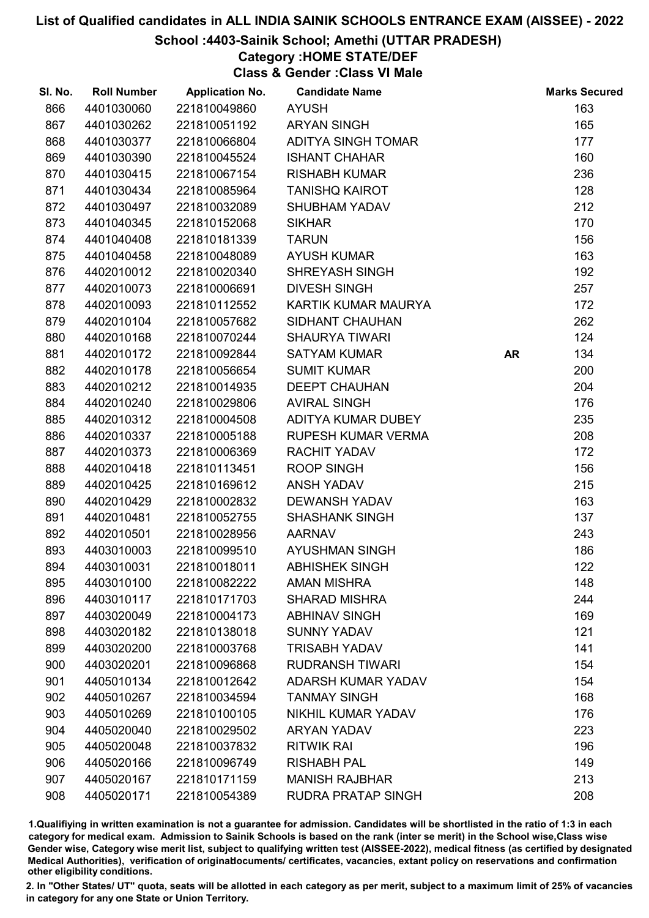# School :4403-Sainik School; Amethi (UTTAR PRADESH)

## Category :HOME STATE/DEF

Class & Gender :Class VI Male

| SI. No. | <b>Roll Number</b> | <b>Application No.</b> | <b>Candidate Name</b>     |           | <b>Marks Secured</b> |
|---------|--------------------|------------------------|---------------------------|-----------|----------------------|
| 866     | 4401030060         | 221810049860           | <b>AYUSH</b>              |           | 163                  |
| 867     | 4401030262         | 221810051192           | <b>ARYAN SINGH</b>        |           | 165                  |
| 868     | 4401030377         | 221810066804           | <b>ADITYA SINGH TOMAR</b> |           | 177                  |
| 869     | 4401030390         | 221810045524           | <b>ISHANT CHAHAR</b>      |           | 160                  |
| 870     | 4401030415         | 221810067154           | <b>RISHABH KUMAR</b>      |           | 236                  |
| 871     | 4401030434         | 221810085964           | <b>TANISHQ KAIROT</b>     |           | 128                  |
| 872     | 4401030497         | 221810032089           | <b>SHUBHAM YADAV</b>      |           | 212                  |
| 873     | 4401040345         | 221810152068           | <b>SIKHAR</b>             |           | 170                  |
| 874     | 4401040408         | 221810181339           | <b>TARUN</b>              |           | 156                  |
| 875     | 4401040458         | 221810048089           | <b>AYUSH KUMAR</b>        |           | 163                  |
| 876     | 4402010012         | 221810020340           | <b>SHREYASH SINGH</b>     |           | 192                  |
| 877     | 4402010073         | 221810006691           | <b>DIVESH SINGH</b>       |           | 257                  |
| 878     | 4402010093         | 221810112552           | KARTIK KUMAR MAURYA       |           | 172                  |
| 879     | 4402010104         | 221810057682           | SIDHANT CHAUHAN           |           | 262                  |
| 880     | 4402010168         | 221810070244           | <b>SHAURYA TIWARI</b>     |           | 124                  |
| 881     | 4402010172         | 221810092844           | <b>SATYAM KUMAR</b>       | <b>AR</b> | 134                  |
| 882     | 4402010178         | 221810056654           | <b>SUMIT KUMAR</b>        |           | 200                  |
| 883     | 4402010212         | 221810014935           | <b>DEEPT CHAUHAN</b>      |           | 204                  |
| 884     | 4402010240         | 221810029806           | <b>AVIRAL SINGH</b>       |           | 176                  |
| 885     | 4402010312         | 221810004508           | ADITYA KUMAR DUBEY        |           | 235                  |
| 886     | 4402010337         | 221810005188           | <b>RUPESH KUMAR VERMA</b> |           | 208                  |
| 887     | 4402010373         | 221810006369           | <b>RACHIT YADAV</b>       |           | 172                  |
| 888     | 4402010418         | 221810113451           | <b>ROOP SINGH</b>         |           | 156                  |
| 889     | 4402010425         | 221810169612           | <b>ANSH YADAV</b>         |           | 215                  |
| 890     | 4402010429         | 221810002832           | <b>DEWANSH YADAV</b>      |           | 163                  |
| 891     | 4402010481         | 221810052755           | <b>SHASHANK SINGH</b>     |           | 137                  |
| 892     | 4402010501         | 221810028956           | <b>AARNAV</b>             |           | 243                  |
| 893     | 4403010003         | 221810099510           | <b>AYUSHMAN SINGH</b>     |           | 186                  |
| 894     | 4403010031         | 221810018011           | <b>ABHISHEK SINGH</b>     |           | 122                  |
| 895     | 4403010100         | 221810082222           | <b>AMAN MISHRA</b>        |           | 148                  |
| 896     | 4403010117         | 221810171703           | <b>SHARAD MISHRA</b>      |           | 244                  |
| 897     | 4403020049         | 221810004173           | <b>ABHINAV SINGH</b>      |           | 169                  |
| 898     | 4403020182         | 221810138018           | <b>SUNNY YADAV</b>        |           | 121                  |
| 899     | 4403020200         | 221810003768           | <b>TRISABH YADAV</b>      |           | 141                  |
| 900     | 4403020201         | 221810096868           | <b>RUDRANSH TIWARI</b>    |           | 154                  |
| 901     | 4405010134         | 221810012642           | <b>ADARSH KUMAR YADAV</b> |           | 154                  |
| 902     | 4405010267         | 221810034594           | <b>TANMAY SINGH</b>       |           | 168                  |
| 903     | 4405010269         | 221810100105           | NIKHIL KUMAR YADAV        |           | 176                  |
| 904     | 4405020040         | 221810029502           | <b>ARYAN YADAV</b>        |           | 223                  |
| 905     | 4405020048         | 221810037832           | <b>RITWIK RAI</b>         |           | 196                  |
| 906     | 4405020166         | 221810096749           | <b>RISHABH PAL</b>        |           | 149                  |
| 907     | 4405020167         | 221810171159           | <b>MANISH RAJBHAR</b>     |           | 213                  |
| 908     | 4405020171         | 221810054389           | <b>RUDRA PRATAP SINGH</b> |           | 208                  |

1.Qualifiying in written examination is not a guarantee for admission. Candidates will be shortlisted in the ratio of 1:3 in each category for medical exam. Admission to Sainik Schools is based on the rank (inter se merit) in the School wise,Class wise Gender wise, Category wise merit list, subject to qualifying written test (AISSEE-2022), medical fitness (as certified by designated Medical Authorities), verification of originablocuments/ certificates, vacancies, extant policy on reservations and confirmation other eligibility conditions.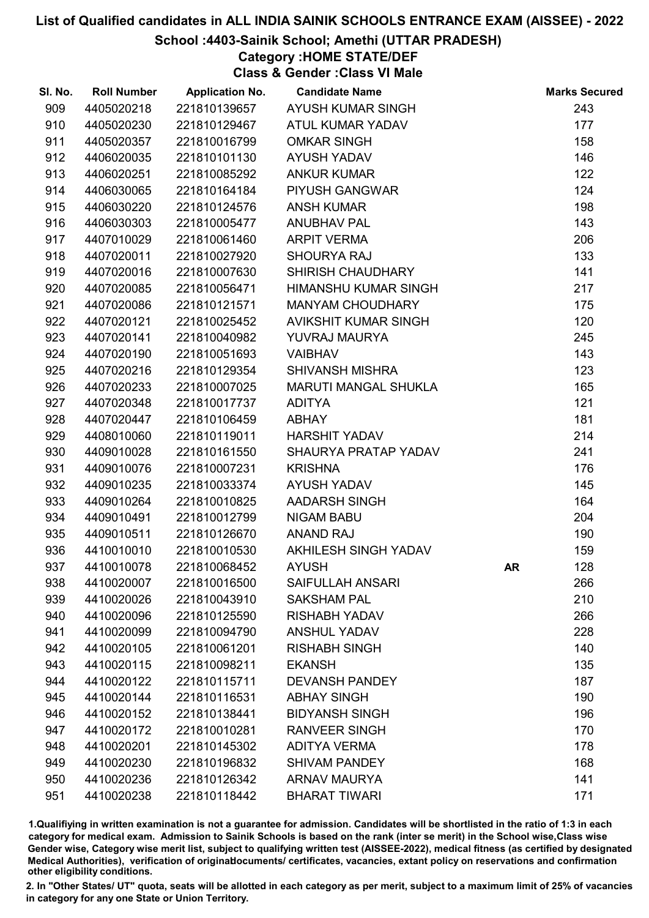# School :4403-Sainik School; Amethi (UTTAR PRADESH)

Category :HOME STATE/DEF

Class & Gender :Class VI Male

| SI. No. | <b>Roll Number</b> | <b>Application No.</b> | <b>Candidate Name</b>       |    | <b>Marks Secured</b> |
|---------|--------------------|------------------------|-----------------------------|----|----------------------|
| 909     | 4405020218         | 221810139657           | AYUSH KUMAR SINGH           |    | 243                  |
| 910     | 4405020230         | 221810129467           | ATUL KUMAR YADAV            |    | 177                  |
| 911     | 4405020357         | 221810016799           | <b>OMKAR SINGH</b>          |    | 158                  |
| 912     | 4406020035         | 221810101130           | <b>AYUSH YADAV</b>          |    | 146                  |
| 913     | 4406020251         | 221810085292           | <b>ANKUR KUMAR</b>          |    | 122                  |
| 914     | 4406030065         | 221810164184           | PIYUSH GANGWAR              |    | 124                  |
| 915     | 4406030220         | 221810124576           | <b>ANSH KUMAR</b>           |    | 198                  |
| 916     | 4406030303         | 221810005477           | <b>ANUBHAV PAL</b>          |    | 143                  |
| 917     | 4407010029         | 221810061460           | <b>ARPIT VERMA</b>          |    | 206                  |
| 918     | 4407020011         | 221810027920           | <b>SHOURYA RAJ</b>          |    | 133                  |
| 919     | 4407020016         | 221810007630           | <b>SHIRISH CHAUDHARY</b>    |    | 141                  |
| 920     | 4407020085         | 221810056471           | HIMANSHU KUMAR SINGH        |    | 217                  |
| 921     | 4407020086         | 221810121571           | <b>MANYAM CHOUDHARY</b>     |    | 175                  |
| 922     | 4407020121         | 221810025452           | <b>AVIKSHIT KUMAR SINGH</b> |    | 120                  |
| 923     | 4407020141         | 221810040982           | YUVRAJ MAURYA               |    | 245                  |
| 924     | 4407020190         | 221810051693           | <b>VAIBHAV</b>              |    | 143                  |
| 925     | 4407020216         | 221810129354           | <b>SHIVANSH MISHRA</b>      |    | 123                  |
| 926     | 4407020233         | 221810007025           | <b>MARUTI MANGAL SHUKLA</b> |    | 165                  |
| 927     | 4407020348         | 221810017737           | <b>ADITYA</b>               |    | 121                  |
| 928     | 4407020447         | 221810106459           | <b>ABHAY</b>                |    | 181                  |
| 929     | 4408010060         | 221810119011           | <b>HARSHIT YADAV</b>        |    | 214                  |
| 930     | 4409010028         | 221810161550           | SHAURYA PRATAP YADAV        |    | 241                  |
| 931     | 4409010076         | 221810007231           | <b>KRISHNA</b>              |    | 176                  |
| 932     | 4409010235         | 221810033374           | <b>AYUSH YADAV</b>          |    | 145                  |
| 933     | 4409010264         | 221810010825           | AADARSH SINGH               |    | 164                  |
| 934     | 4409010491         | 221810012799           | <b>NIGAM BABU</b>           |    | 204                  |
| 935     | 4409010511         | 221810126670           | <b>ANAND RAJ</b>            |    | 190                  |
| 936     | 4410010010         | 221810010530           | AKHILESH SINGH YADAV        |    | 159                  |
| 937     | 4410010078         | 221810068452           | <b>AYUSH</b>                | AR | 128                  |
| 938     | 4410020007         | 221810016500           | <b>SAIFULLAH ANSARI</b>     |    | 266                  |
| 939     | 4410020026         | 221810043910           | <b>SAKSHAM PAL</b>          |    | 210                  |
| 940     | 4410020096         | 221810125590           | <b>RISHABH YADAV</b>        |    | 266                  |
| 941     | 4410020099         | 221810094790           | <b>ANSHUL YADAV</b>         |    | 228                  |
| 942     | 4410020105         | 221810061201           | <b>RISHABH SINGH</b>        |    | 140                  |
| 943     | 4410020115         | 221810098211           | <b>EKANSH</b>               |    | 135                  |
| 944     | 4410020122         | 221810115711           | <b>DEVANSH PANDEY</b>       |    | 187                  |
| 945     | 4410020144         | 221810116531           | <b>ABHAY SINGH</b>          |    | 190                  |
| 946     | 4410020152         | 221810138441           | <b>BIDYANSH SINGH</b>       |    | 196                  |
| 947     | 4410020172         | 221810010281           | <b>RANVEER SINGH</b>        |    | 170                  |
| 948     | 4410020201         | 221810145302           | <b>ADITYA VERMA</b>         |    | 178                  |
| 949     | 4410020230         | 221810196832           | <b>SHIVAM PANDEY</b>        |    | 168                  |
| 950     | 4410020236         | 221810126342           | <b>ARNAV MAURYA</b>         |    | 141                  |
| 951     | 4410020238         | 221810118442           | <b>BHARAT TIWARI</b>        |    | 171                  |

1.Qualifiying in written examination is not a guarantee for admission. Candidates will be shortlisted in the ratio of 1:3 in each category for medical exam. Admission to Sainik Schools is based on the rank (inter se merit) in the School wise,Class wise Gender wise, Category wise merit list, subject to qualifying written test (AISSEE-2022), medical fitness (as certified by designated Medical Authorities), verification of originablocuments/ certificates, vacancies, extant policy on reservations and confirmation other eligibility conditions.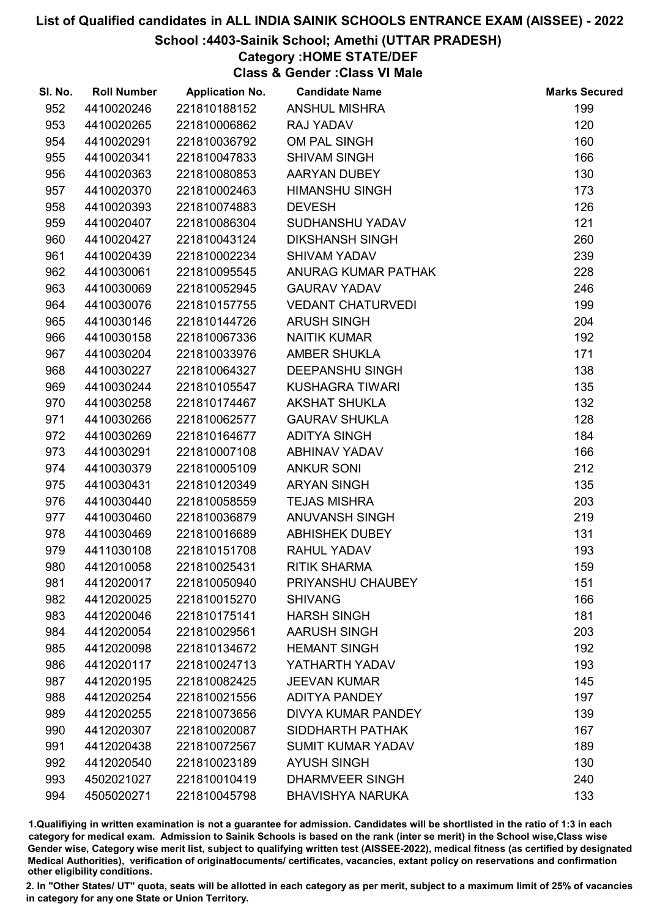# School :4403-Sainik School; Amethi (UTTAR PRADESH)

## Category :HOME STATE/DEF

Class & Gender :Class VI Male

| SI. No. | <b>Roll Number</b> | <b>Application No.</b> | <b>Candidate Name</b>     | <b>Marks Secured</b> |
|---------|--------------------|------------------------|---------------------------|----------------------|
| 952     | 4410020246         | 221810188152           | <b>ANSHUL MISHRA</b>      | 199                  |
| 953     | 4410020265         | 221810006862           | RAJ YADAV                 | 120                  |
| 954     | 4410020291         | 221810036792           | OM PAL SINGH              | 160                  |
| 955     | 4410020341         | 221810047833           | <b>SHIVAM SINGH</b>       | 166                  |
| 956     | 4410020363         | 221810080853           | AARYAN DUBEY              | 130                  |
| 957     | 4410020370         | 221810002463           | <b>HIMANSHU SINGH</b>     | 173                  |
| 958     | 4410020393         | 221810074883           | <b>DEVESH</b>             | 126                  |
| 959     | 4410020407         | 221810086304           | SUDHANSHU YADAV           | 121                  |
| 960     | 4410020427         | 221810043124           | <b>DIKSHANSH SINGH</b>    | 260                  |
| 961     | 4410020439         | 221810002234           | <b>SHIVAM YADAV</b>       | 239                  |
| 962     | 4410030061         | 221810095545           | ANURAG KUMAR PATHAK       | 228                  |
| 963     | 4410030069         | 221810052945           | <b>GAURAV YADAV</b>       | 246                  |
| 964     | 4410030076         | 221810157755           | <b>VEDANT CHATURVEDI</b>  | 199                  |
| 965     | 4410030146         | 221810144726           | <b>ARUSH SINGH</b>        | 204                  |
| 966     | 4410030158         | 221810067336           | <b>NAITIK KUMAR</b>       | 192                  |
| 967     | 4410030204         | 221810033976           | <b>AMBER SHUKLA</b>       | 171                  |
| 968     | 4410030227         | 221810064327           | <b>DEEPANSHU SINGH</b>    | 138                  |
| 969     | 4410030244         | 221810105547           | <b>KUSHAGRA TIWARI</b>    | 135                  |
| 970     | 4410030258         | 221810174467           | <b>AKSHAT SHUKLA</b>      | 132                  |
| 971     | 4410030266         | 221810062577           | <b>GAURAV SHUKLA</b>      | 128                  |
| 972     | 4410030269         | 221810164677           | <b>ADITYA SINGH</b>       | 184                  |
| 973     | 4410030291         | 221810007108           | ABHINAV YADAV             | 166                  |
| 974     | 4410030379         | 221810005109           | <b>ANKUR SONI</b>         | 212                  |
| 975     | 4410030431         | 221810120349           | <b>ARYAN SINGH</b>        | 135                  |
| 976     | 4410030440         | 221810058559           | <b>TEJAS MISHRA</b>       | 203                  |
| 977     | 4410030460         | 221810036879           | <b>ANUVANSH SINGH</b>     | 219                  |
| 978     | 4410030469         | 221810016689           | <b>ABHISHEK DUBEY</b>     | 131                  |
| 979     | 4411030108         | 221810151708           | <b>RAHUL YADAV</b>        | 193                  |
| 980     | 4412010058         | 221810025431           | <b>RITIK SHARMA</b>       | 159                  |
| 981     | 4412020017         | 221810050940           | PRIYANSHU CHAUBEY         | 151                  |
| 982     | 4412020025         | 221810015270           | <b>SHIVANG</b>            | 166                  |
| 983     | 4412020046         | 221810175141           | <b>HARSH SINGH</b>        | 181                  |
| 984     | 4412020054         | 221810029561           | <b>AARUSH SINGH</b>       | 203                  |
| 985     | 4412020098         | 221810134672           | <b>HEMANT SINGH</b>       | 192                  |
| 986     | 4412020117         | 221810024713           | YATHARTH YADAV            | 193                  |
| 987     | 4412020195         | 221810082425           | <b>JEEVAN KUMAR</b>       | 145                  |
| 988     | 4412020254         | 221810021556           | <b>ADITYA PANDEY</b>      | 197                  |
| 989     | 4412020255         | 221810073656           | <b>DIVYA KUMAR PANDEY</b> | 139                  |
| 990     | 4412020307         | 221810020087           | SIDDHARTH PATHAK          | 167                  |
| 991     | 4412020438         | 221810072567           | <b>SUMIT KUMAR YADAV</b>  | 189                  |
| 992     | 4412020540         | 221810023189           | <b>AYUSH SINGH</b>        | 130                  |
| 993     | 4502021027         | 221810010419           | <b>DHARMVEER SINGH</b>    | 240                  |
| 994     | 4505020271         | 221810045798           | <b>BHAVISHYA NARUKA</b>   | 133                  |

1.Qualifiying in written examination is not a guarantee for admission. Candidates will be shortlisted in the ratio of 1:3 in each category for medical exam. Admission to Sainik Schools is based on the rank (inter se merit) in the School wise,Class wise Gender wise, Category wise merit list, subject to qualifying written test (AISSEE-2022), medical fitness (as certified by designated Medical Authorities), verification of originablocuments/ certificates, vacancies, extant policy on reservations and confirmation other eligibility conditions.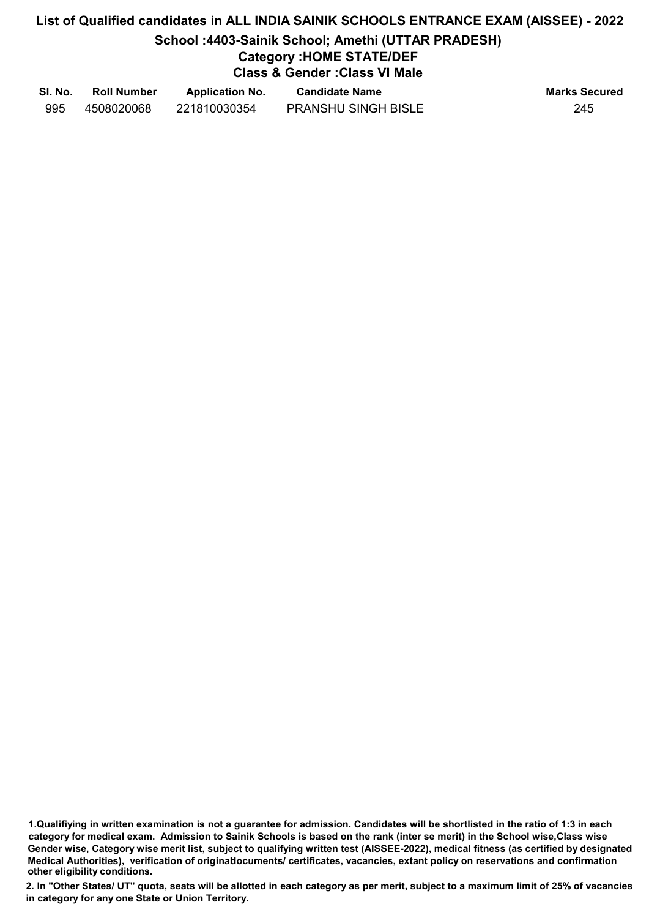# List of Qualified candidates in ALL INDIA SAINIK SCHOOLS ENTRANCE EXAM (AISSEE) - 2022 School :4403-Sainik School; Amethi (UTTAR PRADESH) Category :HOME STATE/DEF Class & Gender :Class VI Male

| SI. No. | <b>Roll Number</b> | <b>Application No.</b> | <b>Candidate Name</b>      | <b>Marks Secured</b> |
|---------|--------------------|------------------------|----------------------------|----------------------|
| 995     | 4508020068         | 221810030354           | <b>PRANSHU SINGH BISLE</b> | 245                  |

1.Qualifiying in written examination is not a guarantee for admission. Candidates will be shortlisted in the ratio of 1:3 in each category for medical exam. Admission to Sainik Schools is based on the rank (inter se merit) in the School wise,Class wise Gender wise, Category wise merit list, subject to qualifying written test (AISSEE-2022), medical fitness (as certified by designated Medical Authorities), verification of originablocuments/ certificates, vacancies, extant policy on reservations and confirmation other eligibility conditions.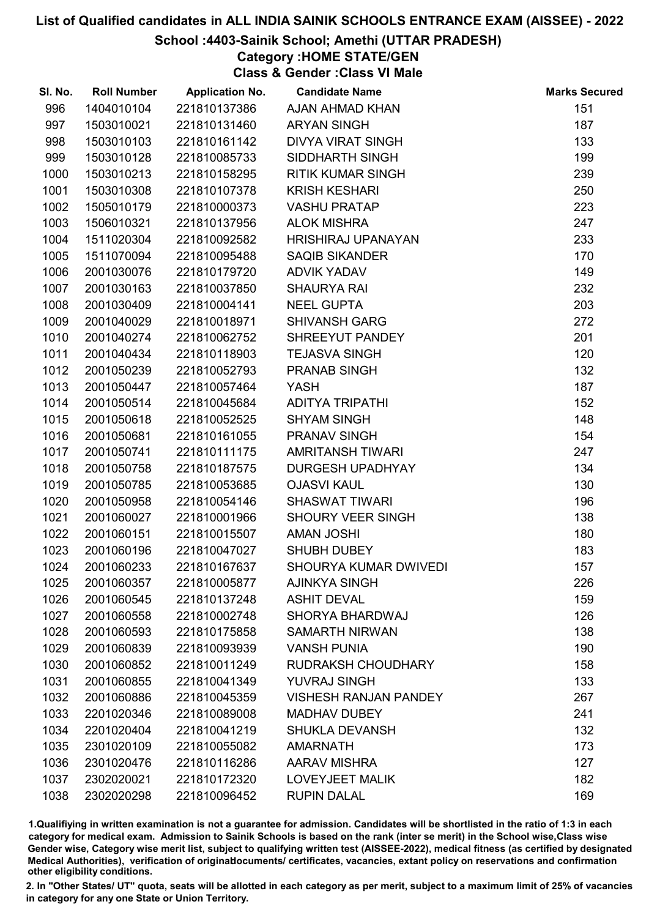## School :4403-Sainik School; Amethi (UTTAR PRADESH)

## Category :HOME STATE/GEN

Class & Gender :Class VI Male

| SI. No. | <b>Roll Number</b> | <b>Application No.</b> | <b>Candidate Name</b>        | <b>Marks Secured</b> |
|---------|--------------------|------------------------|------------------------------|----------------------|
| 996     | 1404010104         | 221810137386           | AJAN AHMAD KHAN              | 151                  |
| 997     | 1503010021         | 221810131460           | <b>ARYAN SINGH</b>           | 187                  |
| 998     | 1503010103         | 221810161142           | <b>DIVYA VIRAT SINGH</b>     | 133                  |
| 999     | 1503010128         | 221810085733           | SIDDHARTH SINGH              | 199                  |
| 1000    | 1503010213         | 221810158295           | <b>RITIK KUMAR SINGH</b>     | 239                  |
| 1001    | 1503010308         | 221810107378           | <b>KRISH KESHARI</b>         | 250                  |
| 1002    | 1505010179         | 221810000373           | <b>VASHU PRATAP</b>          | 223                  |
| 1003    | 1506010321         | 221810137956           | <b>ALOK MISHRA</b>           | 247                  |
| 1004    | 1511020304         | 221810092582           | <b>HRISHIRAJ UPANAYAN</b>    | 233                  |
| 1005    | 1511070094         | 221810095488           | <b>SAQIB SIKANDER</b>        | 170                  |
| 1006    | 2001030076         | 221810179720           | <b>ADVIK YADAV</b>           | 149                  |
| 1007    | 2001030163         | 221810037850           | <b>SHAURYA RAI</b>           | 232                  |
| 1008    | 2001030409         | 221810004141           | <b>NEEL GUPTA</b>            | 203                  |
| 1009    | 2001040029         | 221810018971           | <b>SHIVANSH GARG</b>         | 272                  |
| 1010    | 2001040274         | 221810062752           | SHREEYUT PANDEY              | 201                  |
| 1011    | 2001040434         | 221810118903           | <b>TEJASVA SINGH</b>         | 120                  |
| 1012    | 2001050239         | 221810052793           | PRANAB SINGH                 | 132                  |
| 1013    | 2001050447         | 221810057464           | <b>YASH</b>                  | 187                  |
| 1014    | 2001050514         | 221810045684           | <b>ADITYA TRIPATHI</b>       | 152                  |
| 1015    | 2001050618         | 221810052525           | <b>SHYAM SINGH</b>           | 148                  |
| 1016    | 2001050681         | 221810161055           | <b>PRANAV SINGH</b>          | 154                  |
| 1017    | 2001050741         | 221810111175           | <b>AMRITANSH TIWARI</b>      | 247                  |
| 1018    | 2001050758         | 221810187575           | <b>DURGESH UPADHYAY</b>      | 134                  |
| 1019    | 2001050785         | 221810053685           | <b>OJASVI KAUL</b>           | 130                  |
| 1020    | 2001050958         | 221810054146           | <b>SHASWAT TIWARI</b>        | 196                  |
| 1021    | 2001060027         | 221810001966           | <b>SHOURY VEER SINGH</b>     | 138                  |
| 1022    | 2001060151         | 221810015507           | <b>AMAN JOSHI</b>            | 180                  |
| 1023    | 2001060196         | 221810047027           | <b>SHUBH DUBEY</b>           | 183                  |
| 1024    | 2001060233         | 221810167637           | <b>SHOURYA KUMAR DWIVEDI</b> | 157                  |
| 1025    | 2001060357         | 221810005877           | <b>AJINKYA SINGH</b>         | 226                  |
| 1026    | 2001060545         | 221810137248           | <b>ASHIT DEVAL</b>           | 159                  |
| 1027    | 2001060558         | 221810002748           | SHORYA BHARDWAJ              | 126                  |
| 1028    | 2001060593         | 221810175858           | <b>SAMARTH NIRWAN</b>        | 138                  |
| 1029    | 2001060839         | 221810093939           | <b>VANSH PUNIA</b>           | 190                  |
| 1030    | 2001060852         | 221810011249           | <b>RUDRAKSH CHOUDHARY</b>    | 158                  |
| 1031    | 2001060855         | 221810041349           | YUVRAJ SINGH                 | 133                  |
| 1032    | 2001060886         | 221810045359           | <b>VISHESH RANJAN PANDEY</b> | 267                  |
| 1033    | 2201020346         | 221810089008           | <b>MADHAV DUBEY</b>          | 241                  |
| 1034    | 2201020404         | 221810041219           | <b>SHUKLA DEVANSH</b>        | 132                  |
| 1035    | 2301020109         | 221810055082           | <b>AMARNATH</b>              | 173                  |
| 1036    | 2301020476         | 221810116286           | <b>AARAV MISHRA</b>          | 127                  |
| 1037    | 2302020021         | 221810172320           | <b>LOVEYJEET MALIK</b>       | 182                  |
| 1038    | 2302020298         | 221810096452           | <b>RUPIN DALAL</b>           | 169                  |

1.Qualifiying in written examination is not a guarantee for admission. Candidates will be shortlisted in the ratio of 1:3 in each category for medical exam. Admission to Sainik Schools is based on the rank (inter se merit) in the School wise,Class wise Gender wise, Category wise merit list, subject to qualifying written test (AISSEE-2022), medical fitness (as certified by designated Medical Authorities), verification of originablocuments/ certificates, vacancies, extant policy on reservations and confirmation other eligibility conditions.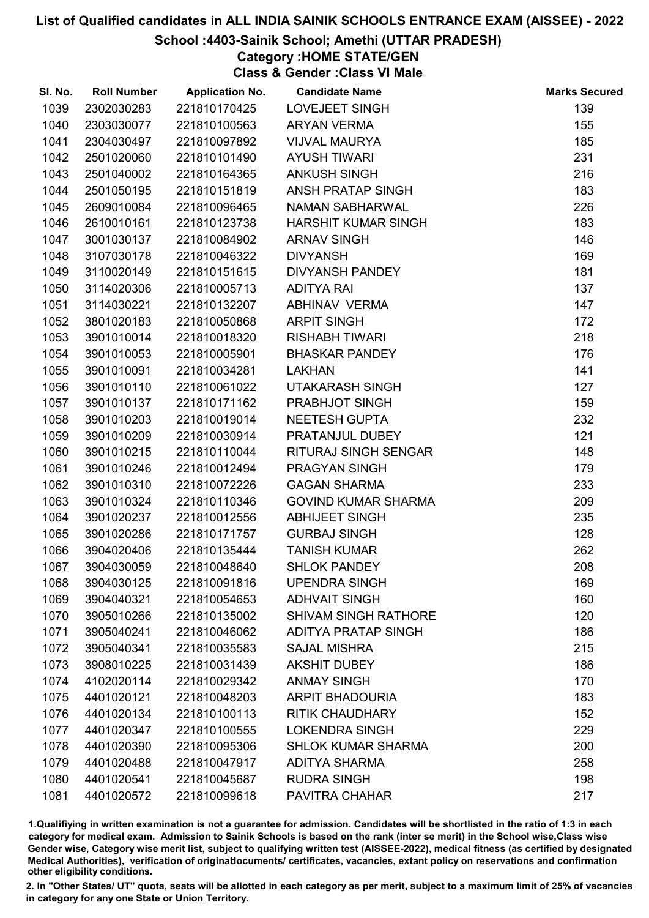### School :4403-Sainik School; Amethi (UTTAR PRADESH)

Category :HOME STATE/GEN

Class & Gender :Class VI Male

| SI. No. | <b>Roll Number</b> | <b>Application No.</b> | <b>Candidate Name</b>       | <b>Marks Secured</b> |
|---------|--------------------|------------------------|-----------------------------|----------------------|
| 1039    | 2302030283         | 221810170425           | LOVEJEET SINGH              | 139                  |
| 1040    | 2303030077         | 221810100563           | <b>ARYAN VERMA</b>          | 155                  |
| 1041    | 2304030497         | 221810097892           | <b>VIJVAL MAURYA</b>        | 185                  |
| 1042    | 2501020060         | 221810101490           | <b>AYUSH TIWARI</b>         | 231                  |
| 1043    | 2501040002         | 221810164365           | <b>ANKUSH SINGH</b>         | 216                  |
| 1044    | 2501050195         | 221810151819           | ANSH PRATAP SINGH           | 183                  |
| 1045    | 2609010084         | 221810096465           | <b>NAMAN SABHARWAL</b>      | 226                  |
| 1046    | 2610010161         | 221810123738           | <b>HARSHIT KUMAR SINGH</b>  | 183                  |
| 1047    | 3001030137         | 221810084902           | <b>ARNAV SINGH</b>          | 146                  |
| 1048    | 3107030178         | 221810046322           | <b>DIVYANSH</b>             | 169                  |
| 1049    | 3110020149         | 221810151615           | DIVYANSH PANDEY             | 181                  |
| 1050    | 3114020306         | 221810005713           | <b>ADITYA RAI</b>           | 137                  |
| 1051    | 3114030221         | 221810132207           | ABHINAV VERMA               | 147                  |
| 1052    | 3801020183         | 221810050868           | <b>ARPIT SINGH</b>          | 172                  |
| 1053    | 3901010014         | 221810018320           | <b>RISHABH TIWARI</b>       | 218                  |
| 1054    | 3901010053         | 221810005901           | <b>BHASKAR PANDEY</b>       | 176                  |
| 1055    | 3901010091         | 221810034281           | <b>LAKHAN</b>               | 141                  |
| 1056    | 3901010110         | 221810061022           | <b>UTAKARASH SINGH</b>      | 127                  |
| 1057    | 3901010137         | 221810171162           | PRABHJOT SINGH              | 159                  |
| 1058    | 3901010203         | 221810019014           | <b>NEETESH GUPTA</b>        | 232                  |
| 1059    | 3901010209         | 221810030914           | PRATANJUL DUBEY             | 121                  |
| 1060    | 3901010215         | 221810110044           | <b>RITURAJ SINGH SENGAR</b> | 148                  |
| 1061    | 3901010246         | 221810012494           | PRAGYAN SINGH               | 179                  |
| 1062    | 3901010310         | 221810072226           | <b>GAGAN SHARMA</b>         | 233                  |
| 1063    | 3901010324         | 221810110346           | <b>GOVIND KUMAR SHARMA</b>  | 209                  |
| 1064    | 3901020237         | 221810012556           | <b>ABHIJEET SINGH</b>       | 235                  |
| 1065    | 3901020286         | 221810171757           | <b>GURBAJ SINGH</b>         | 128                  |
| 1066    | 3904020406         | 221810135444           | <b>TANISH KUMAR</b>         | 262                  |
| 1067    | 3904030059         | 221810048640           | <b>SHLOK PANDEY</b>         | 208                  |
| 1068    | 3904030125         | 221810091816           | <b>UPENDRA SINGH</b>        | 169                  |
| 1069    | 3904040321         | 221810054653           | <b>ADHVAIT SINGH</b>        | 160                  |
| 1070    | 3905010266         | 221810135002           | <b>SHIVAM SINGH RATHORE</b> | 120                  |
| 1071    | 3905040241         | 221810046062           | <b>ADITYA PRATAP SINGH</b>  | 186                  |
| 1072    | 3905040341         | 221810035583           | <b>SAJAL MISHRA</b>         | 215                  |
| 1073    | 3908010225         | 221810031439           | <b>AKSHIT DUBEY</b>         | 186                  |
| 1074    | 4102020114         | 221810029342           | <b>ANMAY SINGH</b>          | 170                  |
| 1075    | 4401020121         | 221810048203           | <b>ARPIT BHADOURIA</b>      | 183                  |
| 1076    | 4401020134         | 221810100113           | <b>RITIK CHAUDHARY</b>      | 152                  |
| 1077    | 4401020347         | 221810100555           | <b>LOKENDRA SINGH</b>       | 229                  |
| 1078    | 4401020390         | 221810095306           | <b>SHLOK KUMAR SHARMA</b>   | 200                  |
| 1079    | 4401020488         | 221810047917           | <b>ADITYA SHARMA</b>        | 258                  |
| 1080    | 4401020541         | 221810045687           | <b>RUDRA SINGH</b>          | 198                  |
| 1081    | 4401020572         | 221810099618           | PAVITRA CHAHAR              | 217                  |

1.Qualifiying in written examination is not a guarantee for admission. Candidates will be shortlisted in the ratio of 1:3 in each category for medical exam. Admission to Sainik Schools is based on the rank (inter se merit) in the School wise,Class wise Gender wise, Category wise merit list, subject to qualifying written test (AISSEE-2022), medical fitness (as certified by designated Medical Authorities), verification of originablocuments/ certificates, vacancies, extant policy on reservations and confirmation other eligibility conditions.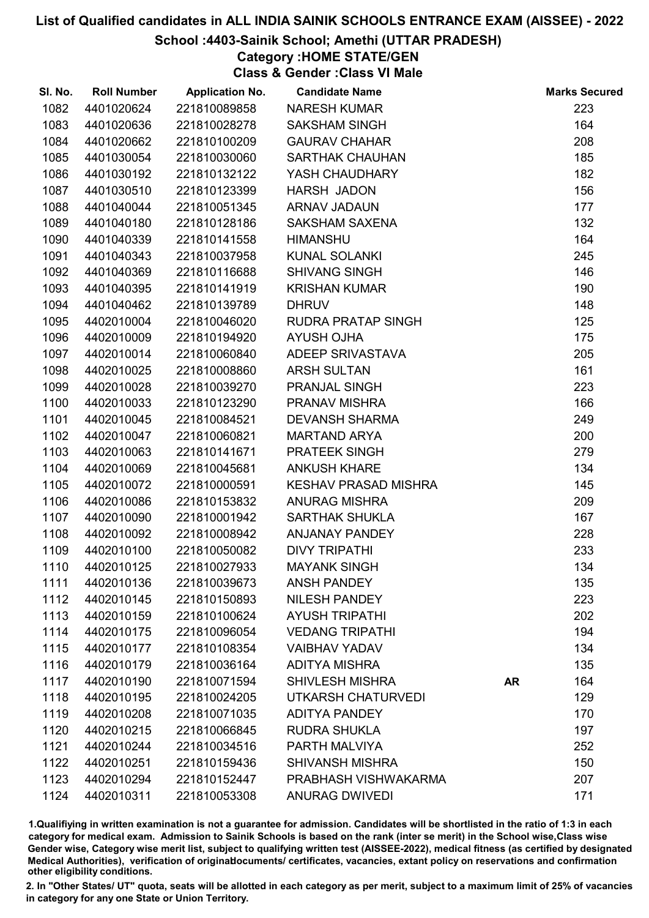## School :4403-Sainik School; Amethi (UTTAR PRADESH)

## Category :HOME STATE/GEN

Class & Gender :Class VI Male

| SI. No. | <b>Roll Number</b> | <b>Application No.</b> | <b>Candidate Name</b>       |           | <b>Marks Secured</b> |
|---------|--------------------|------------------------|-----------------------------|-----------|----------------------|
| 1082    | 4401020624         | 221810089858           | <b>NARESH KUMAR</b>         |           | 223                  |
| 1083    | 4401020636         | 221810028278           | <b>SAKSHAM SINGH</b>        |           | 164                  |
| 1084    | 4401020662         | 221810100209           | <b>GAURAV CHAHAR</b>        |           | 208                  |
| 1085    | 4401030054         | 221810030060           | <b>SARTHAK CHAUHAN</b>      |           | 185                  |
| 1086    | 4401030192         | 221810132122           | YASH CHAUDHARY              |           | 182                  |
| 1087    | 4401030510         | 221810123399           | <b>HARSH JADON</b>          |           | 156                  |
| 1088    | 4401040044         | 221810051345           | ARNAV JADAUN                |           | 177                  |
| 1089    | 4401040180         | 221810128186           | <b>SAKSHAM SAXENA</b>       |           | 132                  |
| 1090    | 4401040339         | 221810141558           | <b>HIMANSHU</b>             |           | 164                  |
| 1091    | 4401040343         | 221810037958           | <b>KUNAL SOLANKI</b>        |           | 245                  |
| 1092    | 4401040369         | 221810116688           | <b>SHIVANG SINGH</b>        |           | 146                  |
| 1093    | 4401040395         | 221810141919           | <b>KRISHAN KUMAR</b>        |           | 190                  |
| 1094    | 4401040462         | 221810139789           | <b>DHRUV</b>                |           | 148                  |
| 1095    | 4402010004         | 221810046020           | <b>RUDRA PRATAP SINGH</b>   |           | 125                  |
| 1096    | 4402010009         | 221810194920           | <b>AYUSH OJHA</b>           |           | 175                  |
| 1097    | 4402010014         | 221810060840           | ADEEP SRIVASTAVA            |           | 205                  |
| 1098    | 4402010025         | 221810008860           | <b>ARSH SULTAN</b>          |           | 161                  |
| 1099    | 4402010028         | 221810039270           | PRANJAL SINGH               |           | 223                  |
| 1100    | 4402010033         | 221810123290           | PRANAV MISHRA               |           | 166                  |
| 1101    | 4402010045         | 221810084521           | <b>DEVANSH SHARMA</b>       |           | 249                  |
| 1102    | 4402010047         | 221810060821           | <b>MARTAND ARYA</b>         |           | 200                  |
| 1103    | 4402010063         | 221810141671           | PRATEEK SINGH               |           | 279                  |
| 1104    | 4402010069         | 221810045681           | <b>ANKUSH KHARE</b>         |           | 134                  |
| 1105    | 4402010072         | 221810000591           | <b>KESHAV PRASAD MISHRA</b> |           | 145                  |
| 1106    | 4402010086         | 221810153832           | <b>ANURAG MISHRA</b>        |           | 209                  |
| 1107    | 4402010090         | 221810001942           | <b>SARTHAK SHUKLA</b>       |           | 167                  |
| 1108    | 4402010092         | 221810008942           | <b>ANJANAY PANDEY</b>       |           | 228                  |
| 1109    | 4402010100         | 221810050082           | <b>DIVY TRIPATHI</b>        |           | 233                  |
| 1110    | 4402010125         | 221810027933           | <b>MAYANK SINGH</b>         |           | 134                  |
| 1111    | 4402010136         | 221810039673           | <b>ANSH PANDEY</b>          |           | 135                  |
| 1112    | 4402010145         | 221810150893           | <b>NILESH PANDEY</b>        |           | 223                  |
| 1113    | 4402010159         | 221810100624           | <b>AYUSH TRIPATHI</b>       |           | 202                  |
| 1114    | 4402010175         | 221810096054           | <b>VEDANG TRIPATHI</b>      |           | 194                  |
| 1115    | 4402010177         | 221810108354           | <b>VAIBHAV YADAV</b>        |           | 134                  |
| 1116    | 4402010179         | 221810036164           | <b>ADITYA MISHRA</b>        |           | 135                  |
| 1117    | 4402010190         | 221810071594           | <b>SHIVLESH MISHRA</b>      | <b>AR</b> | 164                  |
| 1118    | 4402010195         | 221810024205           | UTKARSH CHATURVEDI          |           | 129                  |
| 1119    | 4402010208         | 221810071035           | <b>ADITYA PANDEY</b>        |           | 170                  |
| 1120    | 4402010215         | 221810066845           | <b>RUDRA SHUKLA</b>         |           | 197                  |
| 1121    | 4402010244         | 221810034516           | PARTH MALVIYA               |           | 252                  |
| 1122    | 4402010251         | 221810159436           | <b>SHIVANSH MISHRA</b>      |           | 150                  |
| 1123    | 4402010294         | 221810152447           | PRABHASH VISHWAKARMA        |           | 207                  |
| 1124    | 4402010311         | 221810053308           | ANURAG DWIVEDI              |           | 171                  |

1.Qualifiying in written examination is not a guarantee for admission. Candidates will be shortlisted in the ratio of 1:3 in each category for medical exam. Admission to Sainik Schools is based on the rank (inter se merit) in the School wise,Class wise Gender wise, Category wise merit list, subject to qualifying written test (AISSEE-2022), medical fitness (as certified by designated Medical Authorities), verification of originablocuments/ certificates, vacancies, extant policy on reservations and confirmation other eligibility conditions.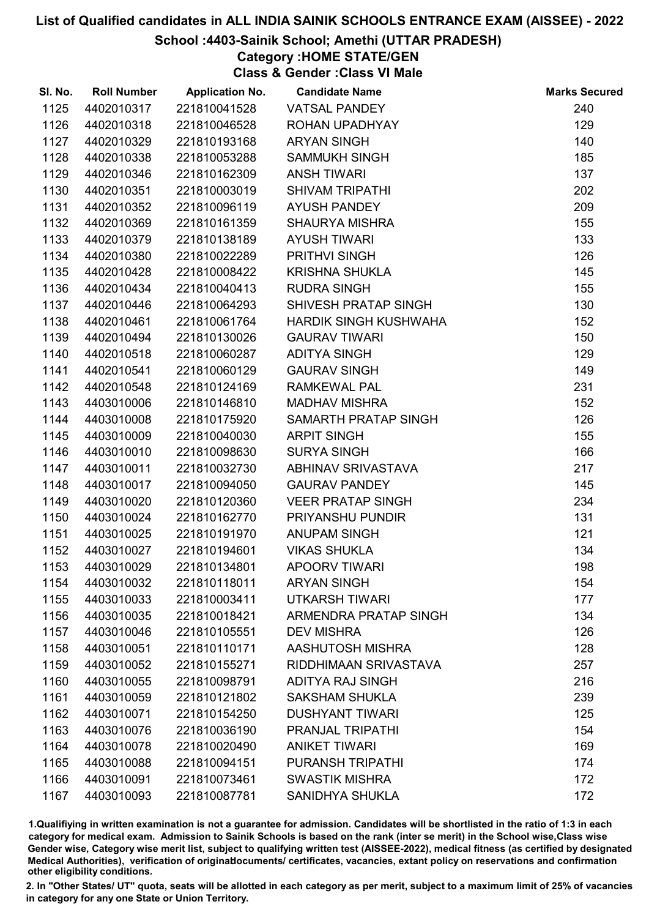## School :4403-Sainik School; Amethi (UTTAR PRADESH)

Category :HOME STATE/GEN Class & Gender :Class VI Male

| SI. No. | <b>Roll Number</b> | <b>Application No.</b> | <b>Candidate Name</b>        | <b>Marks Secured</b> |
|---------|--------------------|------------------------|------------------------------|----------------------|
| 1125    | 4402010317         | 221810041528           | <b>VATSAL PANDEY</b>         | 240                  |
| 1126    | 4402010318         | 221810046528           | ROHAN UPADHYAY               | 129                  |
| 1127    | 4402010329         | 221810193168           | <b>ARYAN SINGH</b>           | 140                  |
| 1128    | 4402010338         | 221810053288           | <b>SAMMUKH SINGH</b>         | 185                  |
| 1129    | 4402010346         | 221810162309           | <b>ANSH TIWARI</b>           | 137                  |
| 1130    | 4402010351         | 221810003019           | <b>SHIVAM TRIPATHI</b>       | 202                  |
| 1131    | 4402010352         | 221810096119           | <b>AYUSH PANDEY</b>          | 209                  |
| 1132    | 4402010369         | 221810161359           | <b>SHAURYA MISHRA</b>        | 155                  |
| 1133    | 4402010379         | 221810138189           | <b>AYUSH TIWARI</b>          | 133                  |
| 1134    | 4402010380         | 221810022289           | <b>PRITHVI SINGH</b>         | 126                  |
| 1135    | 4402010428         | 221810008422           | <b>KRISHNA SHUKLA</b>        | 145                  |
| 1136    | 4402010434         | 221810040413           | <b>RUDRA SINGH</b>           | 155                  |
| 1137    | 4402010446         | 221810064293           | SHIVESH PRATAP SINGH         | 130                  |
| 1138    | 4402010461         | 221810061764           | HARDIK SINGH KUSHWAHA        | 152                  |
| 1139    | 4402010494         | 221810130026           | <b>GAURAV TIWARI</b>         | 150                  |
| 1140    | 4402010518         | 221810060287           | <b>ADITYA SINGH</b>          | 129                  |
| 1141    | 4402010541         | 221810060129           | <b>GAURAV SINGH</b>          | 149                  |
| 1142    | 4402010548         | 221810124169           | <b>RAMKEWAL PAL</b>          | 231                  |
| 1143    | 4403010006         | 221810146810           | <b>MADHAV MISHRA</b>         | 152                  |
| 1144    | 4403010008         | 221810175920           | SAMARTH PRATAP SINGH         | 126                  |
| 1145    | 4403010009         | 221810040030           | <b>ARPIT SINGH</b>           | 155                  |
| 1146    | 4403010010         | 221810098630           | <b>SURYA SINGH</b>           | 166                  |
| 1147    | 4403010011         | 221810032730           | ABHINAV SRIVASTAVA           | 217                  |
| 1148    | 4403010017         | 221810094050           | <b>GAURAV PANDEY</b>         | 145                  |
| 1149    | 4403010020         | 221810120360           | <b>VEER PRATAP SINGH</b>     | 234                  |
| 1150    | 4403010024         | 221810162770           | PRIYANSHU PUNDIR             | 131                  |
| 1151    | 4403010025         | 221810191970           | ANUPAM SINGH                 | 121                  |
| 1152    | 4403010027         | 221810194601           | <b>VIKAS SHUKLA</b>          | 134                  |
| 1153    | 4403010029         | 221810134801           | <b>APOORV TIWARI</b>         | 198                  |
| 1154    | 4403010032         | 221810118011           | <b>ARYAN SINGH</b>           | 154                  |
| 1155    | 4403010033         | 221810003411           | <b>UTKARSH TIWARI</b>        | 177                  |
| 1156    | 4403010035         | 221810018421           | <b>ARMENDRA PRATAP SINGH</b> | 134                  |
| 1157    | 4403010046         | 221810105551           | <b>DEV MISHRA</b>            | 126                  |
| 1158    | 4403010051         | 221810110171           | AASHUTOSH MISHRA             | 128                  |
| 1159    | 4403010052         | 221810155271           | RIDDHIMAAN SRIVASTAVA        | 257                  |
| 1160    | 4403010055         | 221810098791           | <b>ADITYA RAJ SINGH</b>      | 216                  |
| 1161    | 4403010059         | 221810121802           | <b>SAKSHAM SHUKLA</b>        | 239                  |
| 1162    | 4403010071         | 221810154250           | <b>DUSHYANT TIWARI</b>       | 125                  |
| 1163    | 4403010076         | 221810036190           | PRANJAL TRIPATHI             | 154                  |
| 1164    | 4403010078         | 221810020490           | <b>ANIKET TIWARI</b>         | 169                  |
| 1165    | 4403010088         | 221810094151           | PURANSH TRIPATHI             | 174                  |
| 1166    | 4403010091         | 221810073461           | <b>SWASTIK MISHRA</b>        | 172                  |
| 1167    | 4403010093         | 221810087781           | SANIDHYA SHUKLA              | 172                  |

1.Qualifiying in written examination is not a guarantee for admission. Candidates will be shortlisted in the ratio of 1:3 in each category for medical exam. Admission to Sainik Schools is based on the rank (inter se merit) in the School wise,Class wise Gender wise, Category wise merit list, subject to qualifying written test (AISSEE-2022), medical fitness (as certified by designated Medical Authorities), verification of originablocuments/ certificates, vacancies, extant policy on reservations and confirmation other eligibility conditions.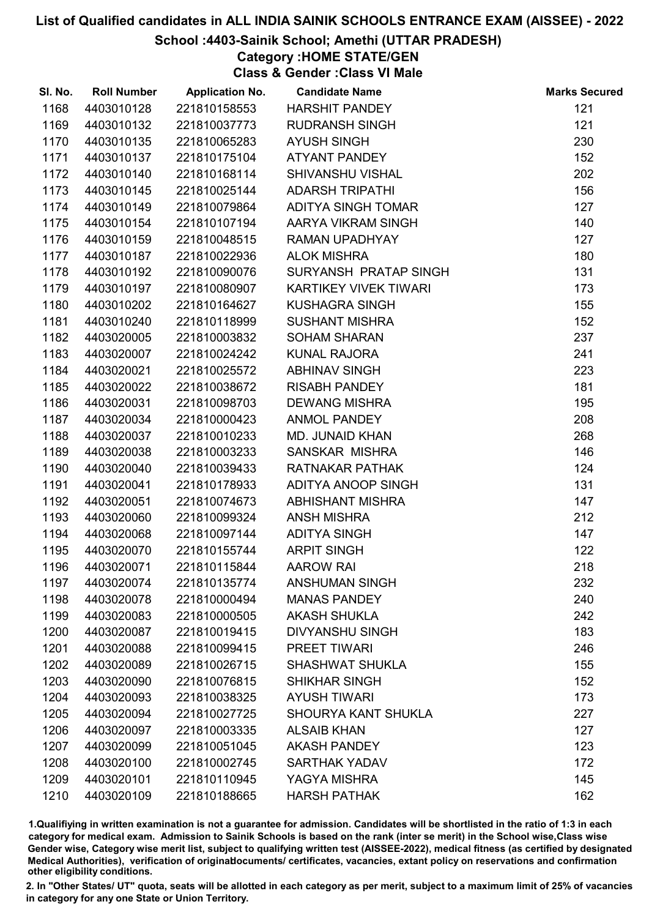## School :4403-Sainik School; Amethi (UTTAR PRADESH)

Category :HOME STATE/GEN

Class & Gender :Class VI Male

| SI. No. | <b>Roll Number</b> | <b>Application No.</b> | <b>Candidate Name</b>        | <b>Marks Secured</b> |
|---------|--------------------|------------------------|------------------------------|----------------------|
| 1168    | 4403010128         | 221810158553           | <b>HARSHIT PANDEY</b>        | 121                  |
| 1169    | 4403010132         | 221810037773           | <b>RUDRANSH SINGH</b>        | 121                  |
| 1170    | 4403010135         | 221810065283           | <b>AYUSH SINGH</b>           | 230                  |
| 1171    | 4403010137         | 221810175104           | <b>ATYANT PANDEY</b>         | 152                  |
| 1172    | 4403010140         | 221810168114           | <b>SHIVANSHU VISHAL</b>      | 202                  |
| 1173    | 4403010145         | 221810025144           | <b>ADARSH TRIPATHI</b>       | 156                  |
| 1174    | 4403010149         | 221810079864           | <b>ADITYA SINGH TOMAR</b>    | 127                  |
| 1175    | 4403010154         | 221810107194           | AARYA VIKRAM SINGH           | 140                  |
| 1176    | 4403010159         | 221810048515           | RAMAN UPADHYAY               | 127                  |
| 1177    | 4403010187         | 221810022936           | <b>ALOK MISHRA</b>           | 180                  |
| 1178    | 4403010192         | 221810090076           | SURYANSH PRATAP SINGH        | 131                  |
| 1179    | 4403010197         | 221810080907           | <b>KARTIKEY VIVEK TIWARI</b> | 173                  |
| 1180    | 4403010202         | 221810164627           | <b>KUSHAGRA SINGH</b>        | 155                  |
| 1181    | 4403010240         | 221810118999           | <b>SUSHANT MISHRA</b>        | 152                  |
| 1182    | 4403020005         | 221810003832           | <b>SOHAM SHARAN</b>          | 237                  |
| 1183    | 4403020007         | 221810024242           | KUNAL RAJORA                 | 241                  |
| 1184    | 4403020021         | 221810025572           | <b>ABHINAV SINGH</b>         | 223                  |
| 1185    | 4403020022         | 221810038672           | <b>RISABH PANDEY</b>         | 181                  |
| 1186    | 4403020031         | 221810098703           | <b>DEWANG MISHRA</b>         | 195                  |
| 1187    | 4403020034         | 221810000423           | <b>ANMOL PANDEY</b>          | 208                  |
| 1188    | 4403020037         | 221810010233           | MD. JUNAID KHAN              | 268                  |
| 1189    | 4403020038         | 221810003233           | SANSKAR MISHRA               | 146                  |
| 1190    | 4403020040         | 221810039433           | <b>RATNAKAR PATHAK</b>       | 124                  |
| 1191    | 4403020041         | 221810178933           | ADITYA ANOOP SINGH           | 131                  |
| 1192    | 4403020051         | 221810074673           | <b>ABHISHANT MISHRA</b>      | 147                  |
| 1193    | 4403020060         | 221810099324           | <b>ANSH MISHRA</b>           | 212                  |
| 1194    | 4403020068         | 221810097144           | <b>ADITYA SINGH</b>          | 147                  |
| 1195    | 4403020070         | 221810155744           | <b>ARPIT SINGH</b>           | 122                  |
| 1196    | 4403020071         | 221810115844           | <b>AAROW RAI</b>             | 218                  |
| 1197    | 4403020074         | 221810135774           | <b>ANSHUMAN SINGH</b>        | 232                  |
| 1198    | 4403020078         | 221810000494           | <b>MANAS PANDEY</b>          | 240                  |
| 1199    | 4403020083         | 221810000505           | <b>AKASH SHUKLA</b>          | 242                  |
| 1200    | 4403020087         | 221810019415           | <b>DIVYANSHU SINGH</b>       | 183                  |
| 1201    | 4403020088         | 221810099415           | <b>PREET TIWARI</b>          | 246                  |
| 1202    | 4403020089         | 221810026715           | <b>SHASHWAT SHUKLA</b>       | 155                  |
| 1203    | 4403020090         | 221810076815           | <b>SHIKHAR SINGH</b>         | 152                  |
| 1204    | 4403020093         | 221810038325           | <b>AYUSH TIWARI</b>          | 173                  |
| 1205    | 4403020094         | 221810027725           | <b>SHOURYA KANT SHUKLA</b>   | 227                  |
| 1206    | 4403020097         | 221810003335           | <b>ALSAIB KHAN</b>           | 127                  |
| 1207    | 4403020099         | 221810051045           | <b>AKASH PANDEY</b>          | 123                  |
| 1208    | 4403020100         | 221810002745           | <b>SARTHAK YADAV</b>         | 172                  |
| 1209    | 4403020101         | 221810110945           | YAGYA MISHRA                 | 145                  |
| 1210    | 4403020109         | 221810188665           | <b>HARSH PATHAK</b>          | 162                  |

1.Qualifiying in written examination is not a guarantee for admission. Candidates will be shortlisted in the ratio of 1:3 in each category for medical exam. Admission to Sainik Schools is based on the rank (inter se merit) in the School wise,Class wise Gender wise, Category wise merit list, subject to qualifying written test (AISSEE-2022), medical fitness (as certified by designated Medical Authorities), verification of originablocuments/ certificates, vacancies, extant policy on reservations and confirmation other eligibility conditions.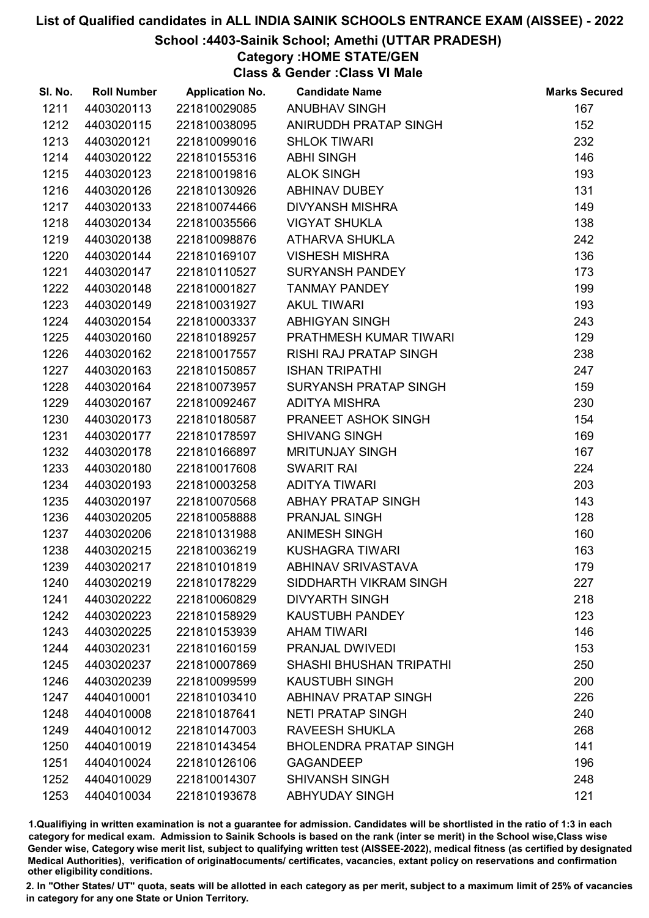## School :4403-Sainik School; Amethi (UTTAR PRADESH)

Category :HOME STATE/GEN

Class & Gender :Class VI Male

| SI. No. | <b>Roll Number</b> | <b>Application No.</b> | <b>Candidate Name</b>          | <b>Marks Secured</b> |
|---------|--------------------|------------------------|--------------------------------|----------------------|
| 1211    | 4403020113         | 221810029085           | ANUBHAV SINGH                  | 167                  |
| 1212    | 4403020115         | 221810038095           | ANIRUDDH PRATAP SINGH          | 152                  |
| 1213    | 4403020121         | 221810099016           | <b>SHLOK TIWARI</b>            | 232                  |
| 1214    | 4403020122         | 221810155316           | <b>ABHI SINGH</b>              | 146                  |
| 1215    | 4403020123         | 221810019816           | <b>ALOK SINGH</b>              | 193                  |
| 1216    | 4403020126         | 221810130926           | <b>ABHINAV DUBEY</b>           | 131                  |
| 1217    | 4403020133         | 221810074466           | <b>DIVYANSH MISHRA</b>         | 149                  |
| 1218    | 4403020134         | 221810035566           | <b>VIGYAT SHUKLA</b>           | 138                  |
| 1219    | 4403020138         | 221810098876           | ATHARVA SHUKLA                 | 242                  |
| 1220    | 4403020144         | 221810169107           | <b>VISHESH MISHRA</b>          | 136                  |
| 1221    | 4403020147         | 221810110527           | <b>SURYANSH PANDEY</b>         | 173                  |
| 1222    | 4403020148         | 221810001827           | <b>TANMAY PANDEY</b>           | 199                  |
| 1223    | 4403020149         | 221810031927           | <b>AKUL TIWARI</b>             | 193                  |
| 1224    | 4403020154         | 221810003337           | <b>ABHIGYAN SINGH</b>          | 243                  |
| 1225    | 4403020160         | 221810189257           | PRATHMESH KUMAR TIWARI         | 129                  |
| 1226    | 4403020162         | 221810017557           | <b>RISHI RAJ PRATAP SINGH</b>  | 238                  |
| 1227    | 4403020163         | 221810150857           | <b>ISHAN TRIPATHI</b>          | 247                  |
| 1228    | 4403020164         | 221810073957           | <b>SURYANSH PRATAP SINGH</b>   | 159                  |
| 1229    | 4403020167         | 221810092467           | <b>ADITYA MISHRA</b>           | 230                  |
| 1230    | 4403020173         | 221810180587           | PRANEET ASHOK SINGH            | 154                  |
| 1231    | 4403020177         | 221810178597           | <b>SHIVANG SINGH</b>           | 169                  |
| 1232    | 4403020178         | 221810166897           | <b>MRITUNJAY SINGH</b>         | 167                  |
| 1233    | 4403020180         | 221810017608           | <b>SWARIT RAI</b>              | 224                  |
| 1234    | 4403020193         | 221810003258           | <b>ADITYA TIWARI</b>           | 203                  |
| 1235    | 4403020197         | 221810070568           | ABHAY PRATAP SINGH             | 143                  |
| 1236    | 4403020205         | 221810058888           | PRANJAL SINGH                  | 128                  |
| 1237    | 4403020206         | 221810131988           | ANIMESH SINGH                  | 160                  |
| 1238    | 4403020215         | 221810036219           | <b>KUSHAGRA TIWARI</b>         | 163                  |
| 1239    | 4403020217         | 221810101819           | <b>ABHINAV SRIVASTAVA</b>      | 179                  |
| 1240    | 4403020219         | 221810178229           | SIDDHARTH VIKRAM SINGH         | 227                  |
| 1241    | 4403020222         | 221810060829           | <b>DIVYARTH SINGH</b>          | 218                  |
| 1242    | 4403020223         | 221810158929           | <b>KAUSTUBH PANDEY</b>         | 123                  |
| 1243    | 4403020225         | 221810153939           | <b>AHAM TIWARI</b>             | 146                  |
| 1244    | 4403020231         | 221810160159           | <b>PRANJAL DWIVEDI</b>         | 153                  |
| 1245    | 4403020237         | 221810007869           | <b>SHASHI BHUSHAN TRIPATHI</b> | 250                  |
| 1246    | 4403020239         | 221810099599           | <b>KAUSTUBH SINGH</b>          | 200                  |
| 1247    | 4404010001         | 221810103410           | <b>ABHINAV PRATAP SINGH</b>    | 226                  |
| 1248    | 4404010008         | 221810187641           | <b>NETI PRATAP SINGH</b>       | 240                  |
| 1249    | 4404010012         | 221810147003           | <b>RAVEESH SHUKLA</b>          | 268                  |
| 1250    | 4404010019         | 221810143454           | <b>BHOLENDRA PRATAP SINGH</b>  | 141                  |
| 1251    | 4404010024         | 221810126106           | <b>GAGANDEEP</b>               | 196                  |
| 1252    | 4404010029         | 221810014307           | <b>SHIVANSH SINGH</b>          | 248                  |
| 1253    | 4404010034         | 221810193678           | <b>ABHYUDAY SINGH</b>          | 121                  |

1.Qualifiying in written examination is not a guarantee for admission. Candidates will be shortlisted in the ratio of 1:3 in each category for medical exam. Admission to Sainik Schools is based on the rank (inter se merit) in the School wise,Class wise Gender wise, Category wise merit list, subject to qualifying written test (AISSEE-2022), medical fitness (as certified by designated Medical Authorities), verification of originablocuments/ certificates, vacancies, extant policy on reservations and confirmation other eligibility conditions.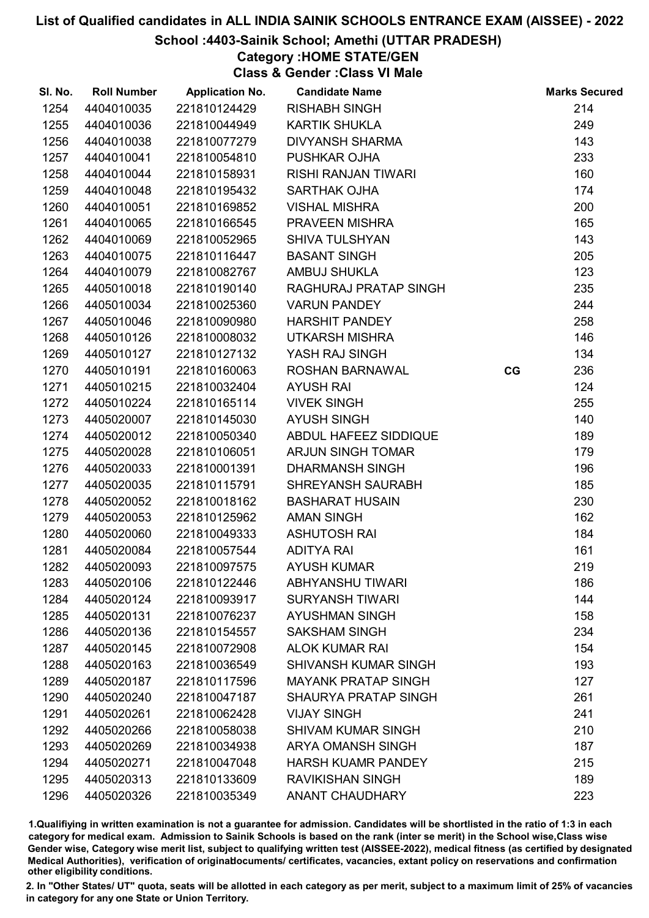## School :4403-Sainik School; Amethi (UTTAR PRADESH)

Category :HOME STATE/GEN

Class & Gender :Class VI Male

| SI. No. | <b>Roll Number</b> | <b>Application No.</b> | <b>Candidate Name</b>       |    | <b>Marks Secured</b> |
|---------|--------------------|------------------------|-----------------------------|----|----------------------|
| 1254    | 4404010035         | 221810124429           | <b>RISHABH SINGH</b>        |    | 214                  |
| 1255    | 4404010036         | 221810044949           | <b>KARTIK SHUKLA</b>        |    | 249                  |
| 1256    | 4404010038         | 221810077279           | <b>DIVYANSH SHARMA</b>      |    | 143                  |
| 1257    | 4404010041         | 221810054810           | PUSHKAR OJHA                |    | 233                  |
| 1258    | 4404010044         | 221810158931           | <b>RISHI RANJAN TIWARI</b>  |    | 160                  |
| 1259    | 4404010048         | 221810195432           | <b>SARTHAK OJHA</b>         |    | 174                  |
| 1260    | 4404010051         | 221810169852           | <b>VISHAL MISHRA</b>        |    | 200                  |
| 1261    | 4404010065         | 221810166545           | PRAVEEN MISHRA              |    | 165                  |
| 1262    | 4404010069         | 221810052965           | <b>SHIVA TULSHYAN</b>       |    | 143                  |
| 1263    | 4404010075         | 221810116447           | <b>BASANT SINGH</b>         |    | 205                  |
| 1264    | 4404010079         | 221810082767           | <b>AMBUJ SHUKLA</b>         |    | 123                  |
| 1265    | 4405010018         | 221810190140           | RAGHURAJ PRATAP SINGH       |    | 235                  |
| 1266    | 4405010034         | 221810025360           | <b>VARUN PANDEY</b>         |    | 244                  |
| 1267    | 4405010046         | 221810090980           | <b>HARSHIT PANDEY</b>       |    | 258                  |
| 1268    | 4405010126         | 221810008032           | <b>UTKARSH MISHRA</b>       |    | 146                  |
| 1269    | 4405010127         | 221810127132           | YASH RAJ SINGH              |    | 134                  |
| 1270    | 4405010191         | 221810160063           | <b>ROSHAN BARNAWAL</b>      | CG | 236                  |
| 1271    | 4405010215         | 221810032404           | <b>AYUSH RAI</b>            |    | 124                  |
| 1272    | 4405010224         | 221810165114           | <b>VIVEK SINGH</b>          |    | 255                  |
| 1273    | 4405020007         | 221810145030           | <b>AYUSH SINGH</b>          |    | 140                  |
| 1274    | 4405020012         | 221810050340           | ABDUL HAFEEZ SIDDIQUE       |    | 189                  |
| 1275    | 4405020028         | 221810106051           | <b>ARJUN SINGH TOMAR</b>    |    | 179                  |
| 1276    | 4405020033         | 221810001391           | <b>DHARMANSH SINGH</b>      |    | 196                  |
| 1277    | 4405020035         | 221810115791           | <b>SHREYANSH SAURABH</b>    |    | 185                  |
| 1278    | 4405020052         | 221810018162           | <b>BASHARAT HUSAIN</b>      |    | 230                  |
| 1279    | 4405020053         | 221810125962           | <b>AMAN SINGH</b>           |    | 162                  |
| 1280    | 4405020060         | 221810049333           | <b>ASHUTOSH RAI</b>         |    | 184                  |
| 1281    | 4405020084         | 221810057544           | <b>ADITYA RAI</b>           |    | 161                  |
| 1282    | 4405020093         | 221810097575           | <b>AYUSH KUMAR</b>          |    | 219                  |
| 1283    | 4405020106         | 221810122446           | <b>ABHYANSHU TIWARI</b>     |    | 186                  |
| 1284    | 4405020124         | 221810093917           | <b>SURYANSH TIWARI</b>      |    | 144                  |
| 1285    | 4405020131         | 221810076237           | <b>AYUSHMAN SINGH</b>       |    | 158                  |
| 1286    | 4405020136         | 221810154557           | <b>SAKSHAM SINGH</b>        |    | 234                  |
| 1287    | 4405020145         | 221810072908           | <b>ALOK KUMAR RAI</b>       |    | 154                  |
| 1288    | 4405020163         | 221810036549           | <b>SHIVANSH KUMAR SINGH</b> |    | 193                  |
| 1289    | 4405020187         | 221810117596           | <b>MAYANK PRATAP SINGH</b>  |    | 127                  |
| 1290    | 4405020240         | 221810047187           | <b>SHAURYA PRATAP SINGH</b> |    | 261                  |
| 1291    | 4405020261         | 221810062428           | <b>VIJAY SINGH</b>          |    | 241                  |
| 1292    | 4405020266         | 221810058038           | <b>SHIVAM KUMAR SINGH</b>   |    | 210                  |
| 1293    | 4405020269         | 221810034938           | <b>ARYA OMANSH SINGH</b>    |    | 187                  |
| 1294    | 4405020271         | 221810047048           | <b>HARSH KUAMR PANDEY</b>   |    | 215                  |
| 1295    | 4405020313         | 221810133609           | <b>RAVIKISHAN SINGH</b>     |    | 189                  |
| 1296    | 4405020326         | 221810035349           | <b>ANANT CHAUDHARY</b>      |    | 223                  |

1.Qualifiying in written examination is not a guarantee for admission. Candidates will be shortlisted in the ratio of 1:3 in each category for medical exam. Admission to Sainik Schools is based on the rank (inter se merit) in the School wise,Class wise Gender wise, Category wise merit list, subject to qualifying written test (AISSEE-2022), medical fitness (as certified by designated Medical Authorities), verification of originablocuments/ certificates, vacancies, extant policy on reservations and confirmation other eligibility conditions.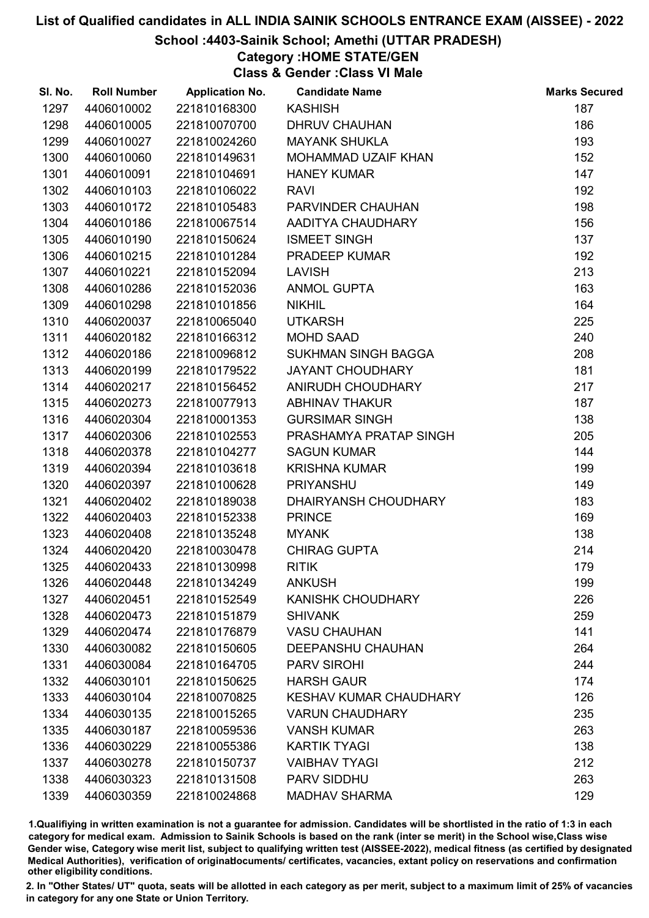### School :4403-Sainik School; Amethi (UTTAR PRADESH)

Category :HOME STATE/GEN

Class & Gender :Class VI Male

| SI. No. | <b>Roll Number</b> | <b>Application No.</b> | <b>Candidate Name</b>         | <b>Marks Secured</b> |
|---------|--------------------|------------------------|-------------------------------|----------------------|
| 1297    | 4406010002         | 221810168300           | <b>KASHISH</b>                | 187                  |
| 1298    | 4406010005         | 221810070700           | <b>DHRUV CHAUHAN</b>          | 186                  |
| 1299    | 4406010027         | 221810024260           | <b>MAYANK SHUKLA</b>          | 193                  |
| 1300    | 4406010060         | 221810149631           | MOHAMMAD UZAIF KHAN           | 152                  |
| 1301    | 4406010091         | 221810104691           | <b>HANEY KUMAR</b>            | 147                  |
| 1302    | 4406010103         | 221810106022           | <b>RAVI</b>                   | 192                  |
| 1303    | 4406010172         | 221810105483           | PARVINDER CHAUHAN             | 198                  |
| 1304    | 4406010186         | 221810067514           | AADITYA CHAUDHARY             | 156                  |
| 1305    | 4406010190         | 221810150624           | <b>ISMEET SINGH</b>           | 137                  |
| 1306    | 4406010215         | 221810101284           | <b>PRADEEP KUMAR</b>          | 192                  |
| 1307    | 4406010221         | 221810152094           | <b>LAVISH</b>                 | 213                  |
| 1308    | 4406010286         | 221810152036           | <b>ANMOL GUPTA</b>            | 163                  |
| 1309    | 4406010298         | 221810101856           | <b>NIKHIL</b>                 | 164                  |
| 1310    | 4406020037         | 221810065040           | <b>UTKARSH</b>                | 225                  |
| 1311    | 4406020182         | 221810166312           | <b>MOHD SAAD</b>              | 240                  |
| 1312    | 4406020186         | 221810096812           | <b>SUKHMAN SINGH BAGGA</b>    | 208                  |
| 1313    | 4406020199         | 221810179522           | <b>JAYANT CHOUDHARY</b>       | 181                  |
| 1314    | 4406020217         | 221810156452           | ANIRUDH CHOUDHARY             | 217                  |
| 1315    | 4406020273         | 221810077913           | <b>ABHINAV THAKUR</b>         | 187                  |
| 1316    | 4406020304         | 221810001353           | <b>GURSIMAR SINGH</b>         | 138                  |
| 1317    | 4406020306         | 221810102553           | PRASHAMYA PRATAP SINGH        | 205                  |
| 1318    | 4406020378         | 221810104277           | <b>SAGUN KUMAR</b>            | 144                  |
| 1319    | 4406020394         | 221810103618           | <b>KRISHNA KUMAR</b>          | 199                  |
| 1320    | 4406020397         | 221810100628           | <b>PRIYANSHU</b>              | 149                  |
| 1321    | 4406020402         | 221810189038           | DHAIRYANSH CHOUDHARY          | 183                  |
| 1322    | 4406020403         | 221810152338           | <b>PRINCE</b>                 | 169                  |
| 1323    | 4406020408         | 221810135248           | <b>MYANK</b>                  | 138                  |
| 1324    | 4406020420         | 221810030478           | <b>CHIRAG GUPTA</b>           | 214                  |
| 1325    | 4406020433         | 221810130998           | <b>RITIK</b>                  | 179                  |
| 1326    | 4406020448         | 221810134249           | <b>ANKUSH</b>                 | 199                  |
| 1327    | 4406020451         | 221810152549           | <b>KANISHK CHOUDHARY</b>      | 226                  |
| 1328    | 4406020473         | 221810151879           | <b>SHIVANK</b>                | 259                  |
| 1329    | 4406020474         | 221810176879           | <b>VASU CHAUHAN</b>           | 141                  |
| 1330    | 4406030082         | 221810150605           | DEEPANSHU CHAUHAN             | 264                  |
| 1331    | 4406030084         | 221810164705           | <b>PARV SIROHI</b>            | 244                  |
| 1332    | 4406030101         | 221810150625           | <b>HARSH GAUR</b>             | 174                  |
| 1333    | 4406030104         | 221810070825           | <b>KESHAV KUMAR CHAUDHARY</b> | 126                  |
| 1334    | 4406030135         | 221810015265           | <b>VARUN CHAUDHARY</b>        | 235                  |
| 1335    | 4406030187         | 221810059536           | <b>VANSH KUMAR</b>            | 263                  |
| 1336    | 4406030229         | 221810055386           | <b>KARTIK TYAGI</b>           | 138                  |
| 1337    | 4406030278         | 221810150737           | <b>VAIBHAV TYAGI</b>          | 212                  |
| 1338    | 4406030323         | 221810131508           | <b>PARV SIDDHU</b>            | 263                  |
| 1339    | 4406030359         | 221810024868           | <b>MADHAV SHARMA</b>          | 129                  |

1.Qualifiying in written examination is not a guarantee for admission. Candidates will be shortlisted in the ratio of 1:3 in each category for medical exam. Admission to Sainik Schools is based on the rank (inter se merit) in the School wise,Class wise Gender wise, Category wise merit list, subject to qualifying written test (AISSEE-2022), medical fitness (as certified by designated Medical Authorities), verification of originablocuments/ certificates, vacancies, extant policy on reservations and confirmation other eligibility conditions.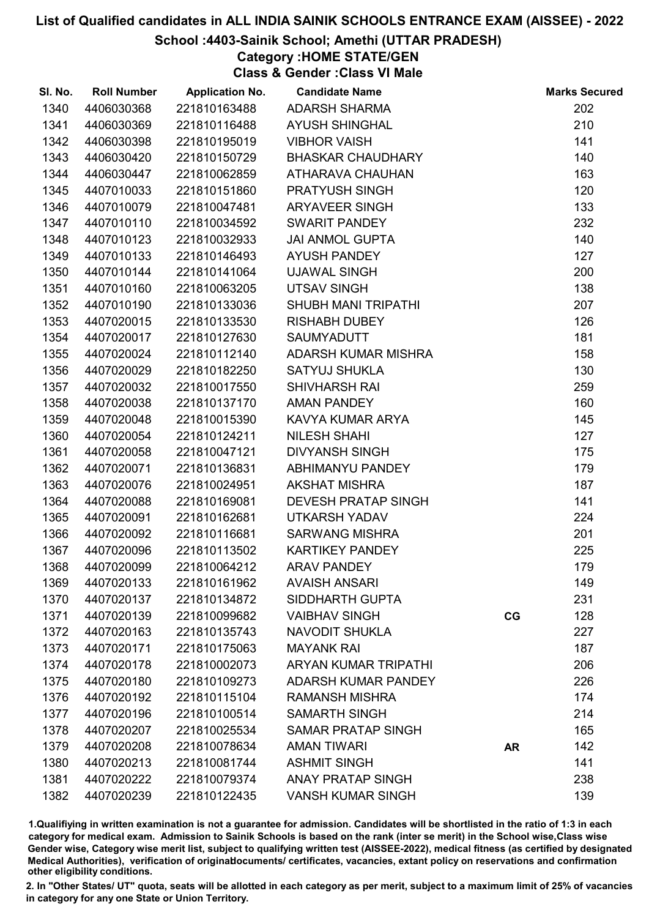## School :4403-Sainik School; Amethi (UTTAR PRADESH)

Category :HOME STATE/GEN

Class & Gender :Class VI Male

| SI. No. | <b>Roll Number</b> | <b>Application No.</b> | <b>Candidate Name</b>       |           | <b>Marks Secured</b> |
|---------|--------------------|------------------------|-----------------------------|-----------|----------------------|
| 1340    | 4406030368         | 221810163488           | <b>ADARSH SHARMA</b>        |           | 202                  |
| 1341    | 4406030369         | 221810116488           | <b>AYUSH SHINGHAL</b>       |           | 210                  |
| 1342    | 4406030398         | 221810195019           | <b>VIBHOR VAISH</b>         |           | 141                  |
| 1343    | 4406030420         | 221810150729           | <b>BHASKAR CHAUDHARY</b>    |           | 140                  |
| 1344    | 4406030447         | 221810062859           | ATHARAVA CHAUHAN            |           | 163                  |
| 1345    | 4407010033         | 221810151860           | <b>PRATYUSH SINGH</b>       |           | 120                  |
| 1346    | 4407010079         | 221810047481           | <b>ARYAVEER SINGH</b>       |           | 133                  |
| 1347    | 4407010110         | 221810034592           | <b>SWARIT PANDEY</b>        |           | 232                  |
| 1348    | 4407010123         | 221810032933           | <b>JAI ANMOL GUPTA</b>      |           | 140                  |
| 1349    | 4407010133         | 221810146493           | <b>AYUSH PANDEY</b>         |           | 127                  |
| 1350    | 4407010144         | 221810141064           | <b>UJAWAL SINGH</b>         |           | 200                  |
| 1351    | 4407010160         | 221810063205           | <b>UTSAV SINGH</b>          |           | 138                  |
| 1352    | 4407010190         | 221810133036           | <b>SHUBH MANI TRIPATHI</b>  |           | 207                  |
| 1353    | 4407020015         | 221810133530           | <b>RISHABH DUBEY</b>        |           | 126                  |
| 1354    | 4407020017         | 221810127630           | <b>SAUMYADUTT</b>           |           | 181                  |
| 1355    | 4407020024         | 221810112140           | ADARSH KUMAR MISHRA         |           | 158                  |
| 1356    | 4407020029         | 221810182250           | <b>SATYUJ SHUKLA</b>        |           | 130                  |
| 1357    | 4407020032         | 221810017550           | <b>SHIVHARSH RAI</b>        |           | 259                  |
| 1358    | 4407020038         | 221810137170           | <b>AMAN PANDEY</b>          |           | 160                  |
| 1359    | 4407020048         | 221810015390           | KAVYA KUMAR ARYA            |           | 145                  |
| 1360    | 4407020054         | 221810124211           | <b>NILESH SHAHI</b>         |           | 127                  |
| 1361    | 4407020058         | 221810047121           | <b>DIVYANSH SINGH</b>       |           | 175                  |
| 1362    | 4407020071         | 221810136831           | ABHIMANYU PANDEY            |           | 179                  |
| 1363    | 4407020076         | 221810024951           | <b>AKSHAT MISHRA</b>        |           | 187                  |
| 1364    | 4407020088         | 221810169081           | <b>DEVESH PRATAP SINGH</b>  |           | 141                  |
| 1365    | 4407020091         | 221810162681           | <b>UTKARSH YADAV</b>        |           | 224                  |
| 1366    | 4407020092         | 221810116681           | <b>SARWANG MISHRA</b>       |           | 201                  |
| 1367    | 4407020096         | 221810113502           | <b>KARTIKEY PANDEY</b>      |           | 225                  |
| 1368    | 4407020099         | 221810064212           | <b>ARAV PANDEY</b>          |           | 179                  |
| 1369    | 4407020133         | 221810161962           | <b>AVAISH ANSARI</b>        |           | 149                  |
| 1370    | 4407020137         | 221810134872           | SIDDHARTH GUPTA             |           | 231                  |
| 1371    | 4407020139         | 221810099682           | <b>VAIBHAV SINGH</b>        | CG        | 128                  |
| 1372    | 4407020163         | 221810135743           | <b>NAVODIT SHUKLA</b>       |           | 227                  |
| 1373    | 4407020171         | 221810175063           | <b>MAYANK RAI</b>           |           | 187                  |
| 1374    | 4407020178         | 221810002073           | <b>ARYAN KUMAR TRIPATHI</b> |           | 206                  |
| 1375    | 4407020180         | 221810109273           | <b>ADARSH KUMAR PANDEY</b>  |           | 226                  |
| 1376    | 4407020192         | 221810115104           | <b>RAMANSH MISHRA</b>       |           | 174                  |
| 1377    | 4407020196         | 221810100514           | <b>SAMARTH SINGH</b>        |           | 214                  |
| 1378    | 4407020207         | 221810025534           | <b>SAMAR PRATAP SINGH</b>   |           | 165                  |
| 1379    | 4407020208         | 221810078634           | <b>AMAN TIWARI</b>          | <b>AR</b> | 142                  |
| 1380    | 4407020213         | 221810081744           | <b>ASHMIT SINGH</b>         |           | 141                  |
| 1381    | 4407020222         | 221810079374           | <b>ANAY PRATAP SINGH</b>    |           | 238                  |
| 1382    | 4407020239         | 221810122435           | <b>VANSH KUMAR SINGH</b>    |           | 139                  |

1.Qualifiying in written examination is not a guarantee for admission. Candidates will be shortlisted in the ratio of 1:3 in each category for medical exam. Admission to Sainik Schools is based on the rank (inter se merit) in the School wise,Class wise Gender wise, Category wise merit list, subject to qualifying written test (AISSEE-2022), medical fitness (as certified by designated Medical Authorities), verification of originablocuments/ certificates, vacancies, extant policy on reservations and confirmation other eligibility conditions.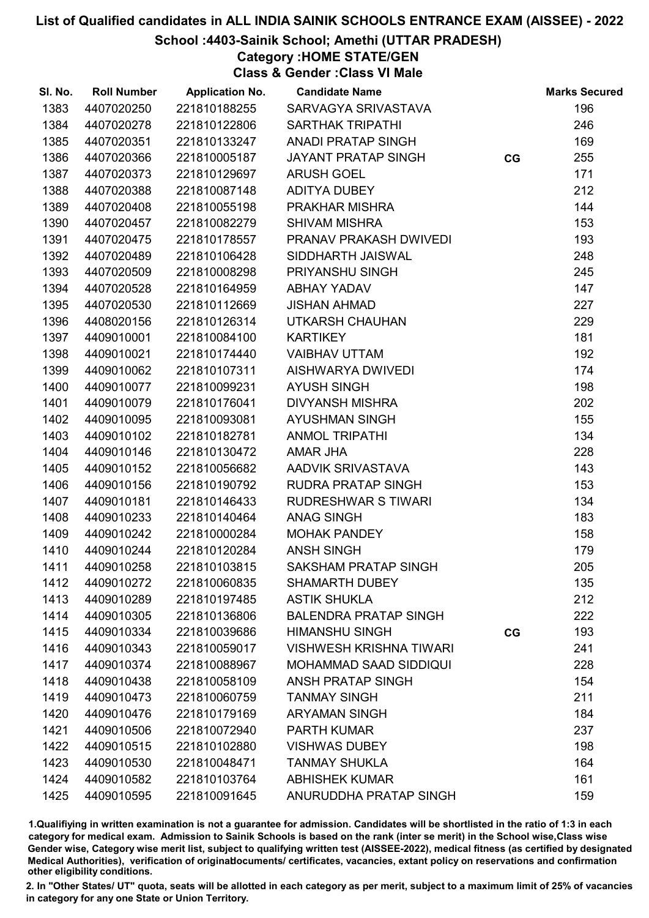## School :4403-Sainik School; Amethi (UTTAR PRADESH)

Category :HOME STATE/GEN

Class & Gender :Class VI Male

| SI. No. | <b>Roll Number</b> | <b>Application No.</b> | <b>Candidate Name</b>          |    | <b>Marks Secured</b> |
|---------|--------------------|------------------------|--------------------------------|----|----------------------|
| 1383    | 4407020250         | 221810188255           | SARVAGYA SRIVASTAVA            |    | 196                  |
| 1384    | 4407020278         | 221810122806           | <b>SARTHAK TRIPATHI</b>        |    | 246                  |
| 1385    | 4407020351         | 221810133247           | ANADI PRATAP SINGH             |    | 169                  |
| 1386    | 4407020366         | 221810005187           | <b>JAYANT PRATAP SINGH</b>     | CG | 255                  |
| 1387    | 4407020373         | 221810129697           | <b>ARUSH GOEL</b>              |    | 171                  |
| 1388    | 4407020388         | 221810087148           | <b>ADITYA DUBEY</b>            |    | 212                  |
| 1389    | 4407020408         | 221810055198           | PRAKHAR MISHRA                 |    | 144                  |
| 1390    | 4407020457         | 221810082279           | <b>SHIVAM MISHRA</b>           |    | 153                  |
| 1391    | 4407020475         | 221810178557           | PRANAV PRAKASH DWIVEDI         |    | 193                  |
| 1392    | 4407020489         | 221810106428           | SIDDHARTH JAISWAL              |    | 248                  |
| 1393    | 4407020509         | 221810008298           | PRIYANSHU SINGH                |    | 245                  |
| 1394    | 4407020528         | 221810164959           | <b>ABHAY YADAV</b>             |    | 147                  |
| 1395    | 4407020530         | 221810112669           | <b>JISHAN AHMAD</b>            |    | 227                  |
| 1396    | 4408020156         | 221810126314           | UTKARSH CHAUHAN                |    | 229                  |
| 1397    | 4409010001         | 221810084100           | <b>KARTIKEY</b>                |    | 181                  |
| 1398    | 4409010021         | 221810174440           | <b>VAIBHAV UTTAM</b>           |    | 192                  |
| 1399    | 4409010062         | 221810107311           | AISHWARYA DWIVEDI              |    | 174                  |
| 1400    | 4409010077         | 221810099231           | <b>AYUSH SINGH</b>             |    | 198                  |
| 1401    | 4409010079         | 221810176041           | <b>DIVYANSH MISHRA</b>         |    | 202                  |
| 1402    | 4409010095         | 221810093081           | <b>AYUSHMAN SINGH</b>          |    | 155                  |
| 1403    | 4409010102         | 221810182781           | <b>ANMOL TRIPATHI</b>          |    | 134                  |
| 1404    | 4409010146         | 221810130472           | AMAR JHA                       |    | 228                  |
| 1405    | 4409010152         | 221810056682           | AADVIK SRIVASTAVA              |    | 143                  |
| 1406    | 4409010156         | 221810190792           | RUDRA PRATAP SINGH             |    | 153                  |
| 1407    | 4409010181         | 221810146433           | <b>RUDRESHWAR S TIWARI</b>     |    | 134                  |
| 1408    | 4409010233         | 221810140464           | <b>ANAG SINGH</b>              |    | 183                  |
| 1409    | 4409010242         | 221810000284           | <b>MOHAK PANDEY</b>            |    | 158                  |
| 1410    | 4409010244         | 221810120284           | <b>ANSH SINGH</b>              |    | 179                  |
| 1411    | 4409010258         | 221810103815           | SAKSHAM PRATAP SINGH           |    | 205                  |
| 1412    | 4409010272         | 221810060835           | <b>SHAMARTH DUBEY</b>          |    | 135                  |
| 1413    | 4409010289         | 221810197485           | <b>ASTIK SHUKLA</b>            |    | 212                  |
| 1414    | 4409010305         | 221810136806           | <b>BALENDRA PRATAP SINGH</b>   |    | 222                  |
| 1415    | 4409010334         | 221810039686           | <b>HIMANSHU SINGH</b>          | CG | 193                  |
| 1416    | 4409010343         | 221810059017           | <b>VISHWESH KRISHNA TIWARI</b> |    | 241                  |
| 1417    | 4409010374         | 221810088967           | <b>MOHAMMAD SAAD SIDDIQUI</b>  |    | 228                  |
| 1418    | 4409010438         | 221810058109           | <b>ANSH PRATAP SINGH</b>       |    | 154                  |
| 1419    | 4409010473         | 221810060759           | <b>TANMAY SINGH</b>            |    | 211                  |
| 1420    | 4409010476         | 221810179169           | <b>ARYAMAN SINGH</b>           |    | 184                  |
| 1421    | 4409010506         | 221810072940           | <b>PARTH KUMAR</b>             |    | 237                  |
| 1422    | 4409010515         | 221810102880           | <b>VISHWAS DUBEY</b>           |    | 198                  |
| 1423    | 4409010530         | 221810048471           | <b>TANMAY SHUKLA</b>           |    | 164                  |
| 1424    | 4409010582         | 221810103764           | <b>ABHISHEK KUMAR</b>          |    | 161                  |
| 1425    | 4409010595         | 221810091645           | ANURUDDHA PRATAP SINGH         |    | 159                  |

1.Qualifiying in written examination is not a guarantee for admission. Candidates will be shortlisted in the ratio of 1:3 in each category for medical exam. Admission to Sainik Schools is based on the rank (inter se merit) in the School wise,Class wise Gender wise, Category wise merit list, subject to qualifying written test (AISSEE-2022), medical fitness (as certified by designated Medical Authorities), verification of originablocuments/ certificates, vacancies, extant policy on reservations and confirmation other eligibility conditions.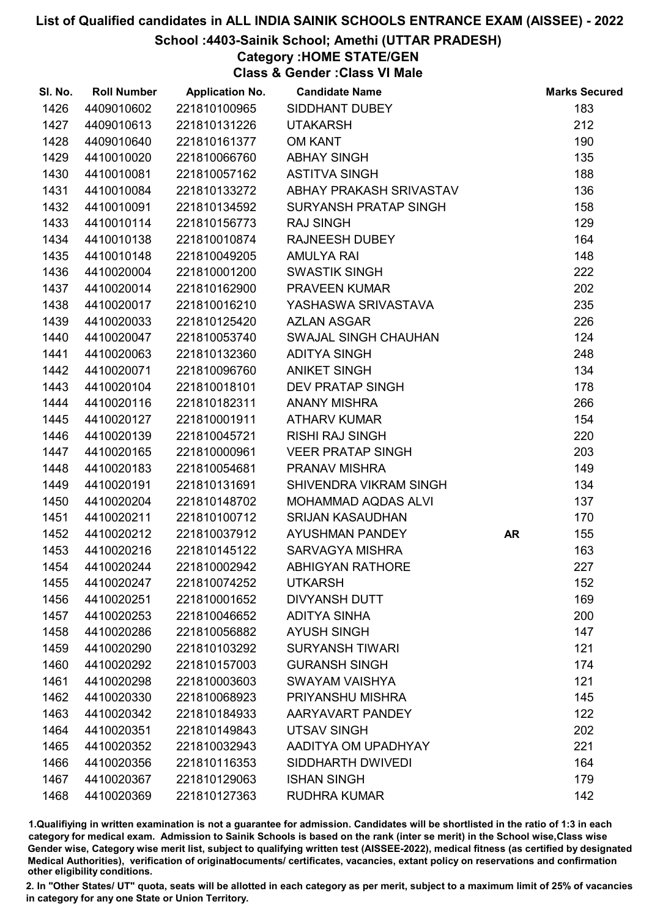#### School :4403-Sainik School; Amethi (UTTAR PRADESH)

Category :HOME STATE/GEN

Class & Gender :Class VI Male

| SI. No. | <b>Roll Number</b> | <b>Application No.</b> | <b>Candidate Name</b>    |           | <b>Marks Secured</b> |
|---------|--------------------|------------------------|--------------------------|-----------|----------------------|
| 1426    | 4409010602         | 221810100965           | SIDDHANT DUBEY           |           | 183                  |
| 1427    | 4409010613         | 221810131226           | <b>UTAKARSH</b>          |           | 212                  |
| 1428    | 4409010640         | 221810161377           | <b>OM KANT</b>           |           | 190                  |
| 1429    | 4410010020         | 221810066760           | <b>ABHAY SINGH</b>       |           | 135                  |
| 1430    | 4410010081         | 221810057162           | <b>ASTITVA SINGH</b>     |           | 188                  |
| 1431    | 4410010084         | 221810133272           | ABHAY PRAKASH SRIVASTAV  |           | 136                  |
| 1432    | 4410010091         | 221810134592           | SURYANSH PRATAP SINGH    |           | 158                  |
| 1433    | 4410010114         | 221810156773           | <b>RAJ SINGH</b>         |           | 129                  |
| 1434    | 4410010138         | 221810010874           | <b>RAJNEESH DUBEY</b>    |           | 164                  |
| 1435    | 4410010148         | 221810049205           | <b>AMULYA RAI</b>        |           | 148                  |
| 1436    | 4410020004         | 221810001200           | <b>SWASTIK SINGH</b>     |           | 222                  |
| 1437    | 4410020014         | 221810162900           | <b>PRAVEEN KUMAR</b>     |           | 202                  |
| 1438    | 4410020017         | 221810016210           | YASHASWA SRIVASTAVA      |           | 235                  |
| 1439    | 4410020033         | 221810125420           | <b>AZLAN ASGAR</b>       |           | 226                  |
| 1440    | 4410020047         | 221810053740           | SWAJAL SINGH CHAUHAN     |           | 124                  |
| 1441    | 4410020063         | 221810132360           | <b>ADITYA SINGH</b>      |           | 248                  |
| 1442    | 4410020071         | 221810096760           | <b>ANIKET SINGH</b>      |           | 134                  |
| 1443    | 4410020104         | 221810018101           | <b>DEV PRATAP SINGH</b>  |           | 178                  |
| 1444    | 4410020116         | 221810182311           | <b>ANANY MISHRA</b>      |           | 266                  |
| 1445    | 4410020127         | 221810001911           | <b>ATHARV KUMAR</b>      |           | 154                  |
| 1446    | 4410020139         | 221810045721           | <b>RISHI RAJ SINGH</b>   |           | 220                  |
| 1447    | 4410020165         | 221810000961           | <b>VEER PRATAP SINGH</b> |           | 203                  |
| 1448    | 4410020183         | 221810054681           | PRANAV MISHRA            |           | 149                  |
| 1449    | 4410020191         | 221810131691           | SHIVENDRA VIKRAM SINGH   |           | 134                  |
| 1450    | 4410020204         | 221810148702           | MOHAMMAD AQDAS ALVI      |           | 137                  |
| 1451    | 4410020211         | 221810100712           | <b>SRIJAN KASAUDHAN</b>  |           | 170                  |
| 1452    | 4410020212         | 221810037912           | AYUSHMAN PANDEY          | <b>AR</b> | 155                  |
| 1453    | 4410020216         | 221810145122           | <b>SARVAGYA MISHRA</b>   |           | 163                  |
| 1454    | 4410020244         | 221810002942           | <b>ABHIGYAN RATHORE</b>  |           | 227                  |
| 1455    | 4410020247         | 221810074252           | <b>UTKARSH</b>           |           | 152                  |
| 1456    | 4410020251         | 221810001652           | <b>DIVYANSH DUTT</b>     |           | 169                  |
| 1457    | 4410020253         | 221810046652           | <b>ADITYA SINHA</b>      |           | 200                  |
| 1458    | 4410020286         | 221810056882           | <b>AYUSH SINGH</b>       |           | 147                  |
| 1459    | 4410020290         | 221810103292           | <b>SURYANSH TIWARI</b>   |           | 121                  |
| 1460    | 4410020292         | 221810157003           | <b>GURANSH SINGH</b>     |           | 174                  |
| 1461    | 4410020298         | 221810003603           | <b>SWAYAM VAISHYA</b>    |           | 121                  |
| 1462    | 4410020330         | 221810068923           | PRIYANSHU MISHRA         |           | 145                  |
| 1463    | 4410020342         | 221810184933           | AARYAVART PANDEY         |           | 122                  |
| 1464    | 4410020351         | 221810149843           | <b>UTSAV SINGH</b>       |           | 202                  |
| 1465    | 4410020352         | 221810032943           | AADITYA OM UPADHYAY      |           | 221                  |
| 1466    | 4410020356         | 221810116353           | SIDDHARTH DWIVEDI        |           | 164                  |
| 1467    | 4410020367         | 221810129063           | <b>ISHAN SINGH</b>       |           | 179                  |
| 1468    | 4410020369         | 221810127363           | <b>RUDHRA KUMAR</b>      |           | 142                  |

1.Qualifiying in written examination is not a guarantee for admission. Candidates will be shortlisted in the ratio of 1:3 in each category for medical exam. Admission to Sainik Schools is based on the rank (inter se merit) in the School wise,Class wise Gender wise, Category wise merit list, subject to qualifying written test (AISSEE-2022), medical fitness (as certified by designated Medical Authorities), verification of originablocuments/ certificates, vacancies, extant policy on reservations and confirmation other eligibility conditions.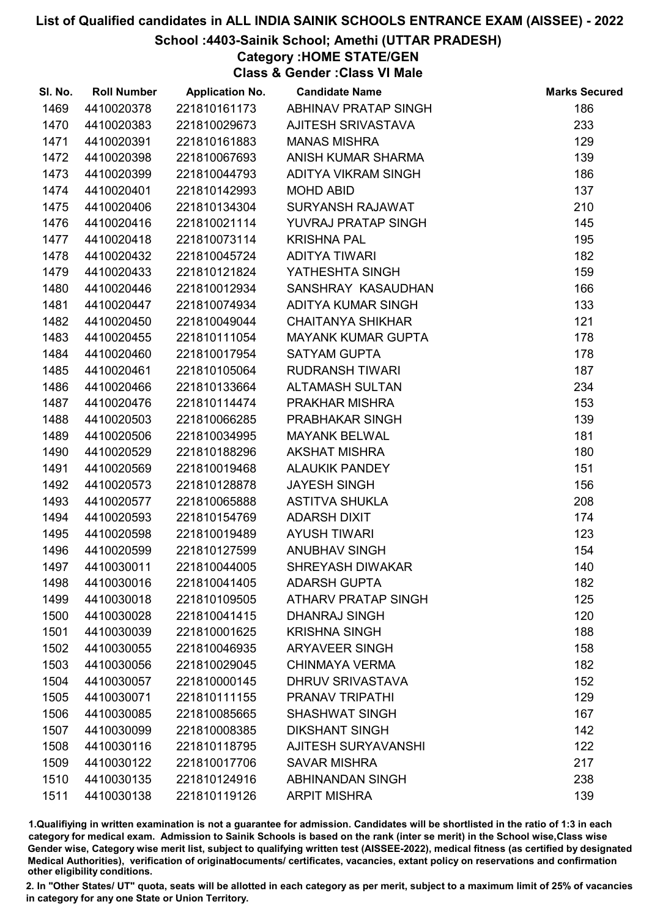## School :4403-Sainik School; Amethi (UTTAR PRADESH)

Category :HOME STATE/GEN

Class & Gender :Class VI Male

| SI. No. | <b>Roll Number</b> | <b>Application No.</b> | <b>Candidate Name</b>      | <b>Marks Secured</b> |
|---------|--------------------|------------------------|----------------------------|----------------------|
| 1469    | 4410020378         | 221810161173           | ABHINAV PRATAP SINGH       | 186                  |
| 1470    | 4410020383         | 221810029673           | <b>AJITESH SRIVASTAVA</b>  | 233                  |
| 1471    | 4410020391         | 221810161883           | <b>MANAS MISHRA</b>        | 129                  |
| 1472    | 4410020398         | 221810067693           | ANISH KUMAR SHARMA         | 139                  |
| 1473    | 4410020399         | 221810044793           | ADITYA VIKRAM SINGH        | 186                  |
| 1474    | 4410020401         | 221810142993           | <b>MOHD ABID</b>           | 137                  |
| 1475    | 4410020406         | 221810134304           | SURYANSH RAJAWAT           | 210                  |
| 1476    | 4410020416         | 221810021114           | YUVRAJ PRATAP SINGH        | 145                  |
| 1477    | 4410020418         | 221810073114           | <b>KRISHNA PAL</b>         | 195                  |
| 1478    | 4410020432         | 221810045724           | <b>ADITYA TIWARI</b>       | 182                  |
| 1479    | 4410020433         | 221810121824           | YATHESHTA SINGH            | 159                  |
| 1480    | 4410020446         | 221810012934           | SANSHRAY KASAUDHAN         | 166                  |
| 1481    | 4410020447         | 221810074934           | ADITYA KUMAR SINGH         | 133                  |
| 1482    | 4410020450         | 221810049044           | <b>CHAITANYA SHIKHAR</b>   | 121                  |
| 1483    | 4410020455         | 221810111054           | <b>MAYANK KUMAR GUPTA</b>  | 178                  |
| 1484    | 4410020460         | 221810017954           | <b>SATYAM GUPTA</b>        | 178                  |
| 1485    | 4410020461         | 221810105064           | <b>RUDRANSH TIWARI</b>     | 187                  |
| 1486    | 4410020466         | 221810133664           | <b>ALTAMASH SULTAN</b>     | 234                  |
| 1487    | 4410020476         | 221810114474           | PRAKHAR MISHRA             | 153                  |
| 1488    | 4410020503         | 221810066285           | PRABHAKAR SINGH            | 139                  |
| 1489    | 4410020506         | 221810034995           | <b>MAYANK BELWAL</b>       | 181                  |
| 1490    | 4410020529         | 221810188296           | <b>AKSHAT MISHRA</b>       | 180                  |
| 1491    | 4410020569         | 221810019468           | <b>ALAUKIK PANDEY</b>      | 151                  |
| 1492    | 4410020573         | 221810128878           | <b>JAYESH SINGH</b>        | 156                  |
| 1493    | 4410020577         | 221810065888           | <b>ASTITVA SHUKLA</b>      | 208                  |
| 1494    | 4410020593         | 221810154769           | <b>ADARSH DIXIT</b>        | 174                  |
| 1495    | 4410020598         | 221810019489           | <b>AYUSH TIWARI</b>        | 123                  |
| 1496    | 4410020599         | 221810127599           | <b>ANUBHAV SINGH</b>       | 154                  |
| 1497    | 4410030011         | 221810044005           | <b>SHREYASH DIWAKAR</b>    | 140                  |
| 1498    | 4410030016         | 221810041405           | <b>ADARSH GUPTA</b>        | 182                  |
| 1499    | 4410030018         | 221810109505           | <b>ATHARV PRATAP SINGH</b> | 125                  |
| 1500    | 4410030028         | 221810041415           | <b>DHANRAJ SINGH</b>       | 120                  |
| 1501    | 4410030039         | 221810001625           | <b>KRISHNA SINGH</b>       | 188                  |
| 1502    | 4410030055         | 221810046935           | <b>ARYAVEER SINGH</b>      | 158                  |
| 1503    | 4410030056         | 221810029045           | <b>CHINMAYA VERMA</b>      | 182                  |
| 1504    | 4410030057         | 221810000145           | <b>DHRUV SRIVASTAVA</b>    | 152                  |
| 1505    | 4410030071         | 221810111155           | PRANAV TRIPATHI            | 129                  |
| 1506    | 4410030085         | 221810085665           | <b>SHASHWAT SINGH</b>      | 167                  |
| 1507    | 4410030099         | 221810008385           | <b>DIKSHANT SINGH</b>      | 142                  |
| 1508    | 4410030116         | 221810118795           | AJITESH SURYAVANSHI        | 122                  |
| 1509    | 4410030122         | 221810017706           | <b>SAVAR MISHRA</b>        | 217                  |
| 1510    | 4410030135         | 221810124916           | <b>ABHINANDAN SINGH</b>    | 238                  |
| 1511    | 4410030138         | 221810119126           | <b>ARPIT MISHRA</b>        | 139                  |

1.Qualifiying in written examination is not a guarantee for admission. Candidates will be shortlisted in the ratio of 1:3 in each category for medical exam. Admission to Sainik Schools is based on the rank (inter se merit) in the School wise,Class wise Gender wise, Category wise merit list, subject to qualifying written test (AISSEE-2022), medical fitness (as certified by designated Medical Authorities), verification of originablocuments/ certificates, vacancies, extant policy on reservations and confirmation other eligibility conditions.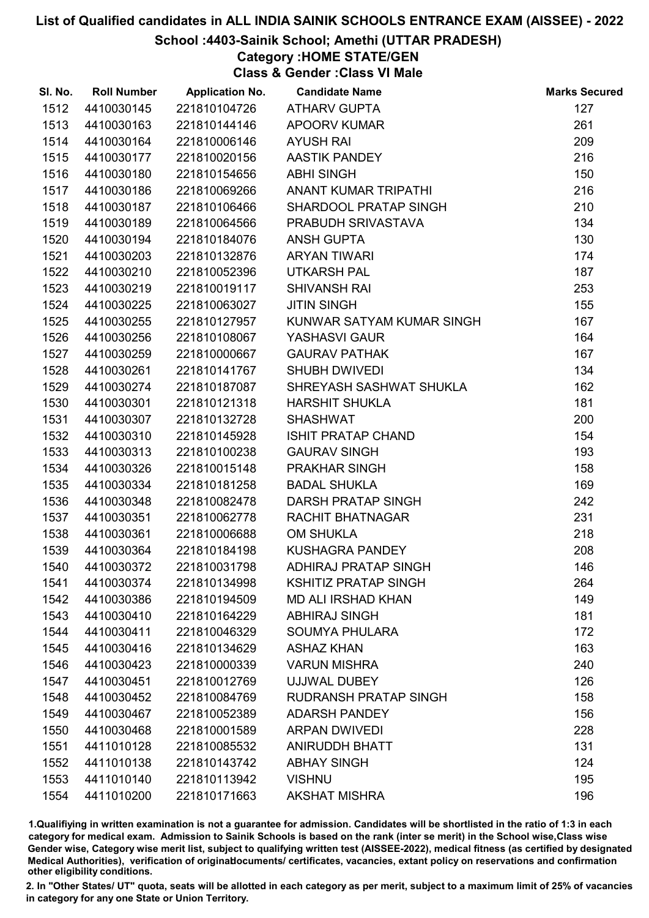### School :4403-Sainik School; Amethi (UTTAR PRADESH)

Category :HOME STATE/GEN

Class & Gender :Class VI Male

| SI. No. | <b>Roll Number</b> | <b>Application No.</b> | <b>Candidate Name</b>        | <b>Marks Secured</b> |
|---------|--------------------|------------------------|------------------------------|----------------------|
| 1512    | 4410030145         | 221810104726           | <b>ATHARV GUPTA</b>          | 127                  |
| 1513    | 4410030163         | 221810144146           | <b>APOORV KUMAR</b>          | 261                  |
| 1514    | 4410030164         | 221810006146           | <b>AYUSH RAI</b>             | 209                  |
| 1515    | 4410030177         | 221810020156           | <b>AASTIK PANDEY</b>         | 216                  |
| 1516    | 4410030180         | 221810154656           | <b>ABHI SINGH</b>            | 150                  |
| 1517    | 4410030186         | 221810069266           | ANANT KUMAR TRIPATHI         | 216                  |
| 1518    | 4410030187         | 221810106466           | SHARDOOL PRATAP SINGH        | 210                  |
| 1519    | 4410030189         | 221810064566           | PRABUDH SRIVASTAVA           | 134                  |
| 1520    | 4410030194         | 221810184076           | <b>ANSH GUPTA</b>            | 130                  |
| 1521    | 4410030203         | 221810132876           | <b>ARYAN TIWARI</b>          | 174                  |
| 1522    | 4410030210         | 221810052396           | <b>UTKARSH PAL</b>           | 187                  |
| 1523    | 4410030219         | 221810019117           | <b>SHIVANSH RAI</b>          | 253                  |
| 1524    | 4410030225         | 221810063027           | <b>JITIN SINGH</b>           | 155                  |
| 1525    | 4410030255         | 221810127957           | KUNWAR SATYAM KUMAR SINGH    | 167                  |
| 1526    | 4410030256         | 221810108067           | YASHASVI GAUR                | 164                  |
| 1527    | 4410030259         | 221810000667           | <b>GAURAV PATHAK</b>         | 167                  |
| 1528    | 4410030261         | 221810141767           | <b>SHUBH DWIVEDI</b>         | 134                  |
| 1529    | 4410030274         | 221810187087           | SHREYASH SASHWAT SHUKLA      | 162                  |
| 1530    | 4410030301         | 221810121318           | <b>HARSHIT SHUKLA</b>        | 181                  |
| 1531    | 4410030307         | 221810132728           | <b>SHASHWAT</b>              | 200                  |
| 1532    | 4410030310         | 221810145928           | <b>ISHIT PRATAP CHAND</b>    | 154                  |
| 1533    | 4410030313         | 221810100238           | <b>GAURAV SINGH</b>          | 193                  |
| 1534    | 4410030326         | 221810015148           | PRAKHAR SINGH                | 158                  |
| 1535    | 4410030334         | 221810181258           | <b>BADAL SHUKLA</b>          | 169                  |
| 1536    | 4410030348         | 221810082478           | DARSH PRATAP SINGH           | 242                  |
| 1537    | 4410030351         | 221810062778           | <b>RACHIT BHATNAGAR</b>      | 231                  |
| 1538    | 4410030361         | 221810006688           | <b>OM SHUKLA</b>             | 218                  |
| 1539    | 4410030364         | 221810184198           | <b>KUSHAGRA PANDEY</b>       | 208                  |
| 1540    | 4410030372         | 221810031798           | <b>ADHIRAJ PRATAP SINGH</b>  | 146                  |
| 1541    | 4410030374         | 221810134998           | <b>KSHITIZ PRATAP SINGH</b>  | 264                  |
| 1542    | 4410030386         | 221810194509           | <b>MD ALI IRSHAD KHAN</b>    | 149                  |
| 1543    | 4410030410         | 221810164229           | <b>ABHIRAJ SINGH</b>         | 181                  |
| 1544    | 4410030411         | 221810046329           | <b>SOUMYA PHULARA</b>        | 172                  |
| 1545    | 4410030416         | 221810134629           | <b>ASHAZ KHAN</b>            | 163                  |
| 1546    | 4410030423         | 221810000339           | <b>VARUN MISHRA</b>          | 240                  |
| 1547    | 4410030451         | 221810012769           | <b>UJJWAL DUBEY</b>          | 126                  |
| 1548    | 4410030452         | 221810084769           | <b>RUDRANSH PRATAP SINGH</b> | 158                  |
| 1549    | 4410030467         | 221810052389           | <b>ADARSH PANDEY</b>         | 156                  |
| 1550    | 4410030468         | 221810001589           | <b>ARPAN DWIVEDI</b>         | 228                  |
| 1551    | 4411010128         | 221810085532           | <b>ANIRUDDH BHATT</b>        | 131                  |
| 1552    | 4411010138         | 221810143742           | <b>ABHAY SINGH</b>           | 124                  |
| 1553    | 4411010140         | 221810113942           | <b>VISHNU</b>                | 195                  |
| 1554    | 4411010200         | 221810171663           | <b>AKSHAT MISHRA</b>         | 196                  |

1.Qualifiying in written examination is not a guarantee for admission. Candidates will be shortlisted in the ratio of 1:3 in each category for medical exam. Admission to Sainik Schools is based on the rank (inter se merit) in the School wise,Class wise Gender wise, Category wise merit list, subject to qualifying written test (AISSEE-2022), medical fitness (as certified by designated Medical Authorities), verification of originablocuments/ certificates, vacancies, extant policy on reservations and confirmation other eligibility conditions.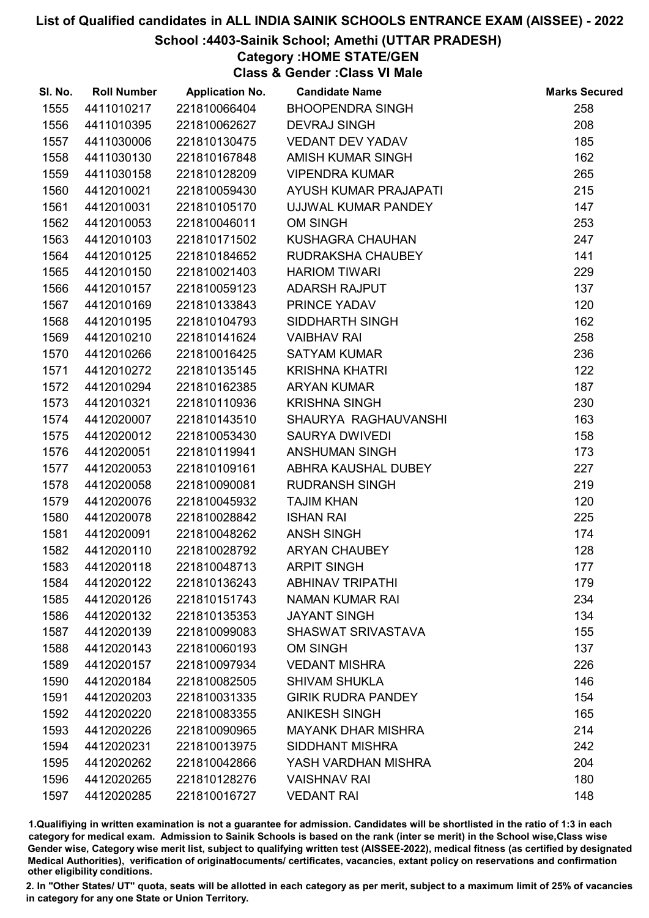## School :4403-Sainik School; Amethi (UTTAR PRADESH)

Category :HOME STATE/GEN

Class & Gender :Class VI Male

| SI. No. | <b>Roll Number</b> | <b>Application No.</b> | <b>Candidate Name</b>     | <b>Marks Secured</b> |
|---------|--------------------|------------------------|---------------------------|----------------------|
| 1555    | 4411010217         | 221810066404           | <b>BHOOPENDRA SINGH</b>   | 258                  |
| 1556    | 4411010395         | 221810062627           | <b>DEVRAJ SINGH</b>       | 208                  |
| 1557    | 4411030006         | 221810130475           | <b>VEDANT DEV YADAV</b>   | 185                  |
| 1558    | 4411030130         | 221810167848           | AMISH KUMAR SINGH         | 162                  |
| 1559    | 4411030158         | 221810128209           | <b>VIPENDRA KUMAR</b>     | 265                  |
| 1560    | 4412010021         | 221810059430           | AYUSH KUMAR PRAJAPATI     | 215                  |
| 1561    | 4412010031         | 221810105170           | UJJWAL KUMAR PANDEY       | 147                  |
| 1562    | 4412010053         | 221810046011           | <b>OM SINGH</b>           | 253                  |
| 1563    | 4412010103         | 221810171502           | KUSHAGRA CHAUHAN          | 247                  |
| 1564    | 4412010125         | 221810184652           | RUDRAKSHA CHAUBEY         | 141                  |
| 1565    | 4412010150         | 221810021403           | <b>HARIOM TIWARI</b>      | 229                  |
| 1566    | 4412010157         | 221810059123           | <b>ADARSH RAJPUT</b>      | 137                  |
| 1567    | 4412010169         | 221810133843           | PRINCE YADAV              | 120                  |
| 1568    | 4412010195         | 221810104793           | SIDDHARTH SINGH           | 162                  |
| 1569    | 4412010210         | 221810141624           | <b>VAIBHAV RAI</b>        | 258                  |
| 1570    | 4412010266         | 221810016425           | <b>SATYAM KUMAR</b>       | 236                  |
| 1571    | 4412010272         | 221810135145           | <b>KRISHNA KHATRI</b>     | 122                  |
| 1572    | 4412010294         | 221810162385           | <b>ARYAN KUMAR</b>        | 187                  |
| 1573    | 4412010321         | 221810110936           | <b>KRISHNA SINGH</b>      | 230                  |
| 1574    | 4412020007         | 221810143510           | SHAURYA RAGHAUVANSHI      | 163                  |
| 1575    | 4412020012         | 221810053430           | <b>SAURYA DWIVEDI</b>     | 158                  |
| 1576    | 4412020051         | 221810119941           | <b>ANSHUMAN SINGH</b>     | 173                  |
| 1577    | 4412020053         | 221810109161           | ABHRA KAUSHAL DUBEY       | 227                  |
| 1578    | 4412020058         | 221810090081           | <b>RUDRANSH SINGH</b>     | 219                  |
| 1579    | 4412020076         | 221810045932           | <b>TAJIM KHAN</b>         | 120                  |
| 1580    | 4412020078         | 221810028842           | <b>ISHAN RAI</b>          | 225                  |
| 1581    | 4412020091         | 221810048262           | <b>ANSH SINGH</b>         | 174                  |
| 1582    | 4412020110         | 221810028792           | <b>ARYAN CHAUBEY</b>      | 128                  |
| 1583    | 4412020118         | 221810048713           | <b>ARPIT SINGH</b>        | 177                  |
| 1584    | 4412020122         | 221810136243           | <b>ABHINAV TRIPATHI</b>   | 179                  |
| 1585    | 4412020126         | 221810151743           | <b>NAMAN KUMAR RAI</b>    | 234                  |
| 1586    | 4412020132         | 221810135353           | <b>JAYANT SINGH</b>       | 134                  |
| 1587    | 4412020139         | 221810099083           | SHASWAT SRIVASTAVA        | 155                  |
| 1588    | 4412020143         | 221810060193           | <b>OM SINGH</b>           | 137                  |
| 1589    | 4412020157         | 221810097934           | <b>VEDANT MISHRA</b>      | 226                  |
| 1590    | 4412020184         | 221810082505           | <b>SHIVAM SHUKLA</b>      | 146                  |
| 1591    | 4412020203         | 221810031335           | <b>GIRIK RUDRA PANDEY</b> | 154                  |
| 1592    | 4412020220         | 221810083355           | <b>ANIKESH SINGH</b>      | 165                  |
| 1593    | 4412020226         | 221810090965           | <b>MAYANK DHAR MISHRA</b> | 214                  |
| 1594    | 4412020231         | 221810013975           | <b>SIDDHANT MISHRA</b>    | 242                  |
| 1595    | 4412020262         | 221810042866           | YASH VARDHAN MISHRA       | 204                  |
| 1596    | 4412020265         | 221810128276           | <b>VAISHNAV RAI</b>       | 180                  |
| 1597    | 4412020285         | 221810016727           | <b>VEDANT RAI</b>         | 148                  |

1.Qualifiying in written examination is not a guarantee for admission. Candidates will be shortlisted in the ratio of 1:3 in each category for medical exam. Admission to Sainik Schools is based on the rank (inter se merit) in the School wise,Class wise Gender wise, Category wise merit list, subject to qualifying written test (AISSEE-2022), medical fitness (as certified by designated Medical Authorities), verification of originablocuments/ certificates, vacancies, extant policy on reservations and confirmation other eligibility conditions.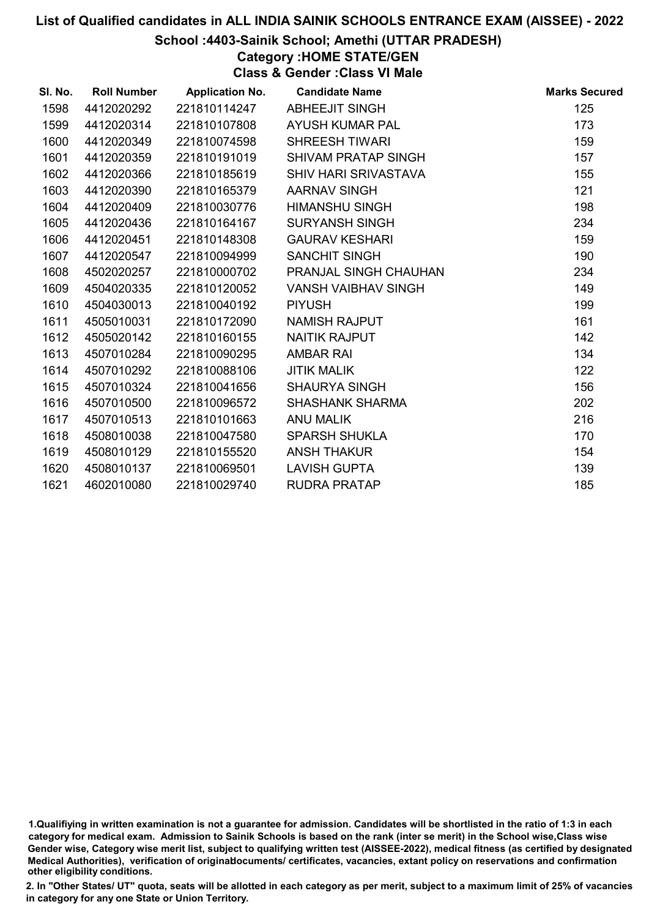### School :4403-Sainik School; Amethi (UTTAR PRADESH)

Category :HOME STATE/GEN

Class & Gender :Class VI Male

| SI. No. | <b>Roll Number</b> | <b>Application No.</b> | <b>Candidate Name</b>        | <b>Marks Secured</b> |
|---------|--------------------|------------------------|------------------------------|----------------------|
| 1598    | 4412020292         | 221810114247           | <b>ABHEEJIT SINGH</b>        | 125                  |
| 1599    | 4412020314         | 221810107808           | AYUSH KUMAR PAL              | 173                  |
| 1600    | 4412020349         | 221810074598           | <b>SHREESH TIWARI</b>        | 159                  |
| 1601    | 4412020359         | 221810191019           | <b>SHIVAM PRATAP SINGH</b>   | 157                  |
| 1602    | 4412020366         | 221810185619           | <b>SHIV HARI SRIVASTAVA</b>  | 155                  |
| 1603    | 4412020390         | 221810165379           | AARNAV SINGH                 | 121                  |
| 1604    | 4412020409         | 221810030776           | <b>HIMANSHU SINGH</b>        | 198                  |
| 1605    | 4412020436         | 221810164167           | <b>SURYANSH SINGH</b>        | 234                  |
| 1606    | 4412020451         | 221810148308           | <b>GAURAV KESHARI</b>        | 159                  |
| 1607    | 4412020547         | 221810094999           | <b>SANCHIT SINGH</b>         | 190                  |
| 1608    | 4502020257         | 221810000702           | <b>PRANJAL SINGH CHAUHAN</b> | 234                  |
| 1609    | 4504020335         | 221810120052           | <b>VANSH VAIBHAV SINGH</b>   | 149                  |
| 1610    | 4504030013         | 221810040192           | <b>PIYUSH</b>                | 199                  |
| 1611    | 4505010031         | 221810172090           | <b>NAMISH RAJPUT</b>         | 161                  |
| 1612    | 4505020142         | 221810160155           | <b>NAITIK RAJPUT</b>         | 142                  |
| 1613    | 4507010284         | 221810090295           | <b>AMBAR RAI</b>             | 134                  |
| 1614    | 4507010292         | 221810088106           | <b>JITIK MALIK</b>           | 122                  |
| 1615    | 4507010324         | 221810041656           | <b>SHAURYA SINGH</b>         | 156                  |
| 1616    | 4507010500         | 221810096572           | <b>SHASHANK SHARMA</b>       | 202                  |
| 1617    | 4507010513         | 221810101663           | <b>ANU MALIK</b>             | 216                  |
| 1618    | 4508010038         | 221810047580           | <b>SPARSH SHUKLA</b>         | 170                  |
| 1619    | 4508010129         | 221810155520           | <b>ANSH THAKUR</b>           | 154                  |
| 1620    | 4508010137         | 221810069501           | <b>LAVISH GUPTA</b>          | 139                  |
| 1621    | 4602010080         | 221810029740           | <b>RUDRA PRATAP</b>          | 185                  |

<sup>1.</sup>Qualifiying in written examination is not a guarantee for admission. Candidates will be shortlisted in the ratio of 1:3 in each category for medical exam. Admission to Sainik Schools is based on the rank (inter se merit) in the School wise,Class wise Gender wise, Category wise merit list, subject to qualifying written test (AISSEE-2022), medical fitness (as certified by designated Medical Authorities), verification of originablocuments/ certificates, vacancies, extant policy on reservations and confirmation other eligibility conditions.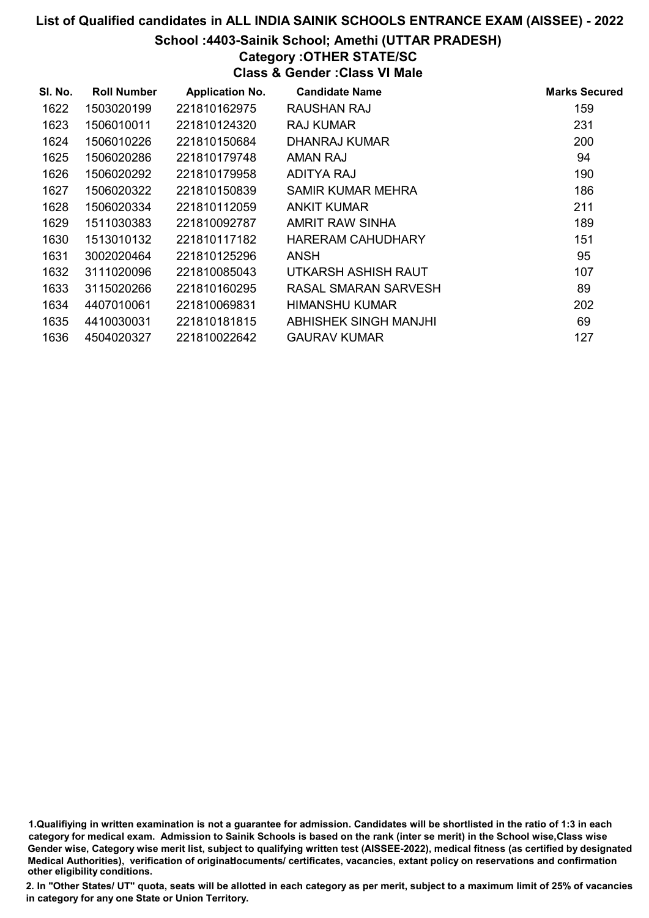# School :4403-Sainik School; Amethi (UTTAR PRADESH)

## Category :OTHER STATE/SC

Class & Gender :Class VI Male

| SI. No. | <b>Roll Number</b> | <b>Application No.</b> | <b>Candidate Name</b> | <b>Marks Secured</b> |
|---------|--------------------|------------------------|-----------------------|----------------------|
| 1622    | 1503020199         | 221810162975           | RAUSHAN RAJ           | 159                  |
| 1623    | 1506010011         | 221810124320           | RAJ KUMAR             | 231                  |
| 1624    | 1506010226         | 221810150684           | <b>DHANRAJ KUMAR</b>  | 200                  |
| 1625    | 1506020286         | 221810179748           | AMAN RAJ              | 94                   |
| 1626    | 1506020292         | 221810179958           | ADITYA RAJ            | 190                  |
| 1627    | 1506020322         | 221810150839           | SAMIR KUMAR MEHRA     | 186                  |
| 1628    | 1506020334         | 221810112059           | ANKIT KUMAR           | 211                  |
| 1629    | 1511030383         | 221810092787           | AMRIT RAW SINHA       | 189                  |
| 1630    | 1513010132         | 221810117182           | HARERAM CAHUDHARY     | 151                  |
| 1631    | 3002020464         | 221810125296           | ANSH                  | 95                   |
| 1632    | 3111020096         | 221810085043           | UTKARSH ASHISH RAUT   | 107                  |
| 1633    | 3115020266         | 221810160295           | RASAL SMARAN SARVESH  | 89                   |
| 1634    | 4407010061         | 221810069831           | HIMANSHU KUMAR        | 202                  |
| 1635    | 4410030031         | 221810181815           | ABHISHEK SINGH MANJHI | 69                   |
| 1636    | 4504020327         | 221810022642           | <b>GAURAV KUMAR</b>   | 127                  |

1.Qualifiying in written examination is not a guarantee for admission. Candidates will be shortlisted in the ratio of 1:3 in each category for medical exam. Admission to Sainik Schools is based on the rank (inter se merit) in the School wise,Class wise Gender wise, Category wise merit list, subject to qualifying written test (AISSEE-2022), medical fitness (as certified by designated Medical Authorities), verification of originablocuments/ certificates, vacancies, extant policy on reservations and confirmation other eligibility conditions.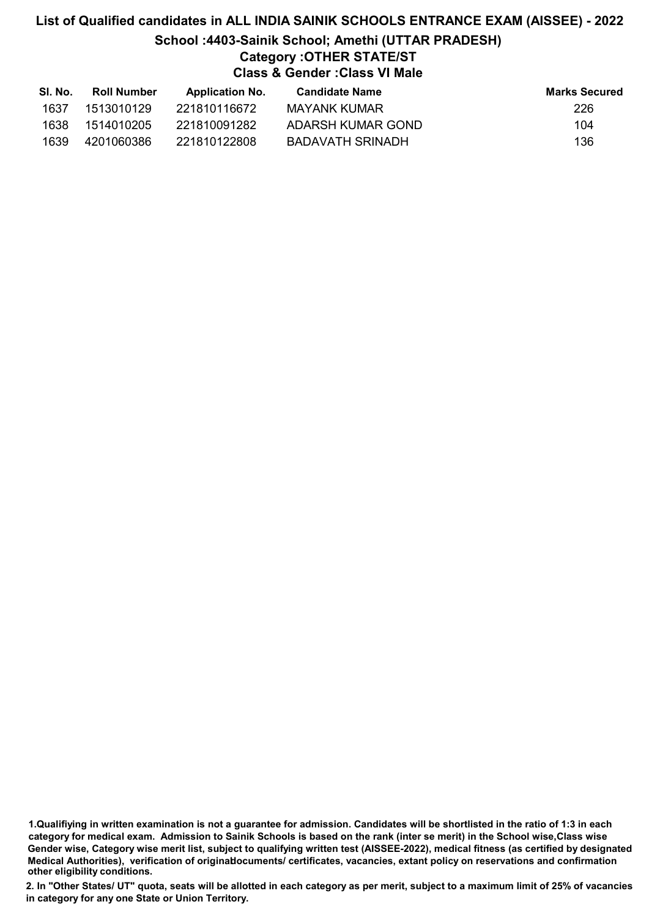# List of Qualified candidates in ALL INDIA SAINIK SCHOOLS ENTRANCE EXAM (AISSEE) - 2022 School :4403-Sainik School; Amethi (UTTAR PRADESH) Category :OTHER STATE/ST Class & Gender :Class VI Male

| SI. No. | <b>Roll Number</b> | <b>Application No.</b> | Candidate Name    | <b>Marks Secured</b> |
|---------|--------------------|------------------------|-------------------|----------------------|
| 1637    | 1513010129         | 221810116672           | MAYANK KUMAR      | 226                  |
| 1638    | 1514010205         | 221810091282           | ADARSH KUMAR GOND | 104                  |
| 1639    | 4201060386         | 221810122808           | BADAVATH SRINADH  | 136                  |

1.Qualifiying in written examination is not a guarantee for admission. Candidates will be shortlisted in the ratio of 1:3 in each category for medical exam. Admission to Sainik Schools is based on the rank (inter se merit) in the School wise,Class wise Gender wise, Category wise merit list, subject to qualifying written test (AISSEE-2022), medical fitness (as certified by designated Medical Authorities), verification of originablocuments/ certificates, vacancies, extant policy on reservations and confirmation other eligibility conditions.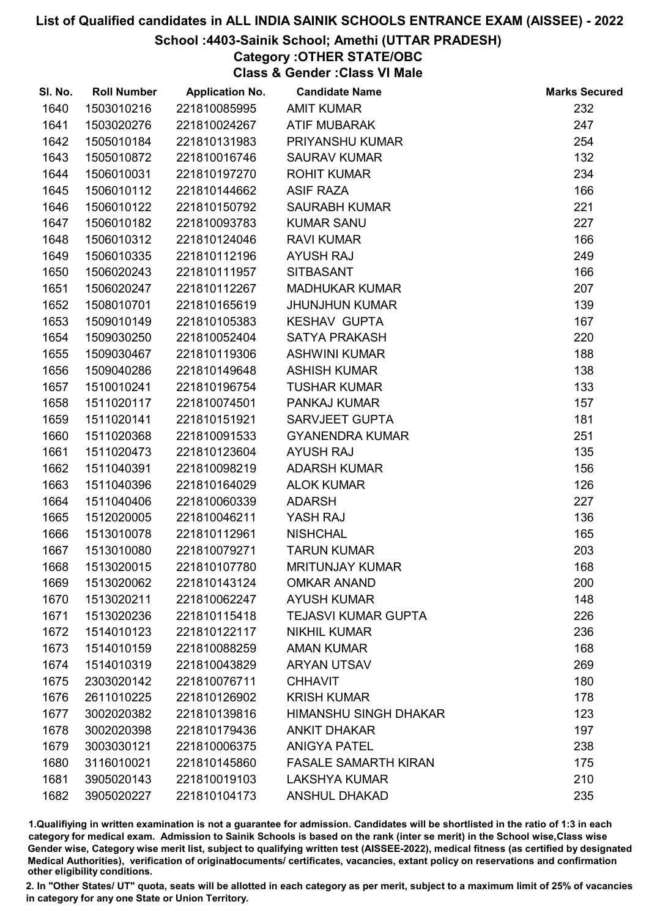#### School :4403-Sainik School; Amethi (UTTAR PRADESH)

Category :OTHER STATE/OBC

Class & Gender :Class VI Male

| SI. No. | <b>Roll Number</b> | <b>Application No.</b> | <b>Candidate Name</b>        | <b>Marks Secured</b> |
|---------|--------------------|------------------------|------------------------------|----------------------|
| 1640    | 1503010216         | 221810085995           | <b>AMIT KUMAR</b>            | 232                  |
| 1641    | 1503020276         | 221810024267           | <b>ATIF MUBARAK</b>          | 247                  |
| 1642    | 1505010184         | 221810131983           | PRIYANSHU KUMAR              | 254                  |
| 1643    | 1505010872         | 221810016746           | <b>SAURAV KUMAR</b>          | 132                  |
| 1644    | 1506010031         | 221810197270           | <b>ROHIT KUMAR</b>           | 234                  |
| 1645    | 1506010112         | 221810144662           | <b>ASIF RAZA</b>             | 166                  |
| 1646    | 1506010122         | 221810150792           | <b>SAURABH KUMAR</b>         | 221                  |
| 1647    | 1506010182         | 221810093783           | <b>KUMAR SANU</b>            | 227                  |
| 1648    | 1506010312         | 221810124046           | <b>RAVI KUMAR</b>            | 166                  |
| 1649    | 1506010335         | 221810112196           | <b>AYUSH RAJ</b>             | 249                  |
| 1650    | 1506020243         | 221810111957           | <b>SITBASANT</b>             | 166                  |
| 1651    | 1506020247         | 221810112267           | <b>MADHUKAR KUMAR</b>        | 207                  |
| 1652    | 1508010701         | 221810165619           | <b>JHUNJHUN KUMAR</b>        | 139                  |
| 1653    | 1509010149         | 221810105383           | <b>KESHAV GUPTA</b>          | 167                  |
| 1654    | 1509030250         | 221810052404           | <b>SATYA PRAKASH</b>         | 220                  |
| 1655    | 1509030467         | 221810119306           | <b>ASHWINI KUMAR</b>         | 188                  |
| 1656    | 1509040286         | 221810149648           | <b>ASHISH KUMAR</b>          | 138                  |
| 1657    | 1510010241         | 221810196754           | <b>TUSHAR KUMAR</b>          | 133                  |
| 1658    | 1511020117         | 221810074501           | PANKAJ KUMAR                 | 157                  |
| 1659    | 1511020141         | 221810151921           | <b>SARVJEET GUPTA</b>        | 181                  |
| 1660    | 1511020368         | 221810091533           | <b>GYANENDRA KUMAR</b>       | 251                  |
| 1661    | 1511020473         | 221810123604           | <b>AYUSH RAJ</b>             | 135                  |
| 1662    | 1511040391         | 221810098219           | <b>ADARSH KUMAR</b>          | 156                  |
| 1663    | 1511040396         | 221810164029           | <b>ALOK KUMAR</b>            | 126                  |
| 1664    | 1511040406         | 221810060339           | <b>ADARSH</b>                | 227                  |
| 1665    | 1512020005         | 221810046211           | YASH RAJ                     | 136                  |
| 1666    | 1513010078         | 221810112961           | <b>NISHCHAL</b>              | 165                  |
| 1667    | 1513010080         | 221810079271           | <b>TARUN KUMAR</b>           | 203                  |
| 1668    | 1513020015         | 221810107780           | <b>MRITUNJAY KUMAR</b>       | 168                  |
| 1669    | 1513020062         | 221810143124           | <b>OMKAR ANAND</b>           | 200                  |
| 1670    | 1513020211         | 221810062247           | <b>AYUSH KUMAR</b>           | 148                  |
| 1671    | 1513020236         | 221810115418           | <b>TEJASVI KUMAR GUPTA</b>   | 226                  |
| 1672    | 1514010123         | 221810122117           | <b>NIKHIL KUMAR</b>          | 236                  |
| 1673    | 1514010159         | 221810088259           | <b>AMAN KUMAR</b>            | 168                  |
| 1674    | 1514010319         | 221810043829           | <b>ARYAN UTSAV</b>           | 269                  |
| 1675    | 2303020142         | 221810076711           | <b>CHHAVIT</b>               | 180                  |
| 1676    | 2611010225         | 221810126902           | <b>KRISH KUMAR</b>           | 178                  |
| 1677    | 3002020382         | 221810139816           | <b>HIMANSHU SINGH DHAKAR</b> | 123                  |
| 1678    | 3002020398         | 221810179436           | <b>ANKIT DHAKAR</b>          | 197                  |
| 1679    | 3003030121         | 221810006375           | <b>ANIGYA PATEL</b>          | 238                  |
| 1680    | 3116010021         | 221810145860           | <b>FASALE SAMARTH KIRAN</b>  | 175                  |
| 1681    | 3905020143         | 221810019103           | <b>LAKSHYA KUMAR</b>         | 210                  |
| 1682    | 3905020227         | 221810104173           | <b>ANSHUL DHAKAD</b>         | 235                  |

1.Qualifiying in written examination is not a guarantee for admission. Candidates will be shortlisted in the ratio of 1:3 in each category for medical exam. Admission to Sainik Schools is based on the rank (inter se merit) in the School wise,Class wise Gender wise, Category wise merit list, subject to qualifying written test (AISSEE-2022), medical fitness (as certified by designated Medical Authorities), verification of originablocuments/ certificates, vacancies, extant policy on reservations and confirmation other eligibility conditions.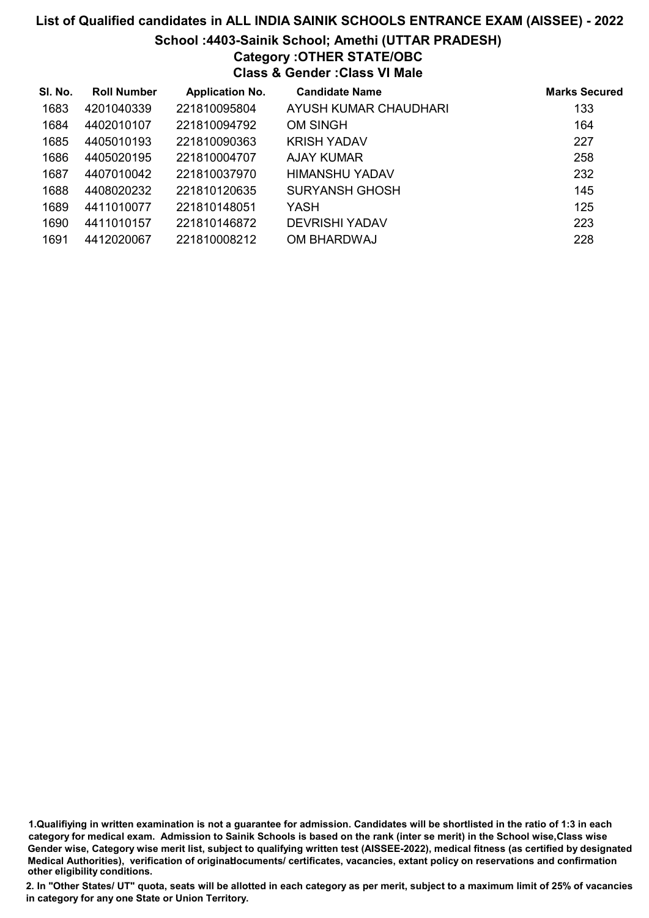# List of Qualified candidates in ALL INDIA SAINIK SCHOOLS ENTRANCE EXAM (AISSEE) - 2022 School :4403-Sainik School; Amethi (UTTAR PRADESH) Category :OTHER STATE/OBC Class & Gender :Class VI Male

| SI. No. | <b>Roll Number</b> | <b>Application No.</b> | <b>Candidate Name</b> | <b>Marks Secured</b> |
|---------|--------------------|------------------------|-----------------------|----------------------|
| 1683    | 4201040339         | 221810095804           | AYUSH KUMAR CHAUDHARI | 133                  |
| 1684    | 4402010107         | 221810094792           | OM SINGH              | 164                  |
| 1685    | 4405010193         | 221810090363           | <b>KRISH YADAV</b>    | 227                  |
| 1686    | 4405020195         | 221810004707           | AJAY KUMAR            | 258                  |
| 1687    | 4407010042         | 221810037970           | HIMANSHU YADAV        | 232                  |
| 1688    | 4408020232         | 221810120635           | <b>SURYANSH GHOSH</b> | 145                  |
| 1689    | 4411010077         | 221810148051           | YASH                  | 125                  |
| 1690    | 4411010157         | 221810146872           | <b>DEVRISHI YADAV</b> | 223                  |
| 1691    | 4412020067         | 221810008212           | OM BHARDWAJ           | 228                  |

<sup>1.</sup>Qualifiying in written examination is not a guarantee for admission. Candidates will be shortlisted in the ratio of 1:3 in each category for medical exam. Admission to Sainik Schools is based on the rank (inter se merit) in the School wise,Class wise Gender wise, Category wise merit list, subject to qualifying written test (AISSEE-2022), medical fitness (as certified by designated Medical Authorities), verification of originablocuments/ certificates, vacancies, extant policy on reservations and confirmation other eligibility conditions.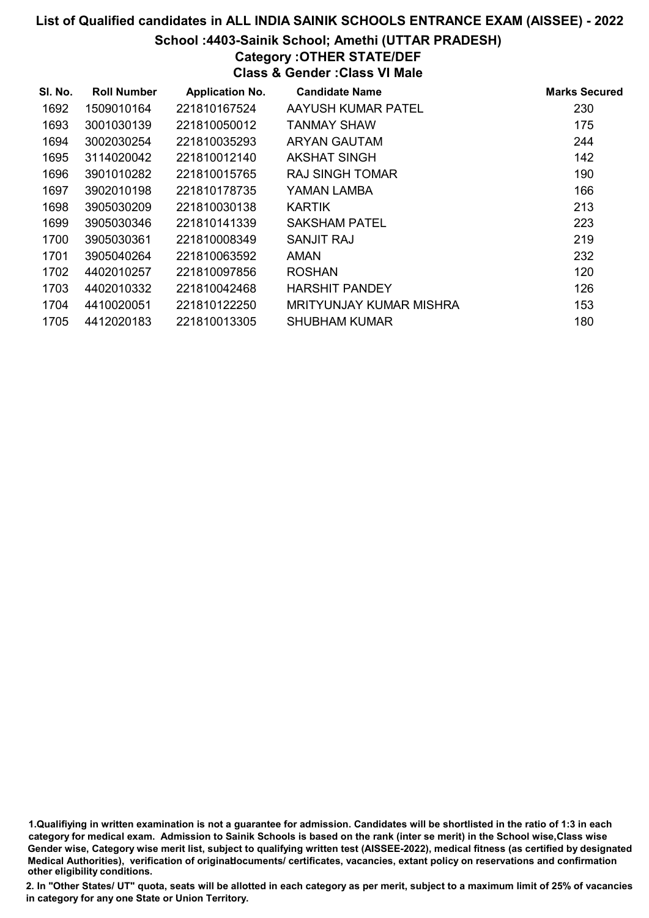# School :4403-Sainik School; Amethi (UTTAR PRADESH)

Category :OTHER STATE/DEF Class & Gender :Class VI Male

| SI. No. | <b>Roll Number</b> | <b>Application No.</b> | <b>Candidate Name</b>   | <b>Marks Secured</b> |
|---------|--------------------|------------------------|-------------------------|----------------------|
| 1692    | 1509010164         | 221810167524           | AAYUSH KUMAR PATEL      | 230                  |
| 1693    | 3001030139         | 221810050012           | TANMAY SHAW             | 175                  |
| 1694    | 3002030254         | 221810035293           | <b>ARYAN GAUTAM</b>     | 244                  |
| 1695    | 3114020042         | 221810012140           | AKSHAT SINGH            | 142                  |
| 1696    | 3901010282         | 221810015765           | RAJ SINGH TOMAR         | 190                  |
| 1697    | 3902010198         | 221810178735           | YAMAN LAMBA             | 166                  |
| 1698    | 3905030209         | 221810030138           | <b>KARTIK</b>           | 213                  |
| 1699    | 3905030346         | 221810141339           | SAKSHAM PATEL           | 223                  |
| 1700    | 3905030361         | 221810008349           | SANJIT RAJ              | 219                  |
| 1701    | 3905040264         | 221810063592           | AMAN                    | 232                  |
| 1702    | 4402010257         | 221810097856           | <b>ROSHAN</b>           | 120                  |
| 1703    | 4402010332         | 221810042468           | <b>HARSHIT PANDEY</b>   | 126                  |
| 1704    | 4410020051         | 221810122250           | MRITYUNJAY KUMAR MISHRA | 153                  |
| 1705    | 4412020183         | 221810013305           | <b>SHUBHAM KUMAR</b>    | 180                  |

1.Qualifiying in written examination is not a guarantee for admission. Candidates will be shortlisted in the ratio of 1:3 in each category for medical exam. Admission to Sainik Schools is based on the rank (inter se merit) in the School wise,Class wise Gender wise, Category wise merit list, subject to qualifying written test (AISSEE-2022), medical fitness (as certified by designated Medical Authorities), verification of originablocuments/ certificates, vacancies, extant policy on reservations and confirmation other eligibility conditions.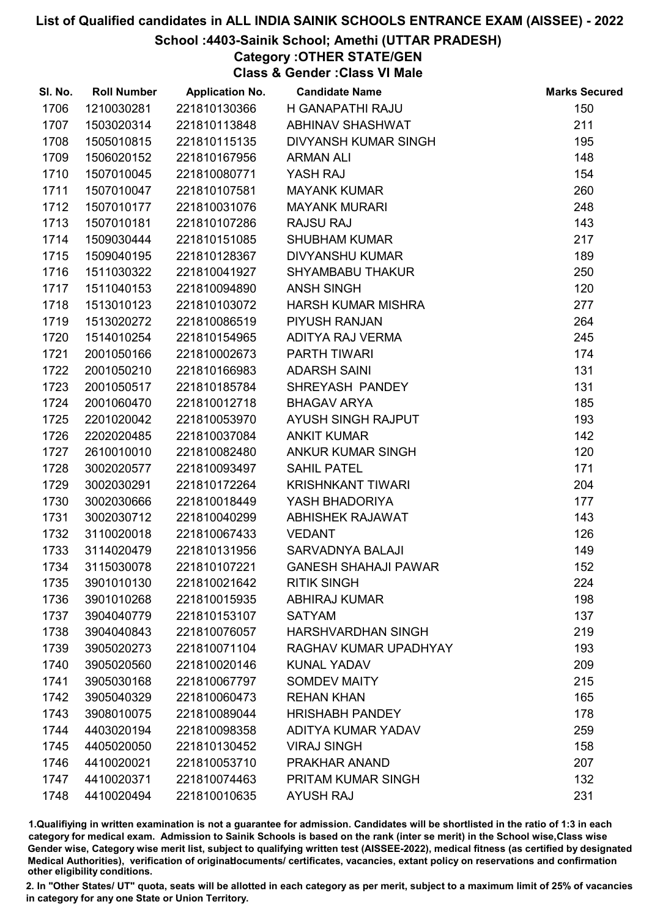## School :4403-Sainik School; Amethi (UTTAR PRADESH)

Category :OTHER STATE/GEN Class & Gender :Class VI Male

| SI. No. | <b>Roll Number</b> | <b>Application No.</b> | <b>Candidate Name</b>       | <b>Marks Secured</b> |
|---------|--------------------|------------------------|-----------------------------|----------------------|
| 1706    | 1210030281         | 221810130366           | H GANAPATHI RAJU            | 150                  |
| 1707    | 1503020314         | 221810113848           | ABHINAV SHASHWAT            | 211                  |
| 1708    | 1505010815         | 221810115135           | DIVYANSH KUMAR SINGH        | 195                  |
| 1709    | 1506020152         | 221810167956           | <b>ARMAN ALI</b>            | 148                  |
| 1710    | 1507010045         | 221810080771           | YASH RAJ                    | 154                  |
| 1711    | 1507010047         | 221810107581           | <b>MAYANK KUMAR</b>         | 260                  |
| 1712    | 1507010177         | 221810031076           | <b>MAYANK MURARI</b>        | 248                  |
| 1713    | 1507010181         | 221810107286           | <b>RAJSU RAJ</b>            | 143                  |
| 1714    | 1509030444         | 221810151085           | <b>SHUBHAM KUMAR</b>        | 217                  |
| 1715    | 1509040195         | 221810128367           | DIVYANSHU KUMAR             | 189                  |
| 1716    | 1511030322         | 221810041927           | <b>SHYAMBABU THAKUR</b>     | 250                  |
| 1717    | 1511040153         | 221810094890           | <b>ANSH SINGH</b>           | 120                  |
| 1718    | 1513010123         | 221810103072           | <b>HARSH KUMAR MISHRA</b>   | 277                  |
| 1719    | 1513020272         | 221810086519           | PIYUSH RANJAN               | 264                  |
| 1720    | 1514010254         | 221810154965           | ADITYA RAJ VERMA            | 245                  |
| 1721    | 2001050166         | 221810002673           | <b>PARTH TIWARI</b>         | 174                  |
| 1722    | 2001050210         | 221810166983           | <b>ADARSH SAINI</b>         | 131                  |
| 1723    | 2001050517         | 221810185784           | SHREYASH PANDEY             | 131                  |
| 1724    | 2001060470         | 221810012718           | <b>BHAGAV ARYA</b>          | 185                  |
| 1725    | 2201020042         | 221810053970           | AYUSH SINGH RAJPUT          | 193                  |
| 1726    | 2202020485         | 221810037084           | <b>ANKIT KUMAR</b>          | 142                  |
| 1727    | 2610010010         | 221810082480           | ANKUR KUMAR SINGH           | 120                  |
| 1728    | 3002020577         | 221810093497           | <b>SAHIL PATEL</b>          | 171                  |
| 1729    | 3002030291         | 221810172264           | <b>KRISHNKANT TIWARI</b>    | 204                  |
| 1730    | 3002030666         | 221810018449           | YASH BHADORIYA              | 177                  |
| 1731    | 3002030712         | 221810040299           | <b>ABHISHEK RAJAWAT</b>     | 143                  |
| 1732    | 3110020018         | 221810067433           | <b>VEDANT</b>               | 126                  |
| 1733    | 3114020479         | 221810131956           | SARVADNYA BALAJI            | 149                  |
| 1734    | 3115030078         | 221810107221           | <b>GANESH SHAHAJI PAWAR</b> | 152                  |
| 1735    | 3901010130         | 221810021642           | <b>RITIK SINGH</b>          | 224                  |
| 1736    | 3901010268         | 221810015935           | <b>ABHIRAJ KUMAR</b>        | 198                  |
| 1737    | 3904040779         | 221810153107           | <b>SATYAM</b>               | 137                  |
| 1738    | 3904040843         | 221810076057           | <b>HARSHVARDHAN SINGH</b>   | 219                  |
| 1739    | 3905020273         | 221810071104           | RAGHAV KUMAR UPADHYAY       | 193                  |
| 1740    | 3905020560         | 221810020146           | <b>KUNAL YADAV</b>          | 209                  |
| 1741    | 3905030168         | 221810067797           | <b>SOMDEV MAITY</b>         | 215                  |
| 1742    | 3905040329         | 221810060473           | <b>REHAN KHAN</b>           | 165                  |
| 1743    | 3908010075         | 221810089044           | <b>HRISHABH PANDEY</b>      | 178                  |
| 1744    | 4403020194         | 221810098358           | ADITYA KUMAR YADAV          | 259                  |
| 1745    | 4405020050         | 221810130452           | <b>VIRAJ SINGH</b>          | 158                  |
| 1746    | 4410020021         | 221810053710           | PRAKHAR ANAND               | 207                  |
| 1747    | 4410020371         | 221810074463           | PRITAM KUMAR SINGH          | 132                  |
| 1748    | 4410020494         | 221810010635           | <b>AYUSH RAJ</b>            | 231                  |

1.Qualifiying in written examination is not a guarantee for admission. Candidates will be shortlisted in the ratio of 1:3 in each category for medical exam. Admission to Sainik Schools is based on the rank (inter se merit) in the School wise,Class wise Gender wise, Category wise merit list, subject to qualifying written test (AISSEE-2022), medical fitness (as certified by designated Medical Authorities), verification of originablocuments/ certificates, vacancies, extant policy on reservations and confirmation other eligibility conditions.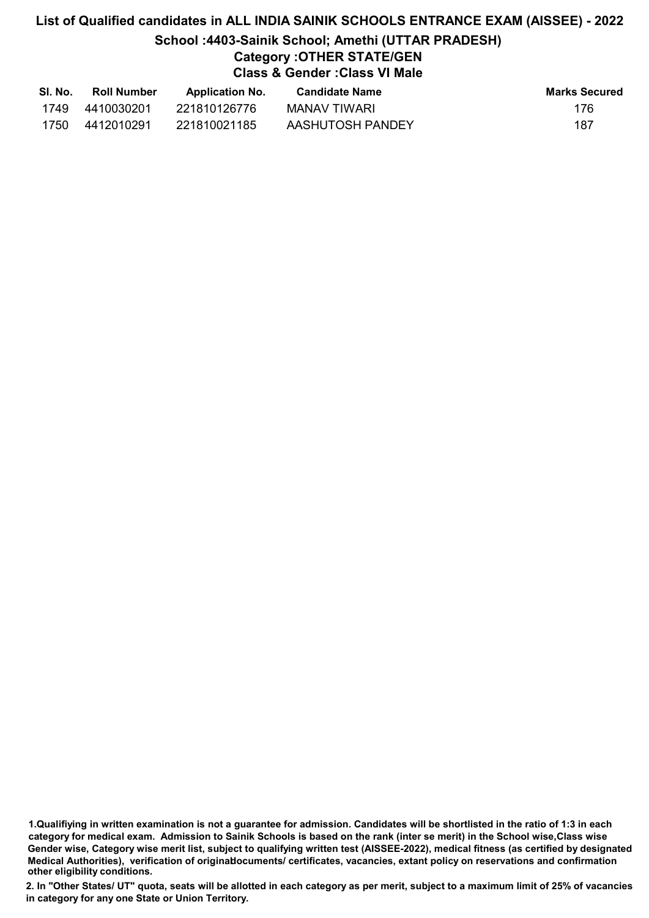# List of Qualified candidates in ALL INDIA SAINIK SCHOOLS ENTRANCE EXAM (AISSEE) - 2022 School :4403-Sainik School; Amethi (UTTAR PRADESH) Category :OTHER STATE/GEN Class & Gender :Class VI Male

| SI. No. | <b>Roll Number</b> | <b>Application No.</b> | <b>Candidate Name</b> | <b>Marks Secured</b> |
|---------|--------------------|------------------------|-----------------------|----------------------|
| 1749    | 4410030201         | 221810126776           | MANAV TIWARI          | 176                  |
| 1750    | 4412010291         | 221810021185           | AASHUTOSH PANDEY      | 187                  |

<sup>1.</sup>Qualifiying in written examination is not a guarantee for admission. Candidates will be shortlisted in the ratio of 1:3 in each category for medical exam. Admission to Sainik Schools is based on the rank (inter se merit) in the School wise,Class wise Gender wise, Category wise merit list, subject to qualifying written test (AISSEE-2022), medical fitness (as certified by designated Medical Authorities), verification of originablocuments/ certificates, vacancies, extant policy on reservations and confirmation other eligibility conditions.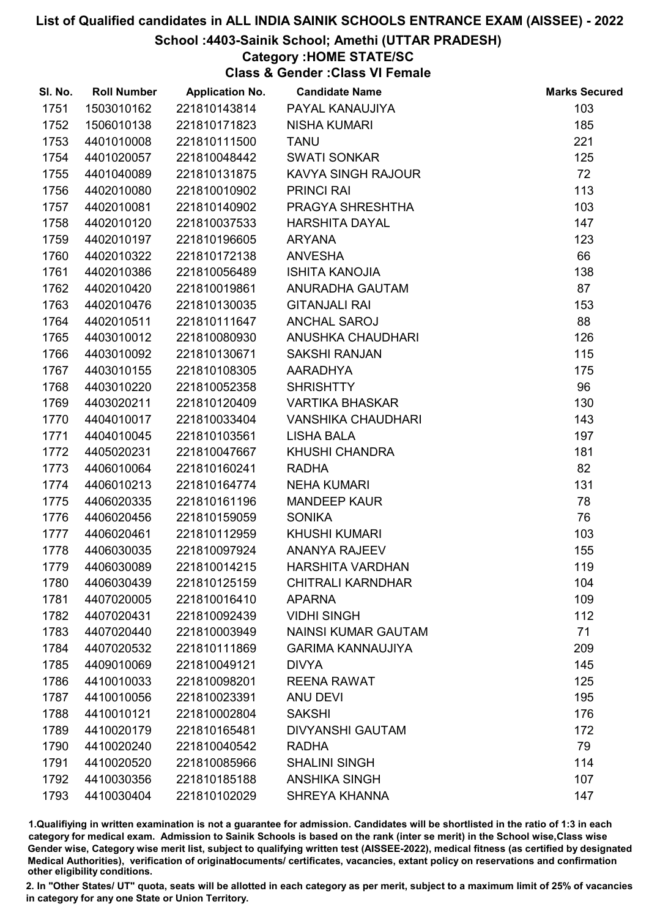### School :4403-Sainik School; Amethi (UTTAR PRADESH)

### Category :HOME STATE/SC

Class & Gender :Class VI Female

| SI. No. | <b>Roll Number</b> | <b>Application No.</b> | <b>Candidate Name</b>      | <b>Marks Secured</b> |
|---------|--------------------|------------------------|----------------------------|----------------------|
| 1751    | 1503010162         | 221810143814           | PAYAL KANAUJIYA            | 103                  |
| 1752    | 1506010138         | 221810171823           | <b>NISHA KUMARI</b>        | 185                  |
| 1753    | 4401010008         | 221810111500           | <b>TANU</b>                | 221                  |
| 1754    | 4401020057         | 221810048442           | <b>SWATI SONKAR</b>        | 125                  |
| 1755    | 4401040089         | 221810131875           | <b>KAVYA SINGH RAJOUR</b>  | 72                   |
| 1756    | 4402010080         | 221810010902           | <b>PRINCI RAI</b>          | 113                  |
| 1757    | 4402010081         | 221810140902           | PRAGYA SHRESHTHA           | 103                  |
| 1758    | 4402010120         | 221810037533           | <b>HARSHITA DAYAL</b>      | 147                  |
| 1759    | 4402010197         | 221810196605           | <b>ARYANA</b>              | 123                  |
| 1760    | 4402010322         | 221810172138           | <b>ANVESHA</b>             | 66                   |
| 1761    | 4402010386         | 221810056489           | <b>ISHITA KANOJIA</b>      | 138                  |
| 1762    | 4402010420         | 221810019861           | ANURADHA GAUTAM            | 87                   |
| 1763    | 4402010476         | 221810130035           | <b>GITANJALI RAI</b>       | 153                  |
| 1764    | 4402010511         | 221810111647           | <b>ANCHAL SAROJ</b>        | 88                   |
| 1765    | 4403010012         | 221810080930           | ANUSHKA CHAUDHARI          | 126                  |
| 1766    | 4403010092         | 221810130671           | <b>SAKSHI RANJAN</b>       | 115                  |
| 1767    | 4403010155         | 221810108305           | AARADHYA                   | 175                  |
| 1768    | 4403010220         | 221810052358           | <b>SHRISHTTY</b>           | 96                   |
| 1769    | 4403020211         | 221810120409           | <b>VARTIKA BHASKAR</b>     | 130                  |
| 1770    | 4404010017         | 221810033404           | <b>VANSHIKA CHAUDHARI</b>  | 143                  |
| 1771    | 4404010045         | 221810103561           | <b>LISHA BALA</b>          | 197                  |
| 1772    | 4405020231         | 221810047667           | KHUSHI CHANDRA             | 181                  |
| 1773    | 4406010064         | 221810160241           | <b>RADHA</b>               | 82                   |
| 1774    | 4406010213         | 221810164774           | <b>NEHA KUMARI</b>         | 131                  |
| 1775    | 4406020335         | 221810161196           | <b>MANDEEP KAUR</b>        | 78                   |
| 1776    | 4406020456         | 221810159059           | <b>SONIKA</b>              | 76                   |
| 1777    | 4406020461         | 221810112959           | <b>KHUSHI KUMARI</b>       | 103                  |
| 1778    | 4406030035         | 221810097924           | <b>ANANYA RAJEEV</b>       | 155                  |
| 1779    | 4406030089         | 221810014215           | <b>HARSHITA VARDHAN</b>    | 119                  |
| 1780    | 4406030439         | 221810125159           | <b>CHITRALI KARNDHAR</b>   | 104                  |
| 1781    | 4407020005         | 221810016410           | <b>APARNA</b>              | 109                  |
| 1782    | 4407020431         | 221810092439           | <b>VIDHI SINGH</b>         | 112                  |
| 1783    | 4407020440         | 221810003949           | <b>NAINSI KUMAR GAUTAM</b> | 71                   |
| 1784    | 4407020532         | 221810111869           | <b>GARIMA KANNAUJIYA</b>   | 209                  |
| 1785    | 4409010069         | 221810049121           | <b>DIVYA</b>               | 145                  |
| 1786    | 4410010033         | 221810098201           | <b>REENA RAWAT</b>         | 125                  |
| 1787    | 4410010056         | 221810023391           | <b>ANU DEVI</b>            | 195                  |
| 1788    | 4410010121         | 221810002804           | <b>SAKSHI</b>              | 176                  |
| 1789    | 4410020179         | 221810165481           | <b>DIVYANSHI GAUTAM</b>    | 172                  |
| 1790    | 4410020240         | 221810040542           | <b>RADHA</b>               | 79                   |
| 1791    | 4410020520         | 221810085966           | <b>SHALINI SINGH</b>       | 114                  |
| 1792    | 4410030356         | 221810185188           | <b>ANSHIKA SINGH</b>       | 107                  |
| 1793    | 4410030404         | 221810102029           | SHREYA KHANNA              | 147                  |

1.Qualifiying in written examination is not a guarantee for admission. Candidates will be shortlisted in the ratio of 1:3 in each category for medical exam. Admission to Sainik Schools is based on the rank (inter se merit) in the School wise,Class wise Gender wise, Category wise merit list, subject to qualifying written test (AISSEE-2022), medical fitness (as certified by designated Medical Authorities), verification of originablocuments/ certificates, vacancies, extant policy on reservations and confirmation other eligibility conditions.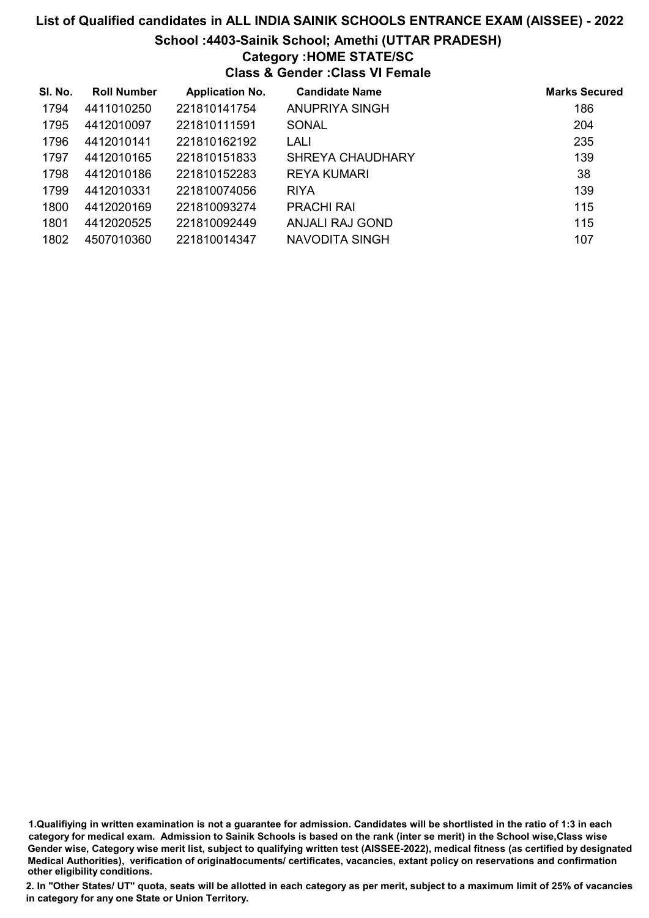### School :4403-Sainik School; Amethi (UTTAR PRADESH)

### Category :HOME STATE/SC

Class & Gender :Class VI Female

| SI. No. | <b>Roll Number</b> | <b>Application No.</b> | <b>Candidate Name</b>  | <b>Marks Secured</b> |
|---------|--------------------|------------------------|------------------------|----------------------|
| 1794    | 4411010250         | 221810141754           | <b>ANUPRIYA SINGH</b>  | 186                  |
| 1795    | 4412010097         | 221810111591           | <b>SONAL</b>           | 204                  |
| 1796    | 4412010141         | 221810162192           | LALI                   | 235                  |
| 1797    | 4412010165         | 221810151833           | SHREYA CHAUDHARY       | 139                  |
| 1798    | 4412010186         | 221810152283           | REYA KUMARI            | 38                   |
| 1799    | 4412010331         | 221810074056           | <b>RIYA</b>            | 139                  |
| 1800    | 4412020169         | 221810093274           | <b>PRACHI RAI</b>      | 115                  |
| 1801    | 4412020525         | 221810092449           | <b>ANJALI RAJ GOND</b> | 115                  |
| 1802    | 4507010360         | 221810014347           | NAVODITA SINGH         | 107                  |

1.Qualifiying in written examination is not a guarantee for admission. Candidates will be shortlisted in the ratio of 1:3 in each category for medical exam. Admission to Sainik Schools is based on the rank (inter se merit) in the School wise,Class wise Gender wise, Category wise merit list, subject to qualifying written test (AISSEE-2022), medical fitness (as certified by designated Medical Authorities), verification of originablocuments/ certificates, vacancies, extant policy on reservations and confirmation other eligibility conditions.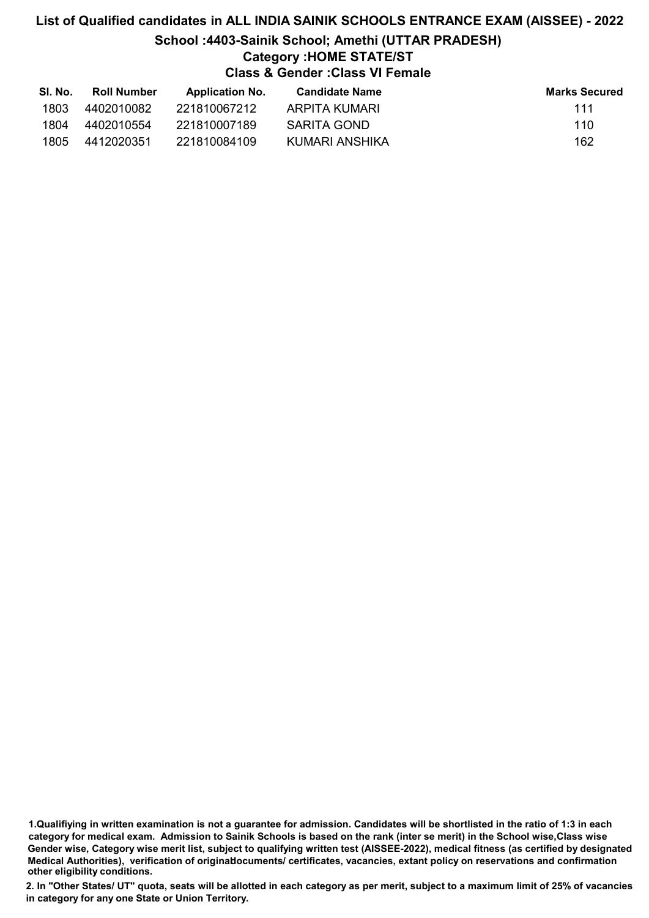# List of Qualified candidates in ALL INDIA SAINIK SCHOOLS ENTRANCE EXAM (AISSEE) - 2022 School :4403-Sainik School; Amethi (UTTAR PRADESH) Category :HOME STATE/ST Class & Gender :Class VI Female

| SI. No. | Roll Number | <b>Application No.</b> | Candidate Name | <b>Marks Secured</b> |
|---------|-------------|------------------------|----------------|----------------------|
| 1803    | 4402010082  | 221810067212           | ARPITA KUMARI  | 111                  |
| 1804    | 4402010554  | 221810007189           | SARITA GOND    | 110                  |
| 1805    | 4412020351  | 221810084109           | KUMARI ANSHIKA | 162                  |

1.Qualifiying in written examination is not a guarantee for admission. Candidates will be shortlisted in the ratio of 1:3 in each category for medical exam. Admission to Sainik Schools is based on the rank (inter se merit) in the School wise,Class wise Gender wise, Category wise merit list, subject to qualifying written test (AISSEE-2022), medical fitness (as certified by designated Medical Authorities), verification of originablocuments/ certificates, vacancies, extant policy on reservations and confirmation other eligibility conditions.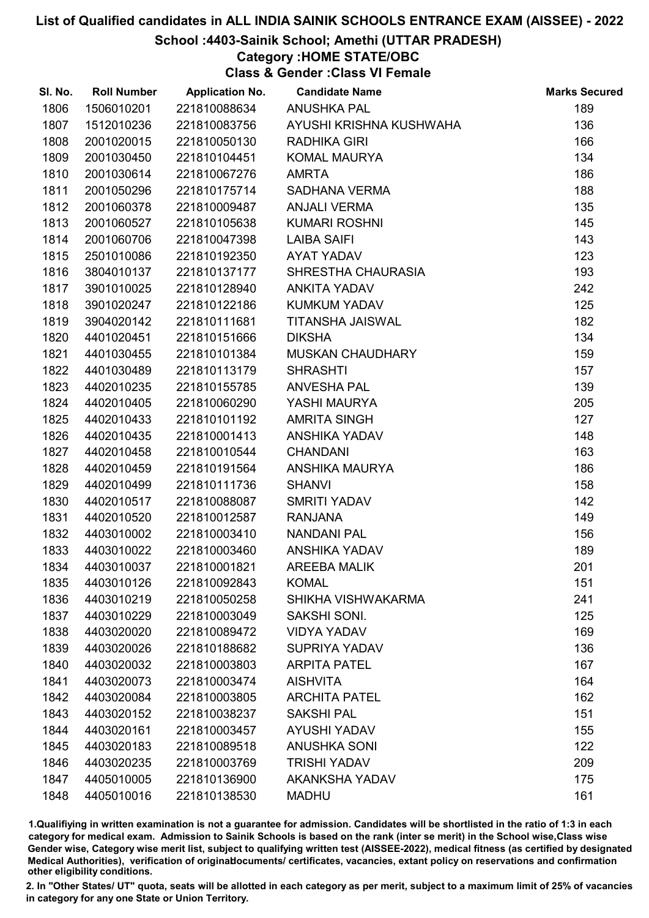### School :4403-Sainik School; Amethi (UTTAR PRADESH)

## Category :HOME STATE/OBC

Class & Gender :Class VI Female

| SI. No. | <b>Roll Number</b> | <b>Application No.</b> | <b>Candidate Name</b>   | <b>Marks Secured</b> |
|---------|--------------------|------------------------|-------------------------|----------------------|
| 1806    | 1506010201         | 221810088634           | <b>ANUSHKA PAL</b>      | 189                  |
| 1807    | 1512010236         | 221810083756           | AYUSHI KRISHNA KUSHWAHA | 136                  |
| 1808    | 2001020015         | 221810050130           | RADHIKA GIRI            | 166                  |
| 1809    | 2001030450         | 221810104451           | <b>KOMAL MAURYA</b>     | 134                  |
| 1810    | 2001030614         | 221810067276           | <b>AMRTA</b>            | 186                  |
| 1811    | 2001050296         | 221810175714           | SADHANA VERMA           | 188                  |
| 1812    | 2001060378         | 221810009487           | <b>ANJALI VERMA</b>     | 135                  |
| 1813    | 2001060527         | 221810105638           | <b>KUMARI ROSHNI</b>    | 145                  |
| 1814    | 2001060706         | 221810047398           | <b>LAIBA SAIFI</b>      | 143                  |
| 1815    | 2501010086         | 221810192350           | AYAT YADAV              | 123                  |
| 1816    | 3804010137         | 221810137177           | SHRESTHA CHAURASIA      | 193                  |
| 1817    | 3901010025         | 221810128940           | <b>ANKITA YADAV</b>     | 242                  |
| 1818    | 3901020247         | 221810122186           | <b>KUMKUM YADAV</b>     | 125                  |
| 1819    | 3904020142         | 221810111681           | <b>TITANSHA JAISWAL</b> | 182                  |
| 1820    | 4401020451         | 221810151666           | <b>DIKSHA</b>           | 134                  |
| 1821    | 4401030455         | 221810101384           | MUSKAN CHAUDHARY        | 159                  |
| 1822    | 4401030489         | 221810113179           | <b>SHRASHTI</b>         | 157                  |
| 1823    | 4402010235         | 221810155785           | <b>ANVESHA PAL</b>      | 139                  |
| 1824    | 4402010405         | 221810060290           | YASHI MAURYA            | 205                  |
| 1825    | 4402010433         | 221810101192           | <b>AMRITA SINGH</b>     | 127                  |
| 1826    | 4402010435         | 221810001413           | ANSHIKA YADAV           | 148                  |
| 1827    | 4402010458         | 221810010544           | <b>CHANDANI</b>         | 163                  |
| 1828    | 4402010459         | 221810191564           | ANSHIKA MAURYA          | 186                  |
| 1829    | 4402010499         | 221810111736           | <b>SHANVI</b>           | 158                  |
| 1830    | 4402010517         | 221810088087           | <b>SMRITI YADAV</b>     | 142                  |
| 1831    | 4402010520         | 221810012587           | <b>RANJANA</b>          | 149                  |
| 1832    | 4403010002         | 221810003410           | <b>NANDANI PAL</b>      | 156                  |
| 1833    | 4403010022         | 221810003460           | ANSHIKA YADAV           | 189                  |
| 1834    | 4403010037         | 221810001821           | <b>AREEBA MALIK</b>     | 201                  |
| 1835    | 4403010126         | 221810092843           | <b>KOMAL</b>            | 151                  |
| 1836    | 4403010219         | 221810050258           | SHIKHA VISHWAKARMA      | 241                  |
| 1837    | 4403010229         | 221810003049           | SAKSHI SONI.            | 125                  |
| 1838    | 4403020020         | 221810089472           | <b>VIDYA YADAV</b>      | 169                  |
| 1839    | 4403020026         | 221810188682           | <b>SUPRIYA YADAV</b>    | 136                  |
| 1840    | 4403020032         | 221810003803           | <b>ARPITA PATEL</b>     | 167                  |
| 1841    | 4403020073         | 221810003474           | <b>AISHVITA</b>         | 164                  |
| 1842    | 4403020084         | 221810003805           | <b>ARCHITA PATEL</b>    | 162                  |
| 1843    | 4403020152         | 221810038237           | <b>SAKSHI PAL</b>       | 151                  |
| 1844    | 4403020161         | 221810003457           | <b>AYUSHI YADAV</b>     | 155                  |
| 1845    | 4403020183         | 221810089518           | <b>ANUSHKA SONI</b>     | 122                  |
| 1846    | 4403020235         | 221810003769           | <b>TRISHI YADAV</b>     | 209                  |
| 1847    | 4405010005         | 221810136900           | <b>AKANKSHA YADAV</b>   | 175                  |
| 1848    | 4405010016         | 221810138530           | <b>MADHU</b>            | 161                  |

1.Qualifiying in written examination is not a guarantee for admission. Candidates will be shortlisted in the ratio of 1:3 in each category for medical exam. Admission to Sainik Schools is based on the rank (inter se merit) in the School wise,Class wise Gender wise, Category wise merit list, subject to qualifying written test (AISSEE-2022), medical fitness (as certified by designated Medical Authorities), verification of originablocuments/ certificates, vacancies, extant policy on reservations and confirmation other eligibility conditions.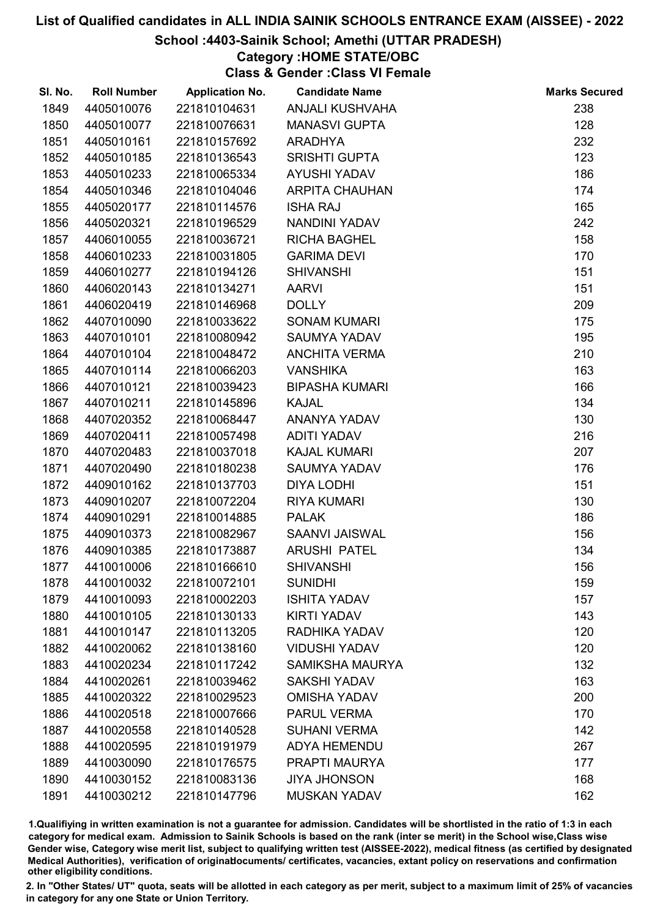### School :4403-Sainik School; Amethi (UTTAR PRADESH)

## Category :HOME STATE/OBC

Class & Gender :Class VI Female

| SI. No. | <b>Roll Number</b> | <b>Application No.</b> | <b>Candidate Name</b>  | <b>Marks Secured</b> |
|---------|--------------------|------------------------|------------------------|----------------------|
| 1849    | 4405010076         | 221810104631           | <b>ANJALI KUSHVAHA</b> | 238                  |
| 1850    | 4405010077         | 221810076631           | <b>MANASVI GUPTA</b>   | 128                  |
| 1851    | 4405010161         | 221810157692           | <b>ARADHYA</b>         | 232                  |
| 1852    | 4405010185         | 221810136543           | <b>SRISHTI GUPTA</b>   | 123                  |
| 1853    | 4405010233         | 221810065334           | AYUSHI YADAV           | 186                  |
| 1854    | 4405010346         | 221810104046           | <b>ARPITA CHAUHAN</b>  | 174                  |
| 1855    | 4405020177         | 221810114576           | <b>ISHA RAJ</b>        | 165                  |
| 1856    | 4405020321         | 221810196529           | NANDINI YADAV          | 242                  |
| 1857    | 4406010055         | 221810036721           | <b>RICHA BAGHEL</b>    | 158                  |
| 1858    | 4406010233         | 221810031805           | <b>GARIMA DEVI</b>     | 170                  |
| 1859    | 4406010277         | 221810194126           | <b>SHIVANSHI</b>       | 151                  |
| 1860    | 4406020143         | 221810134271           | <b>AARVI</b>           | 151                  |
| 1861    | 4406020419         | 221810146968           | <b>DOLLY</b>           | 209                  |
| 1862    | 4407010090         | 221810033622           | <b>SONAM KUMARI</b>    | 175                  |
| 1863    | 4407010101         | 221810080942           | <b>SAUMYA YADAV</b>    | 195                  |
| 1864    | 4407010104         | 221810048472           | <b>ANCHITA VERMA</b>   | 210                  |
| 1865    | 4407010114         | 221810066203           | <b>VANSHIKA</b>        | 163                  |
| 1866    | 4407010121         | 221810039423           | <b>BIPASHA KUMARI</b>  | 166                  |
| 1867    | 4407010211         | 221810145896           | <b>KAJAL</b>           | 134                  |
| 1868    | 4407020352         | 221810068447           | ANANYA YADAV           | 130                  |
| 1869    | 4407020411         | 221810057498           | <b>ADITI YADAV</b>     | 216                  |
| 1870    | 4407020483         | 221810037018           | <b>KAJAL KUMARI</b>    | 207                  |
| 1871    | 4407020490         | 221810180238           | <b>SAUMYA YADAV</b>    | 176                  |
| 1872    | 4409010162         | 221810137703           | <b>DIYA LODHI</b>      | 151                  |
| 1873    | 4409010207         | 221810072204           | <b>RIYA KUMARI</b>     | 130                  |
| 1874    | 4409010291         | 221810014885           | <b>PALAK</b>           | 186                  |
| 1875    | 4409010373         | 221810082967           | SAANVI JAISWAL         | 156                  |
| 1876    | 4409010385         | 221810173887           | <b>ARUSHI PATEL</b>    | 134                  |
| 1877    | 4410010006         | 221810166610           | <b>SHIVANSHI</b>       | 156                  |
| 1878    | 4410010032         | 221810072101           | <b>SUNIDHI</b>         | 159                  |
| 1879    | 4410010093         | 221810002203           | <b>ISHITA YADAV</b>    | 157                  |
| 1880    | 4410010105         | 221810130133           | <b>KIRTI YADAV</b>     | 143                  |
| 1881    | 4410010147         | 221810113205           | RADHIKA YADAV          | 120                  |
| 1882    | 4410020062         | 221810138160           | <b>VIDUSHI YADAV</b>   | 120                  |
| 1883    | 4410020234         | 221810117242           | <b>SAMIKSHA MAURYA</b> | 132                  |
| 1884    | 4410020261         | 221810039462           | <b>SAKSHI YADAV</b>    | 163                  |
| 1885    | 4410020322         | 221810029523           | <b>OMISHA YADAV</b>    | 200                  |
| 1886    | 4410020518         | 221810007666           | <b>PARUL VERMA</b>     | 170                  |
| 1887    | 4410020558         | 221810140528           | <b>SUHANI VERMA</b>    | 142                  |
| 1888    | 4410020595         | 221810191979           | <b>ADYA HEMENDU</b>    | 267                  |
| 1889    | 4410030090         | 221810176575           | PRAPTI MAURYA          | 177                  |
| 1890    | 4410030152         | 221810083136           | <b>JIYA JHONSON</b>    | 168                  |
| 1891    | 4410030212         | 221810147796           | <b>MUSKAN YADAV</b>    | 162                  |

1.Qualifiying in written examination is not a guarantee for admission. Candidates will be shortlisted in the ratio of 1:3 in each category for medical exam. Admission to Sainik Schools is based on the rank (inter se merit) in the School wise,Class wise Gender wise, Category wise merit list, subject to qualifying written test (AISSEE-2022), medical fitness (as certified by designated Medical Authorities), verification of originablocuments/ certificates, vacancies, extant policy on reservations and confirmation other eligibility conditions.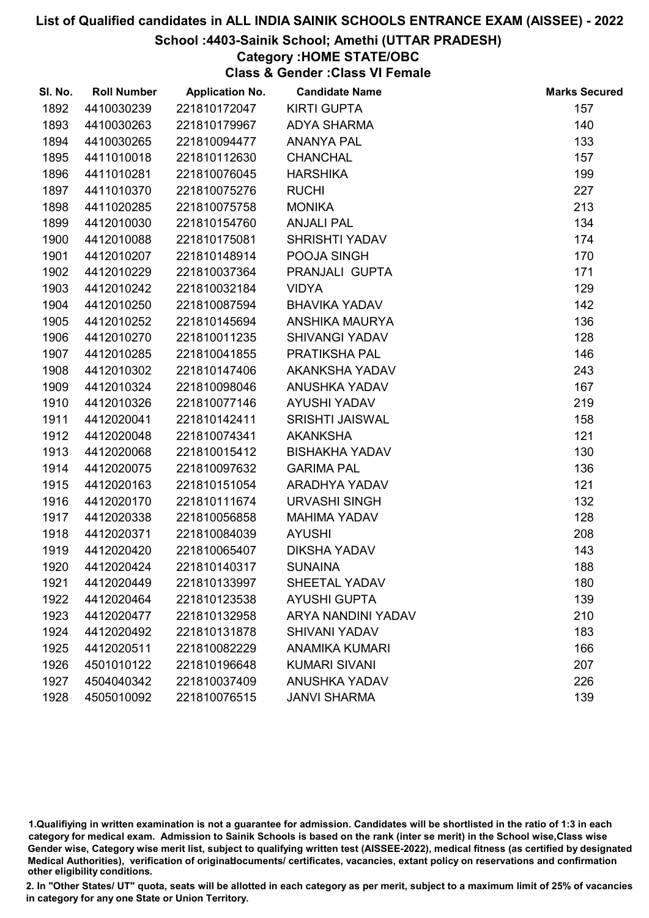#### School :4403-Sainik School; Amethi (UTTAR PRADESH)

Category :HOME STATE/OBC

Class & Gender :Class VI Female

| SI. No. | <b>Roll Number</b> | <b>Application No.</b> | <b>Candidate Name</b>  | <b>Marks Secured</b> |
|---------|--------------------|------------------------|------------------------|----------------------|
| 1892    | 4410030239         | 221810172047           | <b>KIRTI GUPTA</b>     | 157                  |
| 1893    | 4410030263         | 221810179967           | <b>ADYA SHARMA</b>     | 140                  |
| 1894    | 4410030265         | 221810094477           | <b>ANANYA PAL</b>      | 133                  |
| 1895    | 4411010018         | 221810112630           | <b>CHANCHAL</b>        | 157                  |
| 1896    | 4411010281         | 221810076045           | <b>HARSHIKA</b>        | 199                  |
| 1897    | 4411010370         | 221810075276           | <b>RUCHI</b>           | 227                  |
| 1898    | 4411020285         | 221810075758           | <b>MONIKA</b>          | 213                  |
| 1899    | 4412010030         | 221810154760           | <b>ANJALI PAL</b>      | 134                  |
| 1900    | 4412010088         | 221810175081           | <b>SHRISHTI YADAV</b>  | 174                  |
| 1901    | 4412010207         | 221810148914           | POOJA SINGH            | 170                  |
| 1902    | 4412010229         | 221810037364           | PRANJALI GUPTA         | 171                  |
| 1903    | 4412010242         | 221810032184           | <b>VIDYA</b>           | 129                  |
| 1904    | 4412010250         | 221810087594           | <b>BHAVIKA YADAV</b>   | 142                  |
| 1905    | 4412010252         | 221810145694           | ANSHIKA MAURYA         | 136                  |
| 1906    | 4412010270         | 221810011235           | <b>SHIVANGI YADAV</b>  | 128                  |
| 1907    | 4412010285         | 221810041855           | PRATIKSHA PAL          | 146                  |
| 1908    | 4412010302         | 221810147406           | AKANKSHA YADAV         | 243                  |
| 1909    | 4412010324         | 221810098046           | <b>ANUSHKA YADAV</b>   | 167                  |
| 1910    | 4412010326         | 221810077146           | <b>AYUSHI YADAV</b>    | 219                  |
| 1911    | 4412020041         | 221810142411           | <b>SRISHTI JAISWAL</b> | 158                  |
| 1912    | 4412020048         | 221810074341           | <b>AKANKSHA</b>        | 121                  |
| 1913    | 4412020068         | 221810015412           | <b>BISHAKHA YADAV</b>  | 130                  |
| 1914    | 4412020075         | 221810097632           | <b>GARIMA PAL</b>      | 136                  |
| 1915    | 4412020163         | 221810151054           | ARADHYA YADAV          | 121                  |
| 1916    | 4412020170         | 221810111674           | <b>URVASHI SINGH</b>   | 132                  |
| 1917    | 4412020338         | 221810056858           | <b>MAHIMA YADAV</b>    | 128                  |
| 1918    | 4412020371         | 221810084039           | <b>AYUSHI</b>          | 208                  |
| 1919    | 4412020420         | 221810065407           | <b>DIKSHA YADAV</b>    | 143                  |
| 1920    | 4412020424         | 221810140317           | <b>SUNAINA</b>         | 188                  |
| 1921    | 4412020449         | 221810133997           | <b>SHEETAL YADAV</b>   | 180                  |
| 1922    | 4412020464         | 221810123538           | <b>AYUSHI GUPTA</b>    | 139                  |
| 1923    | 4412020477         | 221810132958           | ARYA NANDINI YADAV     | 210                  |
| 1924    | 4412020492         | 221810131878           | <b>SHIVANI YADAV</b>   | 183                  |
| 1925    | 4412020511         | 221810082229           | <b>ANAMIKA KUMARI</b>  | 166                  |
| 1926    | 4501010122         | 221810196648           | <b>KUMARI SIVANI</b>   | 207                  |
| 1927    | 4504040342         | 221810037409           | <b>ANUSHKA YADAV</b>   | 226                  |
| 1928    | 4505010092         | 221810076515           | <b>JANVI SHARMA</b>    | 139                  |

1.Qualifiying in written examination is not a guarantee for admission. Candidates will be shortlisted in the ratio of 1:3 in each category for medical exam. Admission to Sainik Schools is based on the rank (inter se merit) in the School wise,Class wise Gender wise, Category wise merit list, subject to qualifying written test (AISSEE-2022), medical fitness (as certified by designated Medical Authorities), verification of originablocuments/ certificates, vacancies, extant policy on reservations and confirmation other eligibility conditions.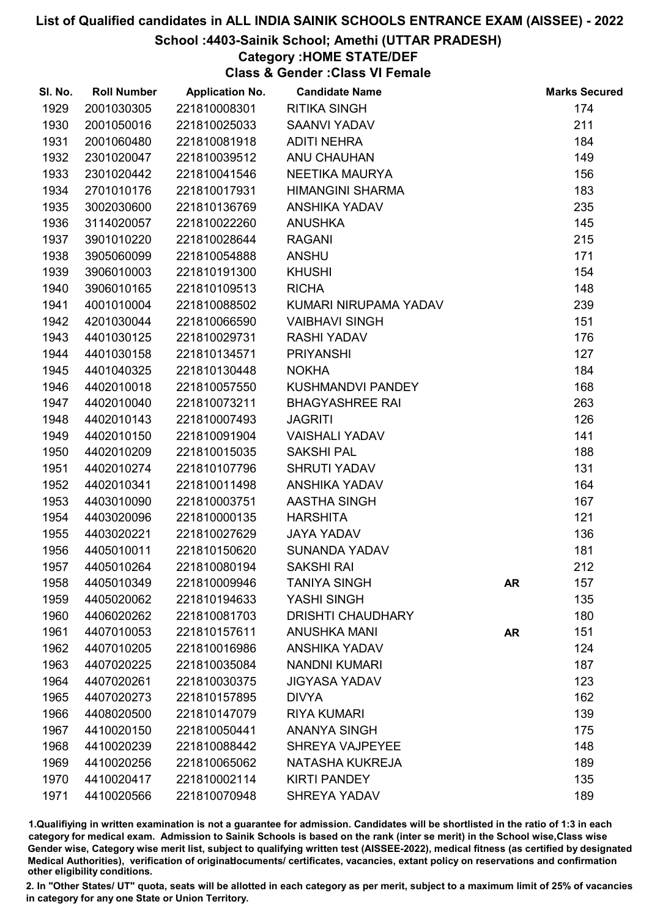#### School :4403-Sainik School; Amethi (UTTAR PRADESH)

# Category :HOME STATE/DEF

Class & Gender :Class VI Female

| SI. No. | <b>Roll Number</b> | <b>Application No.</b> | <b>Candidate Name</b>    |           | <b>Marks Secured</b> |
|---------|--------------------|------------------------|--------------------------|-----------|----------------------|
| 1929    | 2001030305         | 221810008301           | <b>RITIKA SINGH</b>      |           | 174                  |
| 1930    | 2001050016         | 221810025033           | <b>SAANVI YADAV</b>      |           | 211                  |
| 1931    | 2001060480         | 221810081918           | <b>ADITI NEHRA</b>       |           | 184                  |
| 1932    | 2301020047         | 221810039512           | <b>ANU CHAUHAN</b>       |           | 149                  |
| 1933    | 2301020442         | 221810041546           | NEETIKA MAURYA           |           | 156                  |
| 1934    | 2701010176         | 221810017931           | <b>HIMANGINI SHARMA</b>  |           | 183                  |
| 1935    | 3002030600         | 221810136769           | <b>ANSHIKA YADAV</b>     |           | 235                  |
| 1936    | 3114020057         | 221810022260           | <b>ANUSHKA</b>           |           | 145                  |
| 1937    | 3901010220         | 221810028644           | <b>RAGANI</b>            |           | 215                  |
| 1938    | 3905060099         | 221810054888           | <b>ANSHU</b>             |           | 171                  |
| 1939    | 3906010003         | 221810191300           | <b>KHUSHI</b>            |           | 154                  |
| 1940    | 3906010165         | 221810109513           | <b>RICHA</b>             |           | 148                  |
| 1941    | 4001010004         | 221810088502           | KUMARI NIRUPAMA YADAV    |           | 239                  |
| 1942    | 4201030044         | 221810066590           | <b>VAIBHAVI SINGH</b>    |           | 151                  |
| 1943    | 4401030125         | 221810029731           | <b>RASHI YADAV</b>       |           | 176                  |
| 1944    | 4401030158         | 221810134571           | <b>PRIYANSHI</b>         |           | 127                  |
| 1945    | 4401040325         | 221810130448           | <b>NOKHA</b>             |           | 184                  |
| 1946    | 4402010018         | 221810057550           | KUSHMANDVI PANDEY        |           | 168                  |
| 1947    | 4402010040         | 221810073211           | <b>BHAGYASHREE RAI</b>   |           | 263                  |
| 1948    | 4402010143         | 221810007493           | <b>JAGRITI</b>           |           | 126                  |
| 1949    | 4402010150         | 221810091904           | <b>VAISHALI YADAV</b>    |           | 141                  |
| 1950    | 4402010209         | 221810015035           | <b>SAKSHI PAL</b>        |           | 188                  |
| 1951    | 4402010274         | 221810107796           | <b>SHRUTI YADAV</b>      |           | 131                  |
| 1952    | 4402010341         | 221810011498           | ANSHIKA YADAV            |           | 164                  |
| 1953    | 4403010090         | 221810003751           | AASTHA SINGH             |           | 167                  |
| 1954    | 4403020096         | 221810000135           | <b>HARSHITA</b>          |           | 121                  |
| 1955    | 4403020221         | 221810027629           | <b>JAYA YADAV</b>        |           | 136                  |
| 1956    | 4405010011         | 221810150620           | <b>SUNANDA YADAV</b>     |           | 181                  |
| 1957    | 4405010264         | 221810080194           | <b>SAKSHI RAI</b>        |           | 212                  |
| 1958    | 4405010349         | 221810009946           | <b>TANIYA SINGH</b>      | <b>AR</b> | 157                  |
| 1959    | 4405020062         | 221810194633           | YASHI SINGH              |           | 135                  |
| 1960    | 4406020262         | 221810081703           | <b>DRISHTI CHAUDHARY</b> |           | 180                  |
| 1961    | 4407010053         | 221810157611           | <b>ANUSHKA MANI</b>      | <b>AR</b> | 151                  |
| 1962    | 4407010205         | 221810016986           | <b>ANSHIKA YADAV</b>     |           | 124                  |
| 1963    | 4407020225         | 221810035084           | <b>NANDNI KUMARI</b>     |           | 187                  |
| 1964    | 4407020261         | 221810030375           | <b>JIGYASA YADAV</b>     |           | 123                  |
| 1965    | 4407020273         | 221810157895           | <b>DIVYA</b>             |           | 162                  |
| 1966    | 4408020500         | 221810147079           | <b>RIYA KUMARI</b>       |           | 139                  |
| 1967    | 4410020150         | 221810050441           | <b>ANANYA SINGH</b>      |           | 175                  |
| 1968    | 4410020239         | 221810088442           | <b>SHREYA VAJPEYEE</b>   |           | 148                  |
| 1969    | 4410020256         | 221810065062           | NATASHA KUKREJA          |           | 189                  |
| 1970    | 4410020417         | 221810002114           | <b>KIRTI PANDEY</b>      |           | 135                  |
| 1971    | 4410020566         | 221810070948           | <b>SHREYA YADAV</b>      |           | 189                  |

1.Qualifiying in written examination is not a guarantee for admission. Candidates will be shortlisted in the ratio of 1:3 in each category for medical exam. Admission to Sainik Schools is based on the rank (inter se merit) in the School wise,Class wise Gender wise, Category wise merit list, subject to qualifying written test (AISSEE-2022), medical fitness (as certified by designated Medical Authorities), verification of originablocuments/ certificates, vacancies, extant policy on reservations and confirmation other eligibility conditions.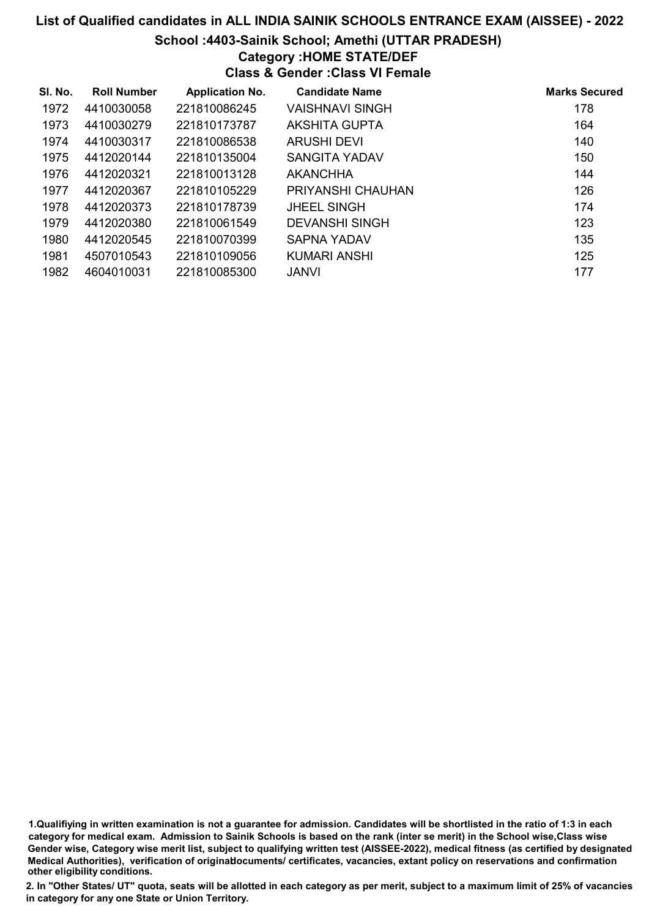### School :4403-Sainik School; Amethi (UTTAR PRADESH)

## Category :HOME STATE/DEF

Class & Gender :Class VI Female

| SI. No. | <b>Roll Number</b> | <b>Application No.</b> | <b>Candidate Name</b> | <b>Marks Secured</b> |
|---------|--------------------|------------------------|-----------------------|----------------------|
| 1972    | 4410030058         | 221810086245           | VAISHNAVI SINGH       | 178                  |
| 1973    | 4410030279         | 221810173787           | AKSHITA GUPTA         | 164                  |
| 1974    | 4410030317         | 221810086538           | ARUSHI DEVI           | 140                  |
| 1975    | 4412020144         | 221810135004           | SANGITA YADAV         | 150                  |
| 1976    | 4412020321         | 221810013128           | AKANCHHA              | 144                  |
| 1977    | 4412020367         | 221810105229           | PRIYANSHI CHAUHAN     | 126                  |
| 1978    | 4412020373         | 221810178739           | <b>JHEEL SINGH</b>    | 174                  |
| 1979    | 4412020380         | 221810061549           | <b>DEVANSHI SINGH</b> | 123                  |
| 1980    | 4412020545         | 221810070399           | SAPNA YADAV           | 135                  |
| 1981    | 4507010543         | 221810109056           | KUMARI ANSHI          | 125                  |
| 1982    | 4604010031         | 221810085300           | JANVI                 | 177                  |

1.Qualifiying in written examination is not a guarantee for admission. Candidates will be shortlisted in the ratio of 1:3 in each category for medical exam. Admission to Sainik Schools is based on the rank (inter se merit) in the School wise,Class wise Gender wise, Category wise merit list, subject to qualifying written test (AISSEE-2022), medical fitness (as certified by designated Medical Authorities), verification of originablocuments/ certificates, vacancies, extant policy on reservations and confirmation other eligibility conditions.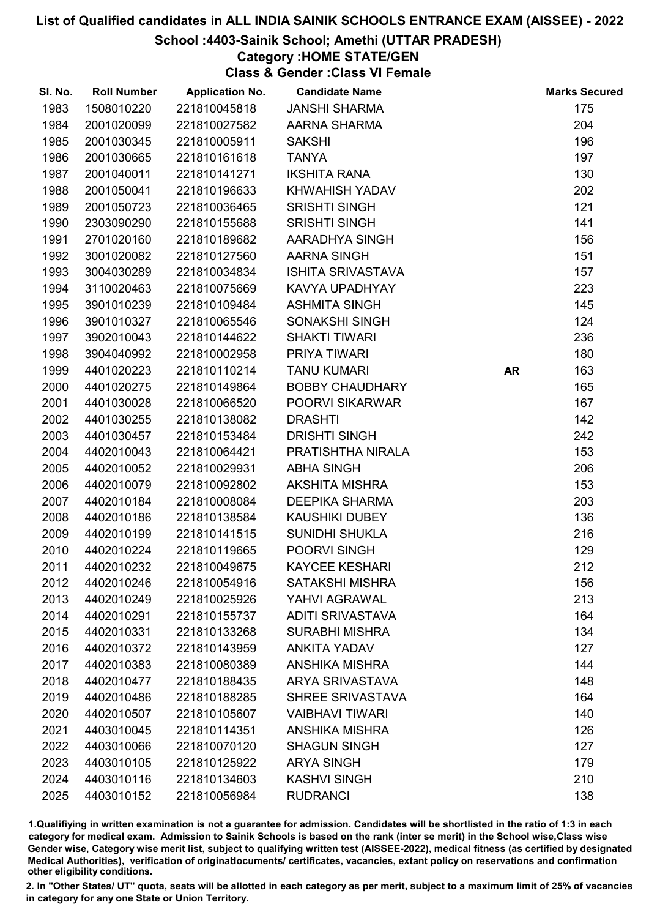#### School :4403-Sainik School; Amethi (UTTAR PRADESH)

## Category :HOME STATE/GEN

Class & Gender :Class VI Female

| SI. No. | <b>Roll Number</b> | <b>Application No.</b> | <b>Candidate Name</b>    |           | <b>Marks Secured</b> |
|---------|--------------------|------------------------|--------------------------|-----------|----------------------|
| 1983    | 1508010220         | 221810045818           | <b>JANSHI SHARMA</b>     |           | 175                  |
| 1984    | 2001020099         | 221810027582           | AARNA SHARMA             |           | 204                  |
| 1985    | 2001030345         | 221810005911           | <b>SAKSHI</b>            |           | 196                  |
| 1986    | 2001030665         | 221810161618           | <b>TANYA</b>             |           | 197                  |
| 1987    | 2001040011         | 221810141271           | <b>IKSHITA RANA</b>      |           | 130                  |
| 1988    | 2001050041         | 221810196633           | KHWAHISH YADAV           |           | 202                  |
| 1989    | 2001050723         | 221810036465           | <b>SRISHTI SINGH</b>     |           | 121                  |
| 1990    | 2303090290         | 221810155688           | <b>SRISHTI SINGH</b>     |           | 141                  |
| 1991    | 2701020160         | 221810189682           | AARADHYA SINGH           |           | 156                  |
| 1992    | 3001020082         | 221810127560           | AARNA SINGH              |           | 151                  |
| 1993    | 3004030289         | 221810034834           | <b>ISHITA SRIVASTAVA</b> |           | 157                  |
| 1994    | 3110020463         | 221810075669           | KAVYA UPADHYAY           |           | 223                  |
| 1995    | 3901010239         | 221810109484           | <b>ASHMITA SINGH</b>     |           | 145                  |
| 1996    | 3901010327         | 221810065546           | SONAKSHI SINGH           |           | 124                  |
| 1997    | 3902010043         | 221810144622           | <b>SHAKTI TIWARI</b>     |           | 236                  |
| 1998    | 3904040992         | 221810002958           | PRIYA TIWARI             |           | 180                  |
| 1999    | 4401020223         | 221810110214           | <b>TANU KUMARI</b>       | <b>AR</b> | 163                  |
| 2000    | 4401020275         | 221810149864           | <b>BOBBY CHAUDHARY</b>   |           | 165                  |
| 2001    | 4401030028         | 221810066520           | <b>POORVI SIKARWAR</b>   |           | 167                  |
| 2002    | 4401030255         | 221810138082           | <b>DRASHTI</b>           |           | 142                  |
| 2003    | 4401030457         | 221810153484           | <b>DRISHTI SINGH</b>     |           | 242                  |
| 2004    | 4402010043         | 221810064421           | PRATISHTHA NIRALA        |           | 153                  |
| 2005    | 4402010052         | 221810029931           | <b>ABHA SINGH</b>        |           | 206                  |
| 2006    | 4402010079         | 221810092802           | <b>AKSHITA MISHRA</b>    |           | 153                  |
| 2007    | 4402010184         | 221810008084           | <b>DEEPIKA SHARMA</b>    |           | 203                  |
| 2008    | 4402010186         | 221810138584           | <b>KAUSHIKI DUBEY</b>    |           | 136                  |
| 2009    | 4402010199         | 221810141515           | <b>SUNIDHI SHUKLA</b>    |           | 216                  |
| 2010    | 4402010224         | 221810119665           | POORVI SINGH             |           | 129                  |
| 2011    | 4402010232         | 221810049675           | <b>KAYCEE KESHARI</b>    |           | 212                  |
| 2012    | 4402010246         | 221810054916           | <b>SATAKSHI MISHRA</b>   |           | 156                  |
| 2013    | 4402010249         | 221810025926           | YAHVI AGRAWAL            |           | 213                  |
| 2014    | 4402010291         | 221810155737           | <b>ADITI SRIVASTAVA</b>  |           | 164                  |
| 2015    | 4402010331         | 221810133268           | <b>SURABHI MISHRA</b>    |           | 134                  |
| 2016    | 4402010372         | 221810143959           | <b>ANKITA YADAV</b>      |           | 127                  |
| 2017    | 4402010383         | 221810080389           | <b>ANSHIKA MISHRA</b>    |           | 144                  |
| 2018    | 4402010477         | 221810188435           | <b>ARYA SRIVASTAVA</b>   |           | 148                  |
| 2019    | 4402010486         | 221810188285           | <b>SHREE SRIVASTAVA</b>  |           | 164                  |
| 2020    | 4402010507         | 221810105607           | <b>VAIBHAVI TIWARI</b>   |           | 140                  |
| 2021    | 4403010045         | 221810114351           | <b>ANSHIKA MISHRA</b>    |           | 126                  |
| 2022    | 4403010066         | 221810070120           | <b>SHAGUN SINGH</b>      |           | 127                  |
| 2023    | 4403010105         | 221810125922           | <b>ARYA SINGH</b>        |           | 179                  |
| 2024    | 4403010116         | 221810134603           | <b>KASHVI SINGH</b>      |           | 210                  |
| 2025    | 4403010152         | 221810056984           | <b>RUDRANCI</b>          |           | 138                  |

1.Qualifiying in written examination is not a guarantee for admission. Candidates will be shortlisted in the ratio of 1:3 in each category for medical exam. Admission to Sainik Schools is based on the rank (inter se merit) in the School wise,Class wise Gender wise, Category wise merit list, subject to qualifying written test (AISSEE-2022), medical fitness (as certified by designated Medical Authorities), verification of originablocuments/ certificates, vacancies, extant policy on reservations and confirmation other eligibility conditions.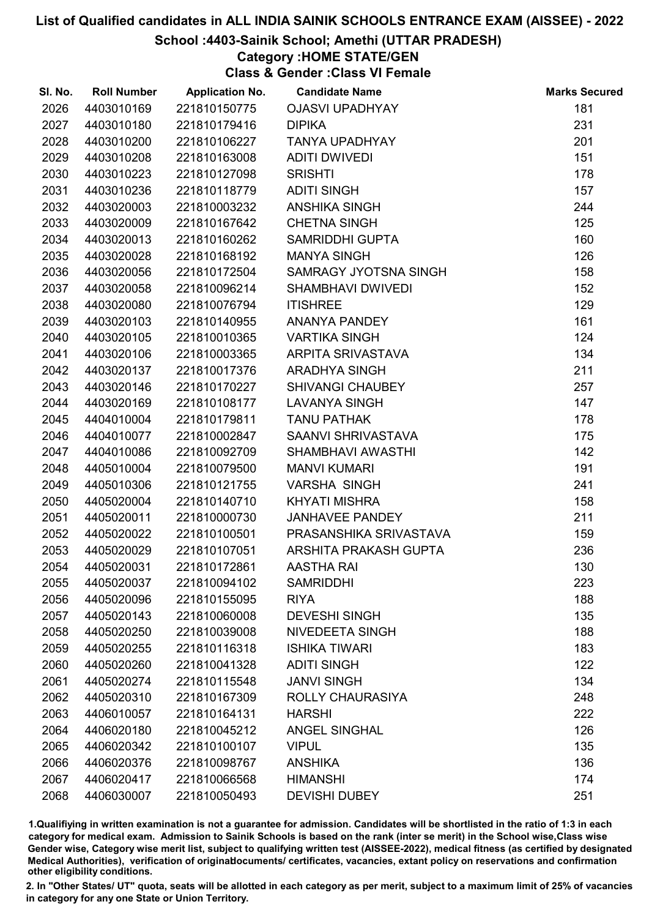## School :4403-Sainik School; Amethi (UTTAR PRADESH)

## Category :HOME STATE/GEN

Class & Gender :Class VI Female

| SI. No. | <b>Roll Number</b> | <b>Application No.</b> | <b>Candidate Name</b>    | <b>Marks Secured</b> |
|---------|--------------------|------------------------|--------------------------|----------------------|
| 2026    | 4403010169         | 221810150775           | <b>OJASVI UPADHYAY</b>   | 181                  |
| 2027    | 4403010180         | 221810179416           | <b>DIPIKA</b>            | 231                  |
| 2028    | 4403010200         | 221810106227           | <b>TANYA UPADHYAY</b>    | 201                  |
| 2029    | 4403010208         | 221810163008           | <b>ADITI DWIVEDI</b>     | 151                  |
| 2030    | 4403010223         | 221810127098           | <b>SRISHTI</b>           | 178                  |
| 2031    | 4403010236         | 221810118779           | <b>ADITI SINGH</b>       | 157                  |
| 2032    | 4403020003         | 221810003232           | <b>ANSHIKA SINGH</b>     | 244                  |
| 2033    | 4403020009         | 221810167642           | <b>CHETNA SINGH</b>      | 125                  |
| 2034    | 4403020013         | 221810160262           | <b>SAMRIDDHI GUPTA</b>   | 160                  |
| 2035    | 4403020028         | 221810168192           | <b>MANYA SINGH</b>       | 126                  |
| 2036    | 4403020056         | 221810172504           | SAMRAGY JYOTSNA SINGH    | 158                  |
| 2037    | 4403020058         | 221810096214           | <b>SHAMBHAVI DWIVEDI</b> | 152                  |
| 2038    | 4403020080         | 221810076794           | <b>ITISHREE</b>          | 129                  |
| 2039    | 4403020103         | 221810140955           | <b>ANANYA PANDEY</b>     | 161                  |
| 2040    | 4403020105         | 221810010365           | <b>VARTIKA SINGH</b>     | 124                  |
| 2041    | 4403020106         | 221810003365           | ARPITA SRIVASTAVA        | 134                  |
| 2042    | 4403020137         | 221810017376           | <b>ARADHYA SINGH</b>     | 211                  |
| 2043    | 4403020146         | 221810170227           | <b>SHIVANGI CHAUBEY</b>  | 257                  |
| 2044    | 4403020169         | 221810108177           | <b>LAVANYA SINGH</b>     | 147                  |
| 2045    | 4404010004         | 221810179811           | <b>TANU PATHAK</b>       | 178                  |
| 2046    | 4404010077         | 221810002847           | SAANVI SHRIVASTAVA       | 175                  |
| 2047    | 4404010086         | 221810092709           | SHAMBHAVI AWASTHI        | 142                  |
| 2048    | 4405010004         | 221810079500           | <b>MANVI KUMARI</b>      | 191                  |
| 2049    | 4405010306         | 221810121755           | <b>VARSHA SINGH</b>      | 241                  |
| 2050    | 4405020004         | 221810140710           | <b>KHYATI MISHRA</b>     | 158                  |
| 2051    | 4405020011         | 221810000730           | <b>JANHAVEE PANDEY</b>   | 211                  |
| 2052    | 4405020022         | 221810100501           | PRASANSHIKA SRIVASTAVA   | 159                  |
| 2053    | 4405020029         | 221810107051           | ARSHITA PRAKASH GUPTA    | 236                  |
| 2054    | 4405020031         | 221810172861           | <b>AASTHA RAI</b>        | 130                  |
| 2055    | 4405020037         | 221810094102           | <b>SAMRIDDHI</b>         | 223                  |
| 2056    | 4405020096         | 221810155095           | <b>RIYA</b>              | 188                  |
| 2057    | 4405020143         | 221810060008           | <b>DEVESHI SINGH</b>     | 135                  |
| 2058    | 4405020250         | 221810039008           | NIVEDEETA SINGH          | 188                  |
| 2059    | 4405020255         | 221810116318           | <b>ISHIKA TIWARI</b>     | 183                  |
| 2060    | 4405020260         | 221810041328           | <b>ADITI SINGH</b>       | 122                  |
| 2061    | 4405020274         | 221810115548           | <b>JANVI SINGH</b>       | 134                  |
| 2062    | 4405020310         | 221810167309           | ROLLY CHAURASIYA         | 248                  |
| 2063    | 4406010057         | 221810164131           | <b>HARSHI</b>            | 222                  |
| 2064    | 4406020180         | 221810045212           | <b>ANGEL SINGHAL</b>     | 126                  |
| 2065    | 4406020342         | 221810100107           | <b>VIPUL</b>             | 135                  |
| 2066    | 4406020376         | 221810098767           | <b>ANSHIKA</b>           | 136                  |
| 2067    | 4406020417         | 221810066568           | <b>HIMANSHI</b>          | 174                  |
| 2068    | 4406030007         | 221810050493           | <b>DEVISHI DUBEY</b>     | 251                  |

1.Qualifiying in written examination is not a guarantee for admission. Candidates will be shortlisted in the ratio of 1:3 in each category for medical exam. Admission to Sainik Schools is based on the rank (inter se merit) in the School wise,Class wise Gender wise, Category wise merit list, subject to qualifying written test (AISSEE-2022), medical fitness (as certified by designated Medical Authorities), verification of originablocuments/ certificates, vacancies, extant policy on reservations and confirmation other eligibility conditions.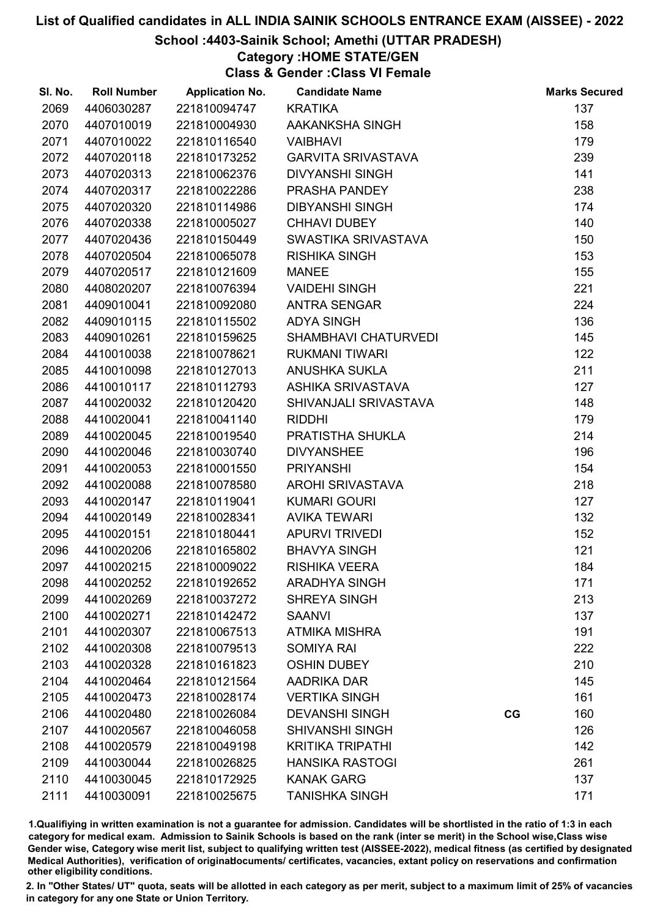#### School :4403-Sainik School; Amethi (UTTAR PRADESH)

## Category :HOME STATE/GEN

Class & Gender :Class VI Female

| SI. No. | <b>Roll Number</b> | <b>Application No.</b> | <b>Candidate Name</b>     |    | <b>Marks Secured</b> |
|---------|--------------------|------------------------|---------------------------|----|----------------------|
| 2069    | 4406030287         | 221810094747           | <b>KRATIKA</b>            |    | 137                  |
| 2070    | 4407010019         | 221810004930           | AAKANKSHA SINGH           |    | 158                  |
| 2071    | 4407010022         | 221810116540           | <b>VAIBHAVI</b>           |    | 179                  |
| 2072    | 4407020118         | 221810173252           | <b>GARVITA SRIVASTAVA</b> |    | 239                  |
| 2073    | 4407020313         | 221810062376           | <b>DIVYANSHI SINGH</b>    |    | 141                  |
| 2074    | 4407020317         | 221810022286           | PRASHA PANDEY             |    | 238                  |
| 2075    | 4407020320         | 221810114986           | <b>DIBYANSHI SINGH</b>    |    | 174                  |
| 2076    | 4407020338         | 221810005027           | <b>CHHAVI DUBEY</b>       |    | 140                  |
| 2077    | 4407020436         | 221810150449           | SWASTIKA SRIVASTAVA       |    | 150                  |
| 2078    | 4407020504         | 221810065078           | <b>RISHIKA SINGH</b>      |    | 153                  |
| 2079    | 4407020517         | 221810121609           | <b>MANEE</b>              |    | 155                  |
| 2080    | 4408020207         | 221810076394           | <b>VAIDEHI SINGH</b>      |    | 221                  |
| 2081    | 4409010041         | 221810092080           | <b>ANTRA SENGAR</b>       |    | 224                  |
| 2082    | 4409010115         | 221810115502           | <b>ADYA SINGH</b>         |    | 136                  |
| 2083    | 4409010261         | 221810159625           | SHAMBHAVI CHATURVEDI      |    | 145                  |
| 2084    | 4410010038         | 221810078621           | <b>RUKMANI TIWARI</b>     |    | 122                  |
| 2085    | 4410010098         | 221810127013           | <b>ANUSHKA SUKLA</b>      |    | 211                  |
| 2086    | 4410010117         | 221810112793           | <b>ASHIKA SRIVASTAVA</b>  |    | 127                  |
| 2087    | 4410020032         | 221810120420           | SHIVANJALI SRIVASTAVA     |    | 148                  |
| 2088    | 4410020041         | 221810041140           | <b>RIDDHI</b>             |    | 179                  |
| 2089    | 4410020045         | 221810019540           | PRATISTHA SHUKLA          |    | 214                  |
| 2090    | 4410020046         | 221810030740           | <b>DIVYANSHEE</b>         |    | 196                  |
| 2091    | 4410020053         | 221810001550           | <b>PRIYANSHI</b>          |    | 154                  |
| 2092    | 4410020088         | 221810078580           | AROHI SRIVASTAVA          |    | 218                  |
| 2093    | 4410020147         | 221810119041           | <b>KUMARI GOURI</b>       |    | 127                  |
| 2094    | 4410020149         | 221810028341           | <b>AVIKA TEWARI</b>       |    | 132                  |
| 2095    | 4410020151         | 221810180441           | <b>APURVI TRIVEDI</b>     |    | 152                  |
| 2096    | 4410020206         | 221810165802           | <b>BHAVYA SINGH</b>       |    | 121                  |
| 2097    | 4410020215         | 221810009022           | <b>RISHIKA VEERA</b>      |    | 184                  |
| 2098    | 4410020252         | 221810192652           | <b>ARADHYA SINGH</b>      |    | 171                  |
| 2099    | 4410020269         | 221810037272           | <b>SHREYA SINGH</b>       |    | 213                  |
| 2100    | 4410020271         | 221810142472           | <b>SAANVI</b>             |    | 137                  |
| 2101    | 4410020307         | 221810067513           | <b>ATMIKA MISHRA</b>      |    | 191                  |
| 2102    | 4410020308         | 221810079513           | <b>SOMIYA RAI</b>         |    | 222                  |
| 2103    | 4410020328         | 221810161823           | <b>OSHIN DUBEY</b>        |    | 210                  |
| 2104    | 4410020464         | 221810121564           | AADRIKA DAR               |    | 145                  |
| 2105    | 4410020473         | 221810028174           | <b>VERTIKA SINGH</b>      |    | 161                  |
| 2106    | 4410020480         | 221810026084           | <b>DEVANSHI SINGH</b>     | CG | 160                  |
| 2107    | 4410020567         | 221810046058           | <b>SHIVANSHI SINGH</b>    |    | 126                  |
| 2108    | 4410020579         | 221810049198           | <b>KRITIKA TRIPATHI</b>   |    | 142                  |
| 2109    | 4410030044         | 221810026825           | <b>HANSIKA RASTOGI</b>    |    | 261                  |
| 2110    | 4410030045         | 221810172925           | <b>KANAK GARG</b>         |    | 137                  |
| 2111    | 4410030091         | 221810025675           | <b>TANISHKA SINGH</b>     |    | 171                  |

1.Qualifiying in written examination is not a guarantee for admission. Candidates will be shortlisted in the ratio of 1:3 in each category for medical exam. Admission to Sainik Schools is based on the rank (inter se merit) in the School wise,Class wise Gender wise, Category wise merit list, subject to qualifying written test (AISSEE-2022), medical fitness (as certified by designated Medical Authorities), verification of originablocuments/ certificates, vacancies, extant policy on reservations and confirmation other eligibility conditions.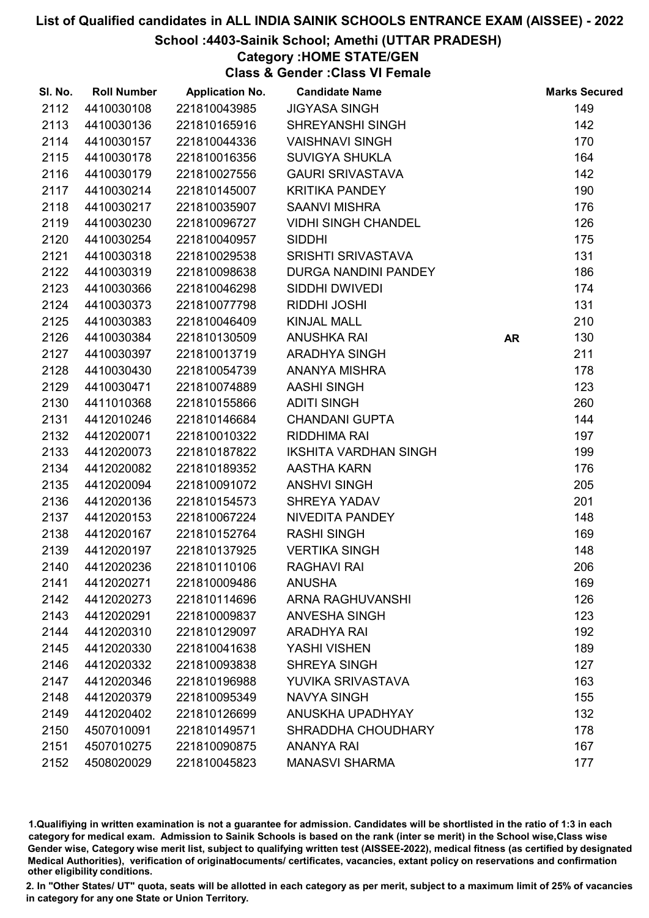## School :4403-Sainik School; Amethi (UTTAR PRADESH)

Category :HOME STATE/GEN

Class & Gender :Class VI Female

| SI. No. | <b>Roll Number</b> | <b>Application No.</b> | <b>Candidate Name</b>        |           | <b>Marks Secured</b> |
|---------|--------------------|------------------------|------------------------------|-----------|----------------------|
| 2112    | 4410030108         | 221810043985           | <b>JIGYASA SINGH</b>         |           | 149                  |
| 2113    | 4410030136         | 221810165916           | <b>SHREYANSHI SINGH</b>      |           | 142                  |
| 2114    | 4410030157         | 221810044336           | <b>VAISHNAVI SINGH</b>       |           | 170                  |
| 2115    | 4410030178         | 221810016356           | <b>SUVIGYA SHUKLA</b>        |           | 164                  |
| 2116    | 4410030179         | 221810027556           | <b>GAURI SRIVASTAVA</b>      |           | 142                  |
| 2117    | 4410030214         | 221810145007           | <b>KRITIKA PANDEY</b>        |           | 190                  |
| 2118    | 4410030217         | 221810035907           | <b>SAANVI MISHRA</b>         |           | 176                  |
| 2119    | 4410030230         | 221810096727           | <b>VIDHI SINGH CHANDEL</b>   |           | 126                  |
| 2120    | 4410030254         | 221810040957           | <b>SIDDHI</b>                |           | 175                  |
| 2121    | 4410030318         | 221810029538           | <b>SRISHTI SRIVASTAVA</b>    |           | 131                  |
| 2122    | 4410030319         | 221810098638           | DURGA NANDINI PANDEY         |           | 186                  |
| 2123    | 4410030366         | 221810046298           | SIDDHI DWIVEDI               |           | 174                  |
| 2124    | 4410030373         | 221810077798           | <b>RIDDHI JOSHI</b>          |           | 131                  |
| 2125    | 4410030383         | 221810046409           | <b>KINJAL MALL</b>           |           | 210                  |
| 2126    | 4410030384         | 221810130509           | <b>ANUSHKA RAI</b>           | <b>AR</b> | 130                  |
| 2127    | 4410030397         | 221810013719           | <b>ARADHYA SINGH</b>         |           | 211                  |
| 2128    | 4410030430         | 221810054739           | ANANYA MISHRA                |           | 178                  |
| 2129    | 4410030471         | 221810074889           | <b>AASHI SINGH</b>           |           | 123                  |
| 2130    | 4411010368         | 221810155866           | <b>ADITI SINGH</b>           |           | 260                  |
| 2131    | 4412010246         | 221810146684           | <b>CHANDANI GUPTA</b>        |           | 144                  |
| 2132    | 4412020071         | 221810010322           | RIDDHIMA RAI                 |           | 197                  |
| 2133    | 4412020073         | 221810187822           | <b>IKSHITA VARDHAN SINGH</b> |           | 199                  |
| 2134    | 4412020082         | 221810189352           | AASTHA KARN                  |           | 176                  |
| 2135    | 4412020094         | 221810091072           | <b>ANSHVI SINGH</b>          |           | 205                  |
| 2136    | 4412020136         | 221810154573           | SHREYA YADAV                 |           | 201                  |
| 2137    | 4412020153         | 221810067224           | NIVEDITA PANDEY              |           | 148                  |
| 2138    | 4412020167         | 221810152764           | <b>RASHI SINGH</b>           |           | 169                  |
| 2139    | 4412020197         | 221810137925           | <b>VERTIKA SINGH</b>         |           | 148                  |
| 2140    | 4412020236         | 221810110106           | <b>RAGHAVI RAI</b>           |           | 206                  |
| 2141    | 4412020271         | 221810009486           | <b>ANUSHA</b>                |           | 169                  |
| 2142    | 4412020273         | 221810114696           | <b>ARNA RAGHUVANSHI</b>      |           | 126                  |
| 2143    | 4412020291         | 221810009837           | <b>ANVESHA SINGH</b>         |           | 123                  |
| 2144    | 4412020310         | 221810129097           | <b>ARADHYA RAI</b>           |           | 192                  |
| 2145    | 4412020330         | 221810041638           | YASHI VISHEN                 |           | 189                  |
| 2146    | 4412020332         | 221810093838           | <b>SHREYA SINGH</b>          |           | 127                  |
| 2147    | 4412020346         | 221810196988           | YUVIKA SRIVASTAVA            |           | 163                  |
| 2148    | 4412020379         | 221810095349           | <b>NAVYA SINGH</b>           |           | 155                  |
| 2149    | 4412020402         | 221810126699           | ANUSKHA UPADHYAY             |           | 132                  |
| 2150    | 4507010091         | 221810149571           | SHRADDHA CHOUDHARY           |           | 178                  |
| 2151    | 4507010275         | 221810090875           | <b>ANANYA RAI</b>            |           | 167                  |
| 2152    | 4508020029         | 221810045823           | <b>MANASVI SHARMA</b>        |           | 177                  |

1.Qualifiying in written examination is not a guarantee for admission. Candidates will be shortlisted in the ratio of 1:3 in each category for medical exam. Admission to Sainik Schools is based on the rank (inter se merit) in the School wise,Class wise Gender wise, Category wise merit list, subject to qualifying written test (AISSEE-2022), medical fitness (as certified by designated Medical Authorities), verification of originablocuments/ certificates, vacancies, extant policy on reservations and confirmation other eligibility conditions.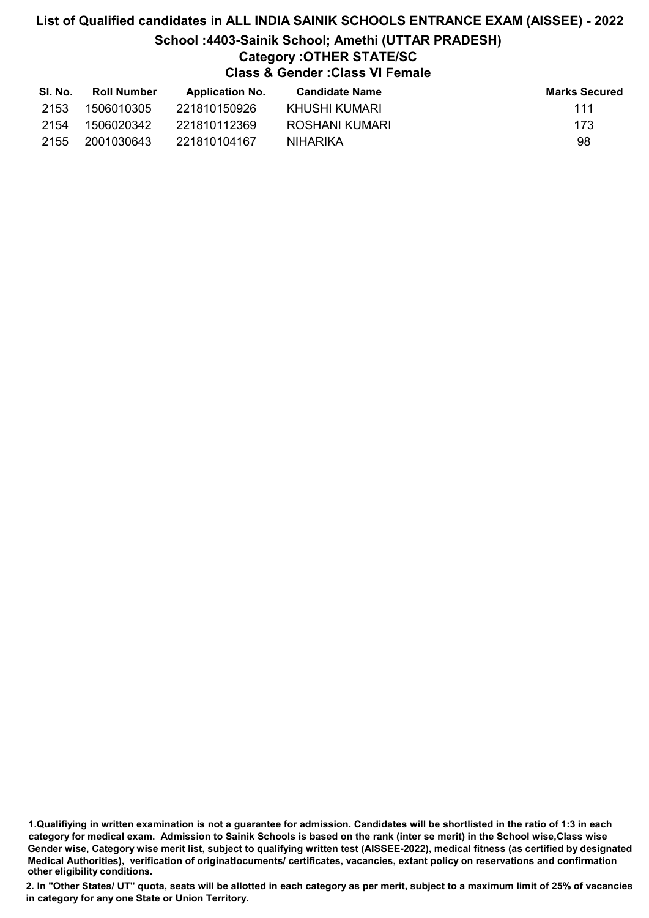# List of Qualified candidates in ALL INDIA SAINIK SCHOOLS ENTRANCE EXAM (AISSEE) - 2022 School :4403-Sainik School; Amethi (UTTAR PRADESH) Category :OTHER STATE/SC Class & Gender :Class VI Female

| SI. No. | <b>Roll Number</b> | <b>Application No.</b> | <b>Candidate Name</b> | <b>Marks Secured</b> |
|---------|--------------------|------------------------|-----------------------|----------------------|
| 2153    | 1506010305         | 221810150926           | KHUSHI KUMARI         | 111                  |
| 2154    | 1506020342         | 221810112369           | ROSHANI KUMARI        | 173                  |
| 2155    | 2001030643         | 221810104167           | NIHARIKA              | 98                   |

1.Qualifiying in written examination is not a guarantee for admission. Candidates will be shortlisted in the ratio of 1:3 in each category for medical exam. Admission to Sainik Schools is based on the rank (inter se merit) in the School wise,Class wise Gender wise, Category wise merit list, subject to qualifying written test (AISSEE-2022), medical fitness (as certified by designated Medical Authorities), verification of originablocuments/ certificates, vacancies, extant policy on reservations and confirmation other eligibility conditions.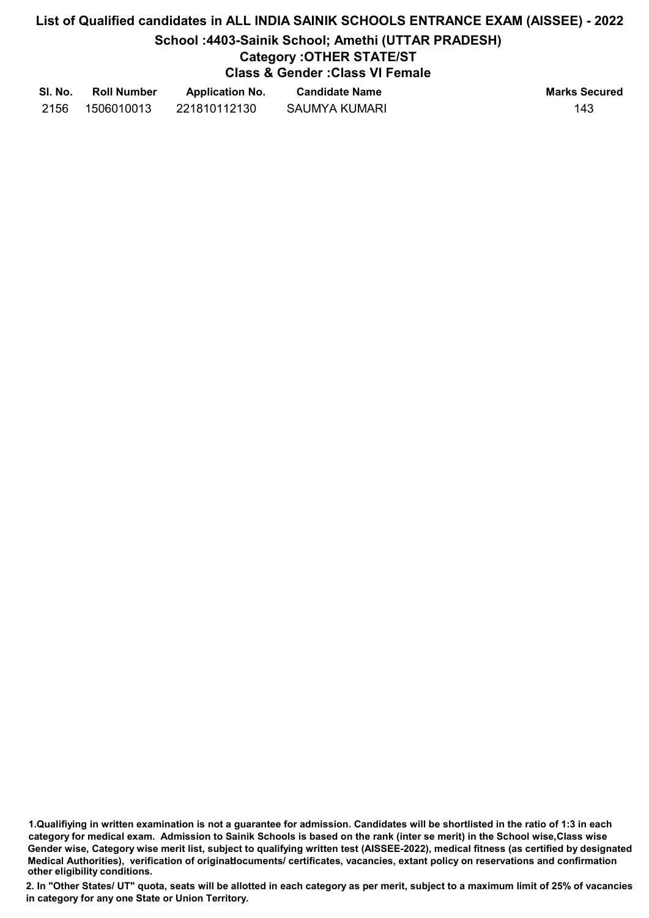## List of Qualified candidates in ALL INDIA SAINIK SCHOOLS ENTRANCE EXAM (AISSEE) - 2022 School :4403-Sainik School; Amethi (UTTAR PRADESH) Category :OTHER STATE/ST Class & Gender :Class VI Female

| SI. No. | <b>Roll Number</b> | <b>Application No.</b> | <b>Candidate Name</b> | <b>Marks Secured</b> |
|---------|--------------------|------------------------|-----------------------|----------------------|
| 2156    | 1506010013         | 221810112130           | SAUMYA KUMARI         | 143                  |

1.Qualifiying in written examination is not a guarantee for admission. Candidates will be shortlisted in the ratio of 1:3 in each category for medical exam. Admission to Sainik Schools is based on the rank (inter se merit) in the School wise,Class wise Gender wise, Category wise merit list, subject to qualifying written test (AISSEE-2022), medical fitness (as certified by designated Medical Authorities), verification of originablocuments/ certificates, vacancies, extant policy on reservations and confirmation other eligibility conditions.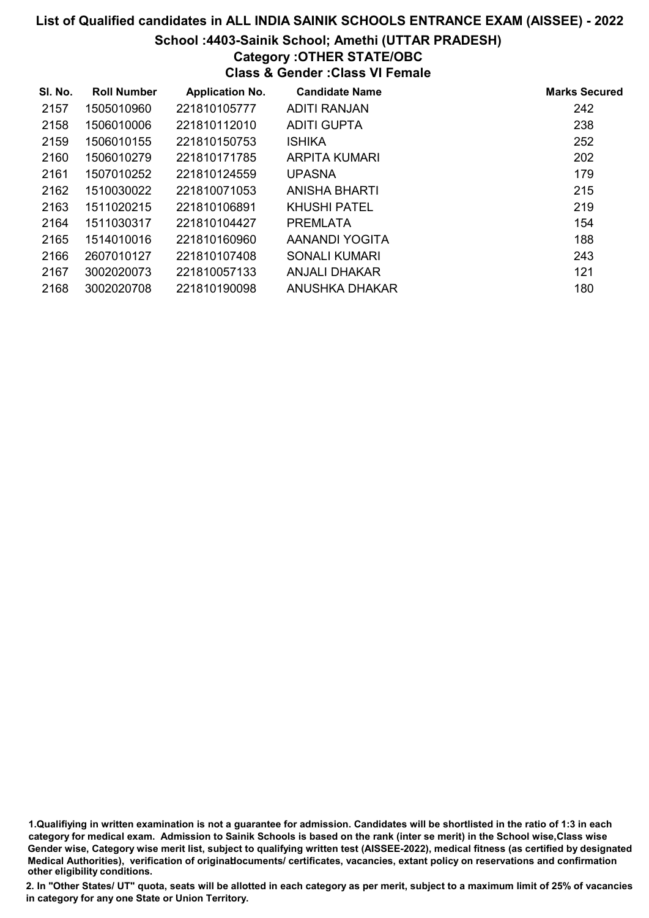#### School :4403-Sainik School; Amethi (UTTAR PRADESH)

## Category :OTHER STATE/OBC

Class & Gender :Class VI Female

| SI. No. | <b>Roll Number</b> | <b>Application No.</b> | <b>Candidate Name</b> | <b>Marks Secured</b> |
|---------|--------------------|------------------------|-----------------------|----------------------|
| 2157    | 1505010960         | 221810105777           | ADITI RANJAN          | 242                  |
| 2158    | 1506010006         | 221810112010           | <b>ADITI GUPTA</b>    | 238                  |
| 2159    | 1506010155         | 221810150753           | <b>ISHIKA</b>         | 252                  |
| 2160    | 1506010279         | 221810171785           | ARPITA KUMARI         | 202                  |
| 2161    | 1507010252         | 221810124559           | <b>UPASNA</b>         | 179                  |
| 2162    | 1510030022         | 221810071053           | ANISHA BHARTI         | 215                  |
| 2163    | 1511020215         | 221810106891           | KHUSHI PATEL          | 219                  |
| 2164    | 1511030317         | 221810104427           | <b>PREMLATA</b>       | 154                  |
| 2165    | 1514010016         | 221810160960           | AANANDI YOGITA        | 188                  |
| 2166    | 2607010127         | 221810107408           | SONALI KUMARI         | 243                  |
| 2167    | 3002020073         | 221810057133           | <b>ANJALI DHAKAR</b>  | 121                  |
| 2168    | 3002020708         | 221810190098           | ANUSHKA DHAKAR        | 180                  |

1.Qualifiying in written examination is not a guarantee for admission. Candidates will be shortlisted in the ratio of 1:3 in each category for medical exam. Admission to Sainik Schools is based on the rank (inter se merit) in the School wise,Class wise Gender wise, Category wise merit list, subject to qualifying written test (AISSEE-2022), medical fitness (as certified by designated Medical Authorities), verification of originablocuments/ certificates, vacancies, extant policy on reservations and confirmation other eligibility conditions.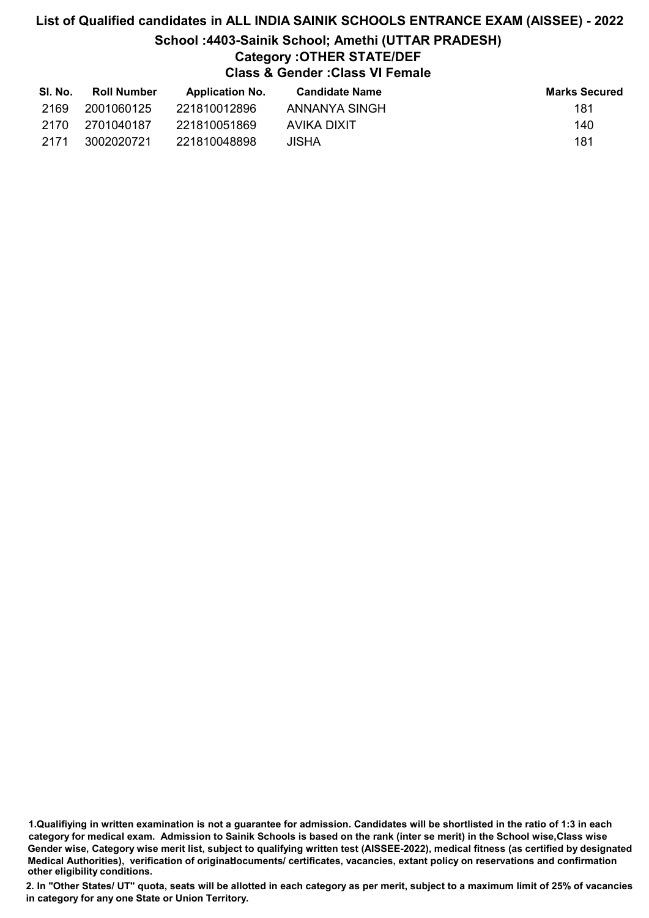# List of Qualified candidates in ALL INDIA SAINIK SCHOOLS ENTRANCE EXAM (AISSEE) - 2022 School :4403-Sainik School; Amethi (UTTAR PRADESH) Category :OTHER STATE/DEF Class & Gender :Class VI Female

| SI. No. | <b>Roll Number</b> | <b>Application No.</b> | <b>Candidate Name</b> | <b>Marks Secured</b> |
|---------|--------------------|------------------------|-----------------------|----------------------|
| 2169    | 2001060125         | 221810012896           | ANNANYA SINGH         | 181                  |
| 2170    | 2701040187         | 221810051869           | AVIKA DIXIT           | 140                  |
| -2171   | 3002020721         | 221810048898           | JISHA                 | 181                  |

1.Qualifiying in written examination is not a guarantee for admission. Candidates will be shortlisted in the ratio of 1:3 in each category for medical exam. Admission to Sainik Schools is based on the rank (inter se merit) in the School wise,Class wise Gender wise, Category wise merit list, subject to qualifying written test (AISSEE-2022), medical fitness (as certified by designated Medical Authorities), verification of originablocuments/ certificates, vacancies, extant policy on reservations and confirmation other eligibility conditions.